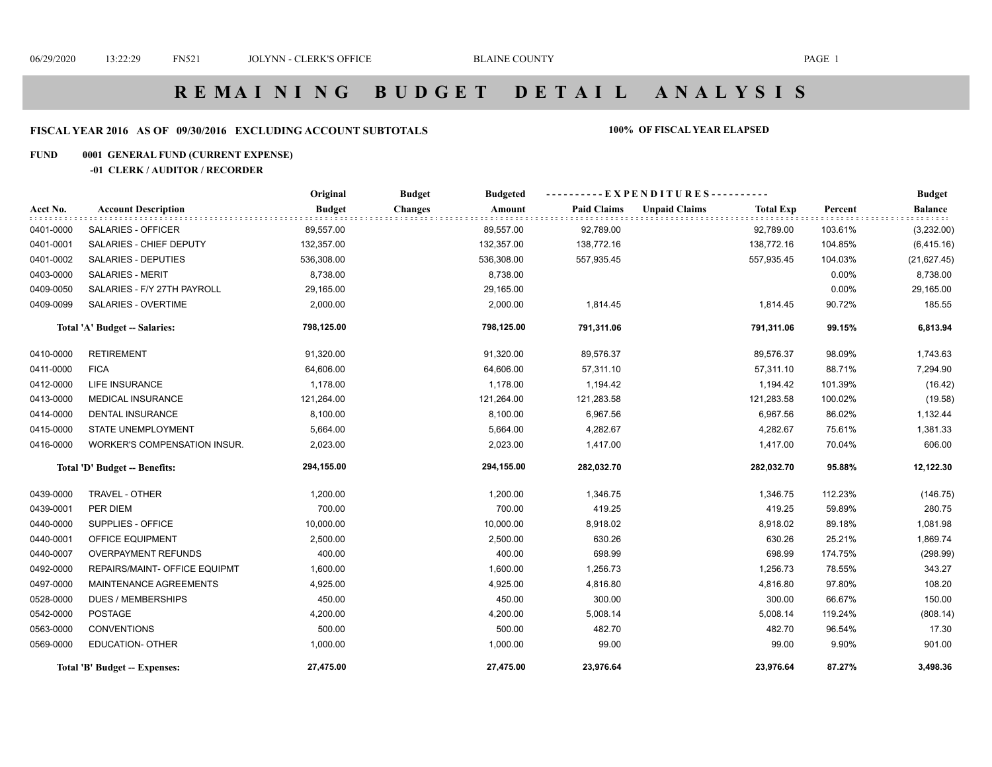# **R E M A I N I N G B U D G E T D E T A I L A N A L Y S I S**

### **FISCAL YEAR 2016 AS OF 09/30/2016 EXCLUDING ACCOUNT SUBTOTALS 100% OF FISCAL YEAR ELAPSED**

#### **FUND 0001 GENERAL FUND (CURRENT EXPENSE)**

#### **-01 CLERK / AUDITOR / RECORDER**

|           |                                      | Original      | <b>Budget</b><br><b>Budgeted</b> |                    | ----------EXPENDITURES----------         |         | <b>Budget</b>  |
|-----------|--------------------------------------|---------------|----------------------------------|--------------------|------------------------------------------|---------|----------------|
| Acct No.  | <b>Account Description</b>           | <b>Budget</b> | <b>Changes</b><br>Amount         | <b>Paid Claims</b> | <b>Unpaid Claims</b><br><b>Total Exp</b> | Percent | <b>Balance</b> |
| 0401-0000 | SALARIES - OFFICER                   | 89,557.00     | 89,557.00                        | 92,789.00          | 92,789.00                                | 103.61% | (3,232.00)     |
| 0401-0001 | SALARIES - CHIEF DEPUTY              | 132,357.00    | 132,357.00                       | 138,772.16         | 138,772.16                               | 104.85% | (6, 415.16)    |
| 0401-0002 | SALARIES - DEPUTIES                  | 536,308.00    | 536,308.00                       | 557,935.45         | 557,935.45                               | 104.03% | (21, 627.45)   |
| 0403-0000 | <b>SALARIES - MERIT</b>              | 8,738.00      | 8,738.00                         |                    |                                          | 0.00%   | 8,738.00       |
| 0409-0050 | SALARIES - F/Y 27TH PAYROLL          | 29,165.00     | 29,165.00                        |                    |                                          | 0.00%   | 29,165.00      |
| 0409-0099 | SALARIES - OVERTIME                  | 2,000.00      | 2,000.00                         | 1,814.45           | 1,814.45                                 | 90.72%  | 185.55         |
|           | Total 'A' Budget -- Salaries:        | 798,125.00    | 798,125.00                       | 791,311.06         | 791,311.06                               | 99.15%  | 6,813.94       |
| 0410-0000 | <b>RETIREMENT</b>                    | 91,320.00     | 91,320.00                        | 89,576.37          | 89,576.37                                | 98.09%  | 1,743.63       |
| 0411-0000 | <b>FICA</b>                          | 64,606.00     | 64,606.00                        | 57,311.10          | 57,311.10                                | 88.71%  | 7,294.90       |
| 0412-0000 | <b>LIFE INSURANCE</b>                | 1,178.00      | 1,178.00                         | 1,194.42           | 1,194.42                                 | 101.39% | (16.42)        |
| 0413-0000 | <b>MEDICAL INSURANCE</b>             | 121,264.00    | 121,264.00                       | 121,283.58         | 121,283.58                               | 100.02% | (19.58)        |
| 0414-0000 | <b>DENTAL INSURANCE</b>              | 8,100.00      | 8,100.00                         | 6,967.56           | 6,967.56                                 | 86.02%  | 1,132.44       |
| 0415-0000 | STATE UNEMPLOYMENT                   | 5,664.00      | 5,664.00                         | 4,282.67           | 4,282.67                                 | 75.61%  | 1,381.33       |
| 0416-0000 | <b>WORKER'S COMPENSATION INSUR.</b>  | 2,023.00      | 2,023.00                         | 1,417.00           | 1,417.00                                 | 70.04%  | 606.00         |
|           | Total 'D' Budget -- Benefits:        | 294,155.00    | 294,155.00                       | 282,032.70         | 282,032.70                               | 95.88%  | 12,122.30      |
| 0439-0000 | TRAVEL - OTHER                       | 1,200.00      | 1,200.00                         | 1,346.75           | 1,346.75                                 | 112.23% | (146.75)       |
| 0439-0001 | PER DIEM                             | 700.00        | 700.00                           | 419.25             | 419.25                                   | 59.89%  | 280.75         |
| 0440-0000 | SUPPLIES - OFFICE                    | 10,000.00     | 10,000.00                        | 8,918.02           | 8,918.02                                 | 89.18%  | 1,081.98       |
| 0440-0001 | OFFICE EQUIPMENT                     | 2,500.00      | 2,500.00                         | 630.26             | 630.26                                   | 25.21%  | 1,869.74       |
| 0440-0007 | <b>OVERPAYMENT REFUNDS</b>           | 400.00        | 400.00                           | 698.99             | 698.99                                   | 174.75% | (298.99)       |
| 0492-0000 | <b>REPAIRS/MAINT- OFFICE EQUIPMT</b> | 1,600.00      | 1,600.00                         | 1,256.73           | 1,256.73                                 | 78.55%  | 343.27         |
| 0497-0000 | MAINTENANCE AGREEMENTS               | 4,925.00      | 4,925.00                         | 4,816.80           | 4,816.80                                 | 97.80%  | 108.20         |
| 0528-0000 | <b>DUES / MEMBERSHIPS</b>            | 450.00        | 450.00                           | 300.00             | 300.00                                   | 66.67%  | 150.00         |
| 0542-0000 | <b>POSTAGE</b>                       | 4,200.00      | 4,200.00                         | 5,008.14           | 5,008.14                                 | 119.24% | (808.14)       |
| 0563-0000 | <b>CONVENTIONS</b>                   | 500.00        | 500.00                           | 482.70             | 482.70                                   | 96.54%  | 17.30          |
| 0569-0000 | <b>EDUCATION- OTHER</b>              | 1,000.00      | 1,000.00                         | 99.00              | 99.00                                    | 9.90%   | 901.00         |
|           | Total 'B' Budget -- Expenses:        | 27,475.00     | 27,475.00                        | 23,976.64          | 23,976.64                                | 87.27%  | 3,498.36       |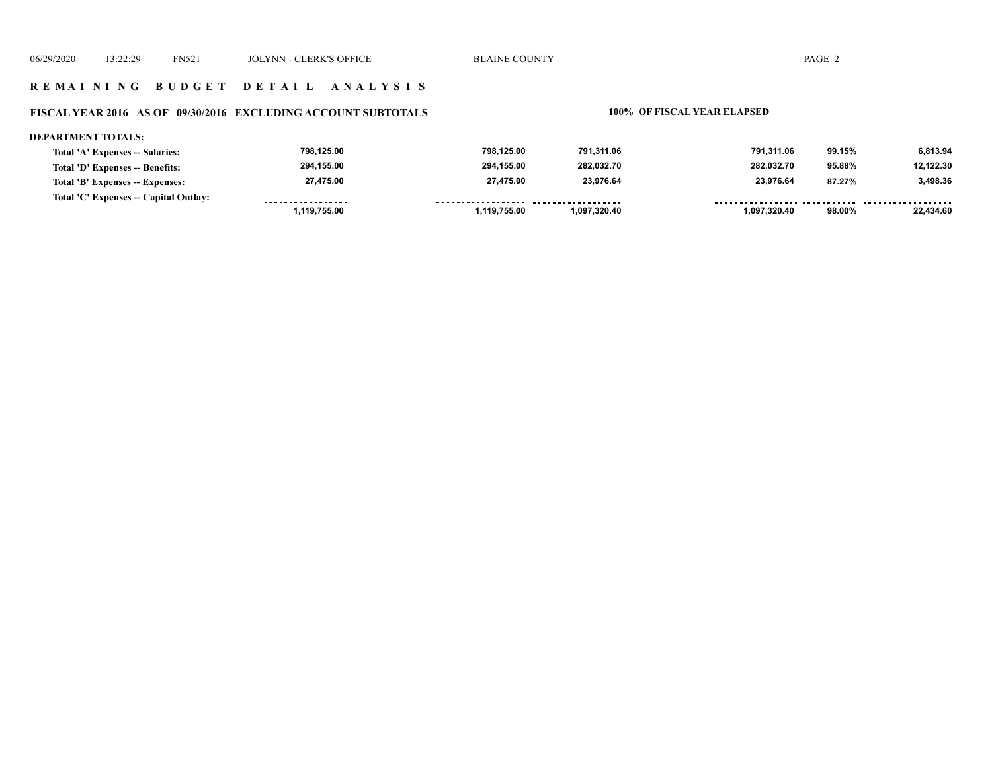#### **R E M A I N I N G B U D G E T D E T A I L A N A L Y S I S**

#### **FISCAL YEAR 2016 AS OF 09/30/2016 EXCLUDING ACCOUNT SUBTOTALS 100% OF FISCAL YEAR ELAPSED**

#### **DEPARTMENT TOTALS:**

| Total 'A' Expenses -- Salaries:       | 798.125.00        | 798.125.00         | 791.311.06   | 791.311.06   | 99.15% | 6,813.94  |
|---------------------------------------|-------------------|--------------------|--------------|--------------|--------|-----------|
| Total 'D' Expenses -- Benefits:       | 294.155.00        | 294,155.00         | 282.032.70   | 282.032.70   | 95.88% | 12.122.30 |
| Total 'B' Expenses -- Expenses:       | 27,475.00         | 27,475.00          | 23,976.64    | 23.976.64    | 87.27% | 3.498.36  |
| Total 'C' Expenses -- Capital Outlay: | ----------------- | ------------------ | .            |              |        |           |
|                                       | 1,119,755.00      | ,119,755.00        | 1.097.320.40 | 1,097,320.40 | 98.00% | 22.434.60 |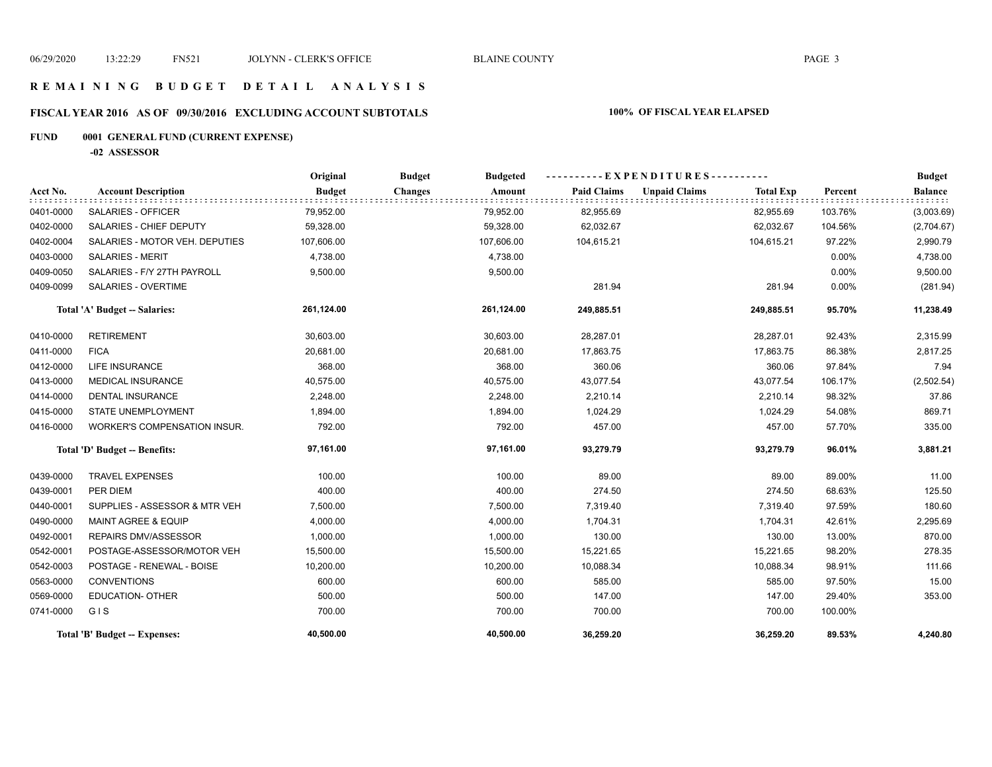### **R E M A I N I N G B U D G E T D E T A I L A N A L Y S I S**

# **FISCAL YEAR 2016 AS OF 09/30/2016 EXCLUDING ACCOUNT SUBTOTALS 100% OF FISCAL YEAR ELAPSED**

# **FUND 0001 GENERAL FUND (CURRENT EXPENSE)**

**-02 ASSESSOR**

|           |                                | Original      | <b>Budget</b><br><b>Budgeted</b> |                    | $-EXPENDITURES$ --------- |                  |          | <b>Budget</b>  |
|-----------|--------------------------------|---------------|----------------------------------|--------------------|---------------------------|------------------|----------|----------------|
| Acct No.  | <b>Account Description</b>     | <b>Budget</b> | <b>Changes</b><br>Amount         | <b>Paid Claims</b> | <b>Unpaid Claims</b>      | <b>Total Exp</b> | Percent  | <b>Balance</b> |
| 0401-0000 | SALARIES - OFFICER             | 79,952.00     | 79,952.00                        | 82,955.69          |                           | 82,955.69        | 103.76%  | (3,003.69)     |
| 0402-0000 | SALARIES - CHIEF DEPUTY        | 59,328.00     | 59,328.00                        | 62,032.67          |                           | 62,032.67        | 104.56%  | (2,704.67)     |
| 0402-0004 | SALARIES - MOTOR VEH. DEPUTIES | 107,606.00    | 107,606.00                       | 104,615.21         |                           | 104,615.21       | 97.22%   | 2,990.79       |
| 0403-0000 | <b>SALARIES - MERIT</b>        | 4,738.00      | 4,738.00                         |                    |                           |                  | 0.00%    | 4,738.00       |
| 0409-0050 | SALARIES - F/Y 27TH PAYROLL    | 9,500.00      | 9,500.00                         |                    |                           |                  | 0.00%    | 9,500.00       |
| 0409-0099 | SALARIES - OVERTIME            |               |                                  | 281.94             |                           | 281.94           | $0.00\%$ | (281.94)       |
|           | Total 'A' Budget -- Salaries:  | 261,124.00    | 261,124.00                       | 249,885.51         |                           | 249,885.51       | 95.70%   | 11,238.49      |
| 0410-0000 | <b>RETIREMENT</b>              | 30,603.00     | 30,603.00                        | 28,287.01          |                           | 28,287.01        | 92.43%   | 2,315.99       |
| 0411-0000 | <b>FICA</b>                    | 20,681.00     | 20,681.00                        | 17,863.75          |                           | 17,863.75        | 86.38%   | 2,817.25       |
| 0412-0000 | <b>LIFE INSURANCE</b>          | 368.00        | 368.00                           | 360.06             |                           | 360.06           | 97.84%   | 7.94           |
| 0413-0000 | <b>MEDICAL INSURANCE</b>       | 40,575.00     | 40,575.00                        | 43,077.54          |                           | 43,077.54        | 106.17%  | (2,502.54)     |
| 0414-0000 | <b>DENTAL INSURANCE</b>        | 2,248.00      | 2,248.00                         | 2,210.14           |                           | 2,210.14         | 98.32%   | 37.86          |
| 0415-0000 | <b>STATE UNEMPLOYMENT</b>      | 1,894.00      | 1,894.00                         | 1,024.29           |                           | 1,024.29         | 54.08%   | 869.71         |
| 0416-0000 | WORKER'S COMPENSATION INSUR.   | 792.00        | 792.00                           | 457.00             |                           | 457.00           | 57.70%   | 335.00         |
|           | Total 'D' Budget -- Benefits:  | 97,161.00     | 97,161.00                        | 93,279.79          |                           | 93,279.79        | 96.01%   | 3,881.21       |
| 0439-0000 | <b>TRAVEL EXPENSES</b>         | 100.00        | 100.00                           | 89.00              |                           | 89.00            | 89.00%   | 11.00          |
| 0439-0001 | PER DIEM                       | 400.00        | 400.00                           | 274.50             |                           | 274.50           | 68.63%   | 125.50         |
| 0440-0001 | SUPPLIES - ASSESSOR & MTR VEH  | 7,500.00      | 7,500.00                         | 7,319.40           |                           | 7,319.40         | 97.59%   | 180.60         |
| 0490-0000 | MAINT AGREE & EQUIP            | 4,000.00      | 4,000.00                         | 1,704.31           |                           | 1,704.31         | 42.61%   | 2,295.69       |
| 0492-0001 | REPAIRS DMV/ASSESSOR           | 1,000.00      | 1,000.00                         | 130.00             |                           | 130.00           | 13.00%   | 870.00         |
| 0542-0001 | POSTAGE-ASSESSOR/MOTOR VEH     | 15,500.00     | 15,500.00                        | 15,221.65          |                           | 15,221.65        | 98.20%   | 278.35         |
| 0542-0003 | POSTAGE - RENEWAL - BOISE      | 10,200.00     | 10,200.00                        | 10,088.34          |                           | 10,088.34        | 98.91%   | 111.66         |
| 0563-0000 | <b>CONVENTIONS</b>             | 600.00        | 600.00                           | 585.00             |                           | 585.00           | 97.50%   | 15.00          |
| 0569-0000 | <b>EDUCATION- OTHER</b>        | 500.00        | 500.00                           | 147.00             |                           | 147.00           | 29.40%   | 353.00         |
| 0741-0000 | GIS                            | 700.00        | 700.00                           | 700.00             |                           | 700.00           | 100.00%  |                |
|           | Total 'B' Budget -- Expenses:  | 40,500.00     | 40,500.00                        | 36,259.20          |                           | 36,259.20        | 89.53%   | 4,240.80       |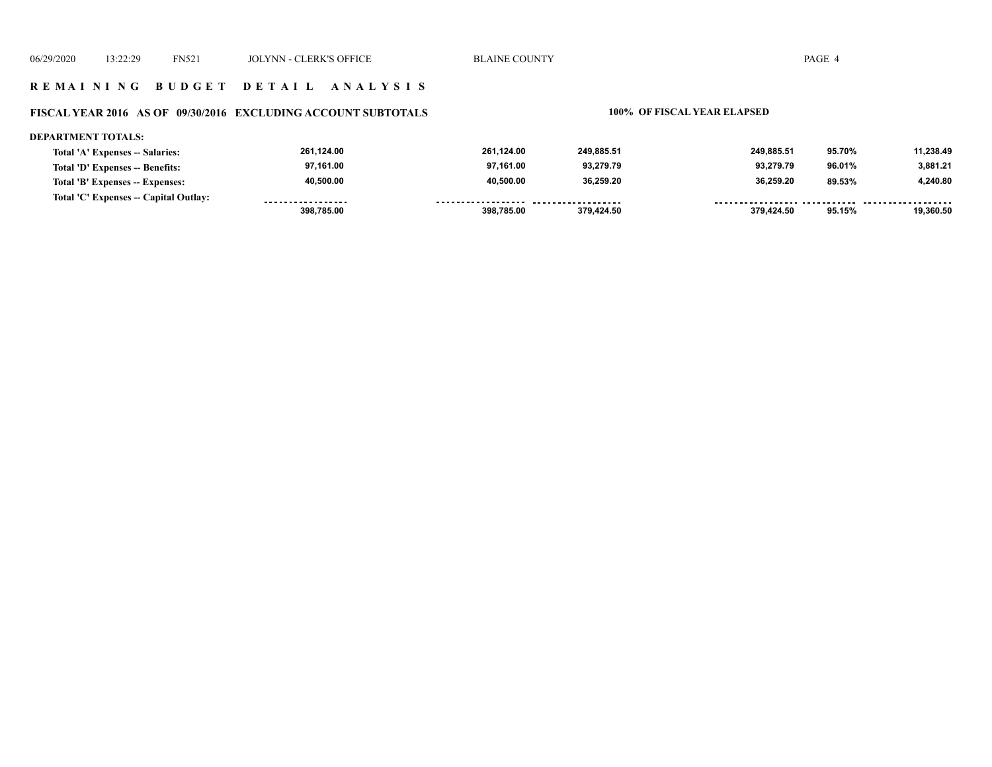#### **R E M A I N I N G B U D G E T D E T A I L A N A L Y S I S**

#### **FISCAL YEAR 2016 AS OF 09/30/2016 EXCLUDING ACCOUNT SUBTOTALS 100% OF FISCAL YEAR ELAPSED**

#### **DEPARTMENT TOTALS:**

| Total 'A' Expenses -- Salaries:       | 261,124.00        | 261,124.00         | 249.885.51 | 249.885.51 | 95.70% | 11,238.49 |
|---------------------------------------|-------------------|--------------------|------------|------------|--------|-----------|
| Total 'D' Expenses -- Benefits:       | 97,161.00         | 97,161.00          | 93,279.79  | 93.279.79  | 96.01% | 3,881.21  |
| Total 'B' Expenses -- Expenses:       | 40,500.00         | 40,500.00          | 36.259.20  | 36.259.20  | 89.53% | 4,240.80  |
| Total 'C' Expenses -- Capital Outlay: | ----------------- | ------------------ | .          |            |        |           |
|                                       | 398.785.00        | 398,785.00         | 379.424.50 | 379.424.50 | 95.15% | 19.360.50 |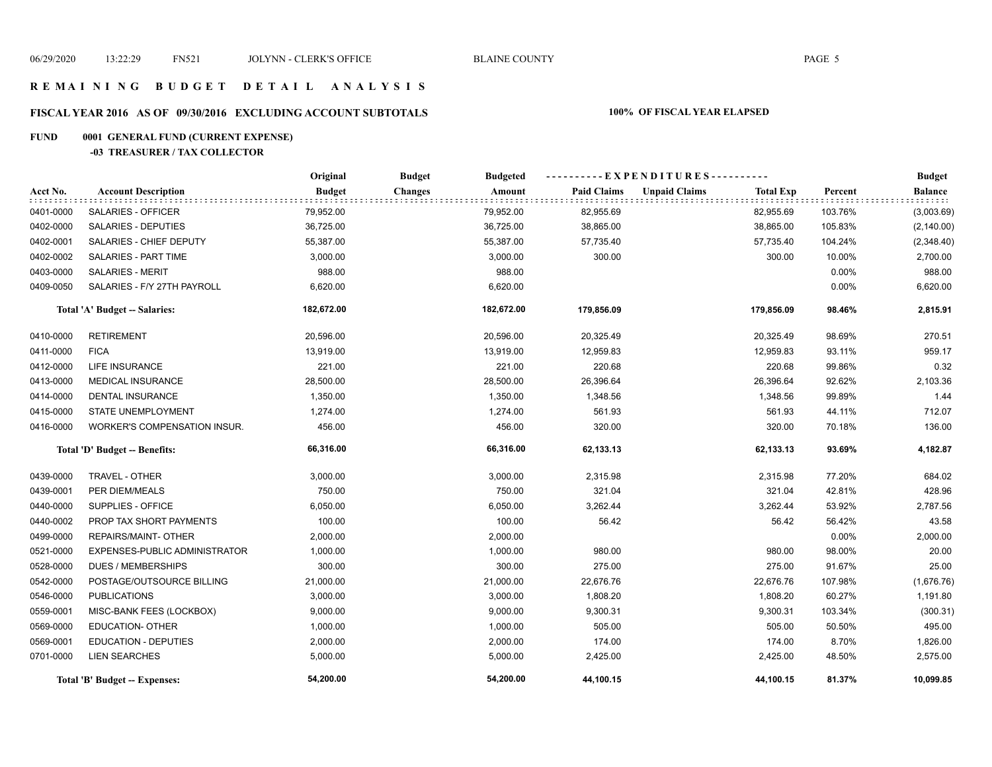#### **R E M A I N I N G B U D G E T D E T A I L A N A L Y S I S**

# **FISCAL YEAR 2016 AS OF 09/30/2016 EXCLUDING ACCOUNT SUBTOTALS 100% OF FISCAL YEAR ELAPSED**

#### **FUND 0001 GENERAL FUND (CURRENT EXPENSE)**

#### **-03 TREASURER / TAX COLLECTOR**

|           |                                     | Original      | <b>Budget</b><br><b>Budgeted</b> |                    | ----------EXPENDITURES----------         |         | <b>Budget</b> |
|-----------|-------------------------------------|---------------|----------------------------------|--------------------|------------------------------------------|---------|---------------|
| Acct No.  | <b>Account Description</b>          | <b>Budget</b> | <b>Changes</b><br>Amount         | <b>Paid Claims</b> | <b>Unpaid Claims</b><br><b>Total Exp</b> | Percent | Balance       |
| 0401-0000 | SALARIES - OFFICER                  | 79,952.00     | 79,952.00                        | 82,955.69          | 82,955.69                                | 103.76% | (3,003.69)    |
| 0402-0000 | <b>SALARIES - DEPUTIES</b>          | 36,725.00     | 36,725.00                        | 38,865.00          | 38,865.00                                | 105.83% | (2, 140.00)   |
| 0402-0001 | SALARIES - CHIEF DEPUTY             | 55,387.00     | 55,387.00                        | 57,735.40          | 57,735.40                                | 104.24% | (2,348.40)    |
| 0402-0002 | <b>SALARIES - PART TIME</b>         | 3,000.00      | 3,000.00                         | 300.00             | 300.00                                   | 10.00%  | 2,700.00      |
| 0403-0000 | <b>SALARIES - MERIT</b>             | 988.00        | 988.00                           |                    |                                          | 0.00%   | 988.00        |
| 0409-0050 | SALARIES - F/Y 27TH PAYROLL         | 6,620.00      | 6,620.00                         |                    |                                          | 0.00%   | 6,620.00      |
|           | Total 'A' Budget -- Salaries:       | 182,672.00    | 182,672.00                       | 179,856.09         | 179,856.09                               | 98.46%  | 2,815.91      |
| 0410-0000 | <b>RETIREMENT</b>                   | 20,596.00     | 20,596.00                        | 20,325.49          | 20,325.49                                | 98.69%  | 270.51        |
| 0411-0000 | <b>FICA</b>                         | 13,919.00     | 13,919.00                        | 12,959.83          | 12,959.83                                | 93.11%  | 959.17        |
| 0412-0000 | <b>LIFE INSURANCE</b>               | 221.00        | 221.00                           | 220.68             | 220.68                                   | 99.86%  | 0.32          |
| 0413-0000 | <b>MEDICAL INSURANCE</b>            | 28,500.00     | 28,500.00                        | 26,396.64          | 26,396.64                                | 92.62%  | 2,103.36      |
| 0414-0000 | <b>DENTAL INSURANCE</b>             | 1,350.00      | 1,350.00                         | 1,348.56           | 1,348.56                                 | 99.89%  | 1.44          |
| 0415-0000 | <b>STATE UNEMPLOYMENT</b>           | 1,274.00      | 1,274.00                         | 561.93             | 561.93                                   | 44.11%  | 712.07        |
| 0416-0000 | <b>WORKER'S COMPENSATION INSUR.</b> | 456.00        | 456.00                           | 320.00             | 320.00                                   | 70.18%  | 136.00        |
|           | Total 'D' Budget -- Benefits:       | 66,316.00     | 66,316.00                        | 62,133.13          | 62,133.13                                | 93.69%  | 4,182.87      |
| 0439-0000 | TRAVEL - OTHER                      | 3,000.00      | 3,000.00                         | 2,315.98           | 2,315.98                                 | 77.20%  | 684.02        |
| 0439-0001 | PER DIEM/MEALS                      | 750.00        | 750.00                           | 321.04             | 321.04                                   | 42.81%  | 428.96        |
| 0440-0000 | SUPPLIES - OFFICE                   | 6,050.00      | 6,050.00                         | 3,262.44           | 3,262.44                                 | 53.92%  | 2,787.56      |
| 0440-0002 | PROP TAX SHORT PAYMENTS             | 100.00        | 100.00                           | 56.42              | 56.42                                    | 56.42%  | 43.58         |
| 0499-0000 | REPAIRS/MAINT- OTHER                | 2,000.00      | 2,000.00                         |                    |                                          | 0.00%   | 2,000.00      |
| 0521-0000 | EXPENSES-PUBLIC ADMINISTRATOR       | 1,000.00      | 1,000.00                         | 980.00             | 980.00                                   | 98.00%  | 20.00         |
| 0528-0000 | <b>DUES / MEMBERSHIPS</b>           | 300.00        | 300.00                           | 275.00             | 275.00                                   | 91.67%  | 25.00         |
| 0542-0000 | POSTAGE/OUTSOURCE BILLING           | 21,000.00     | 21,000.00                        | 22,676.76          | 22,676.76                                | 107.98% | (1,676.76)    |
| 0546-0000 | <b>PUBLICATIONS</b>                 | 3,000.00      | 3,000.00                         | 1,808.20           | 1,808.20                                 | 60.27%  | 1,191.80      |
| 0559-0001 | MISC-BANK FEES (LOCKBOX)            | 9,000.00      | 9,000.00                         | 9,300.31           | 9,300.31                                 | 103.34% | (300.31)      |
| 0569-0000 | EDUCATION- OTHER                    | 1,000.00      | 1,000.00                         | 505.00             | 505.00                                   | 50.50%  | 495.00        |
| 0569-0001 | <b>EDUCATION - DEPUTIES</b>         | 2,000.00      | 2,000.00                         | 174.00             | 174.00                                   | 8.70%   | 1,826.00      |
| 0701-0000 | <b>LIEN SEARCHES</b>                | 5,000.00      | 5,000.00                         | 2,425.00           | 2,425.00                                 | 48.50%  | 2,575.00      |
|           | Total 'B' Budget -- Expenses:       | 54,200.00     | 54,200.00                        | 44,100.15          | 44,100.15                                | 81.37%  | 10,099.85     |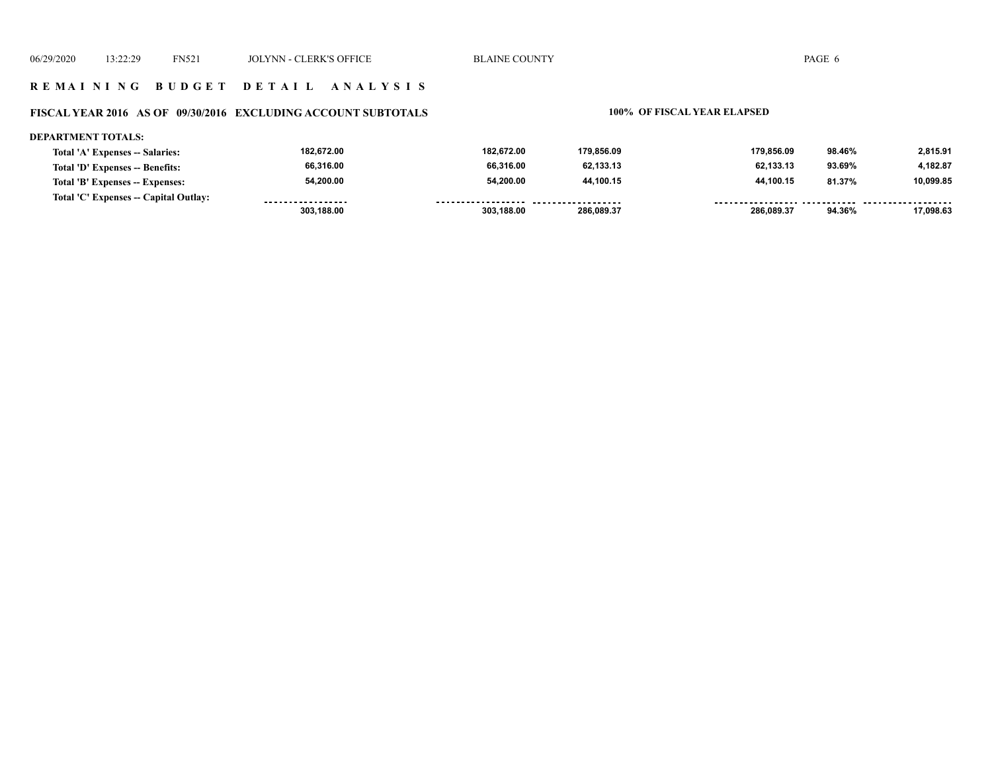#### **R E M A I N I N G B U D G E T D E T A I L A N A L Y S I S**

#### **FISCAL YEAR 2016 AS OF 09/30/2016 EXCLUDING ACCOUNT SUBTOTALS 100% OF FISCAL YEAR ELAPSED**

#### **DEPARTMENT TOTALS:**

| Total 'A' Expenses -- Salaries:       | 182.672.00        | 182.672.00         | 179.856.09         | 179.856.09                     | 98.46% | 2.815.91  |
|---------------------------------------|-------------------|--------------------|--------------------|--------------------------------|--------|-----------|
| Total 'D' Expenses -- Benefits:       | 66.316.00         | 66,316.00          | 62.133.13          | 62,133.13                      | 93.69% | 4.182.87  |
| Total 'B' Expenses -- Expenses:       | 54,200.00         | 54,200.00          | 44.100.15          | 44,100.15                      | 81.37% | 10,099.85 |
| Total 'C' Expenses -- Capital Outlay: | ----------------- | ------------------ | ------------------ | ------------------------------ |        |           |
|                                       | 303,188.00        | 303,188.00         | 286.089.37         | 286.089.37                     | 94.36% | 17.098.63 |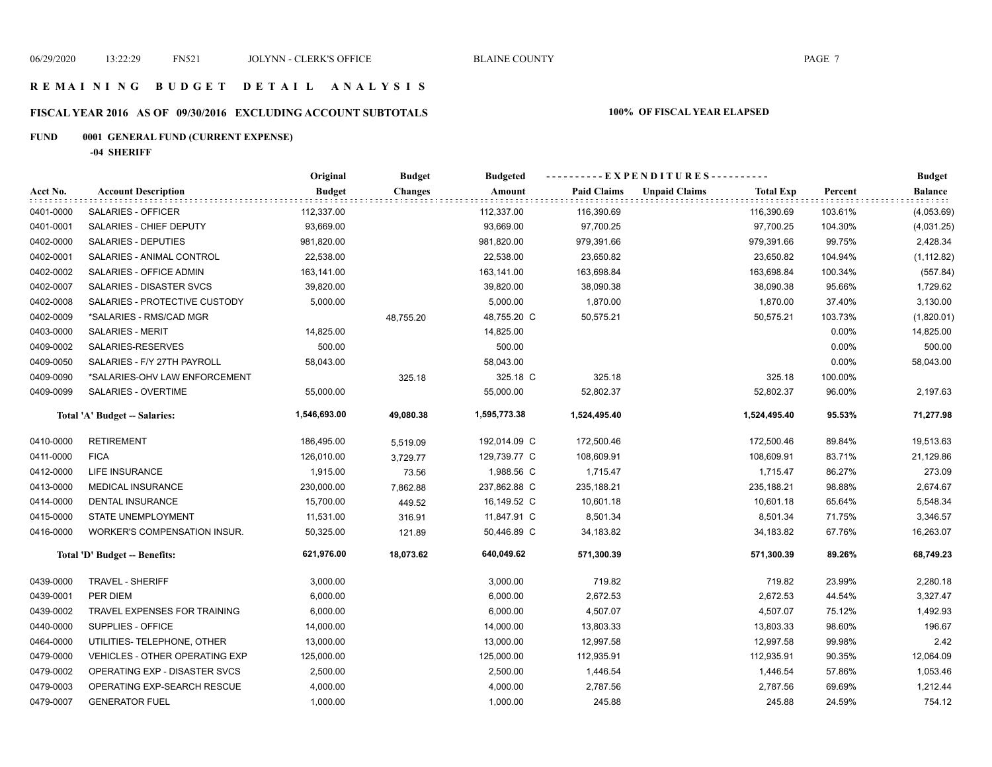### **R E M A I N I N G B U D G E T D E T A I L A N A L Y S I S**

# **FISCAL YEAR 2016 AS OF 09/30/2016 EXCLUDING ACCOUNT SUBTOTALS 100% OF FISCAL YEAR ELAPSED**

# **FUND 0001 GENERAL FUND (CURRENT EXPENSE)**

**-04 SHERIFF**

|           |                                       | Original      | <b>Budget</b>  | <b>Budgeted</b> |                    | ----------EXPENDITURES----------         |         | <b>Budget</b>  |
|-----------|---------------------------------------|---------------|----------------|-----------------|--------------------|------------------------------------------|---------|----------------|
| Acct No.  | <b>Account Description</b>            | <b>Budget</b> | <b>Changes</b> | Amount          | <b>Paid Claims</b> | <b>Unpaid Claims</b><br><b>Total Exp</b> | Percent | <b>Balance</b> |
| 0401-0000 | <b>SALARIES - OFFICER</b>             | 112,337.00    |                | 112,337.00      | 116,390.69         | 116,390.69                               | 103.61% | (4,053.69)     |
| 0401-0001 | SALARIES - CHIEF DEPUTY               | 93,669.00     |                | 93,669.00       | 97,700.25          | 97,700.25                                | 104.30% | (4,031.25)     |
| 0402-0000 | SALARIES - DEPUTIES                   | 981,820.00    |                | 981,820.00      | 979,391.66         | 979,391.66                               | 99.75%  | 2,428.34       |
| 0402-0001 | SALARIES - ANIMAL CONTROL             | 22,538.00     |                | 22,538.00       | 23,650.82          | 23,650.82                                | 104.94% | (1, 112.82)    |
| 0402-0002 | SALARIES - OFFICE ADMIN               | 163,141.00    |                | 163,141.00      | 163,698.84         | 163,698.84                               | 100.34% | (557.84)       |
| 0402-0007 | SALARIES - DISASTER SVCS              | 39,820.00     |                | 39,820.00       | 38,090.38          | 38,090.38                                | 95.66%  | 1,729.62       |
| 0402-0008 | SALARIES - PROTECTIVE CUSTODY         | 5,000.00      |                | 5,000.00        | 1,870.00           | 1,870.00                                 | 37.40%  | 3,130.00       |
| 0402-0009 | *SALARIES - RMS/CAD MGR               |               | 48,755.20      | 48,755.20 C     | 50,575.21          | 50,575.21                                | 103.73% | (1,820.01)     |
| 0403-0000 | <b>SALARIES - MERIT</b>               | 14,825.00     |                | 14,825.00       |                    |                                          | 0.00%   | 14,825.00      |
| 0409-0002 | SALARIES-RESERVES                     | 500.00        |                | 500.00          |                    |                                          | 0.00%   | 500.00         |
| 0409-0050 | SALARIES - F/Y 27TH PAYROLL           | 58,043.00     |                | 58,043.00       |                    |                                          | 0.00%   | 58,043.00      |
| 0409-0090 | *SALARIES-OHV LAW ENFORCEMENT         |               | 325.18         | 325.18 C        | 325.18             | 325.18                                   | 100.00% |                |
| 0409-0099 | SALARIES - OVERTIME                   | 55,000.00     |                | 55,000.00       | 52,802.37          | 52,802.37                                | 96.00%  | 2,197.63       |
|           | Total 'A' Budget -- Salaries:         | 1,546,693.00  | 49,080.38      | 1,595,773.38    | 1,524,495.40       | 1,524,495.40                             | 95.53%  | 71,277.98      |
| 0410-0000 | <b>RETIREMENT</b>                     | 186,495.00    | 5,519.09       | 192,014.09 C    | 172,500.46         | 172,500.46                               | 89.84%  | 19,513.63      |
| 0411-0000 | <b>FICA</b>                           | 126,010.00    | 3,729.77       | 129,739.77 C    | 108,609.91         | 108,609.91                               | 83.71%  | 21,129.86      |
| 0412-0000 | <b>LIFE INSURANCE</b>                 | 1,915.00      | 73.56          | 1,988.56 C      | 1,715.47           | 1,715.47                                 | 86.27%  | 273.09         |
| 0413-0000 | <b>MEDICAL INSURANCE</b>              | 230,000.00    | 7,862.88       | 237,862.88 C    | 235,188.21         | 235,188.21                               | 98.88%  | 2,674.67       |
| 0414-0000 | <b>DENTAL INSURANCE</b>               | 15,700.00     | 449.52         | 16,149.52 C     | 10,601.18          | 10,601.18                                | 65.64%  | 5,548.34       |
| 0415-0000 | STATE UNEMPLOYMENT                    | 11,531.00     | 316.91         | 11,847.91 C     | 8,501.34           | 8,501.34                                 | 71.75%  | 3,346.57       |
| 0416-0000 | WORKER'S COMPENSATION INSUR.          | 50,325.00     | 121.89         | 50,446.89 C     | 34,183.82          | 34,183.82                                | 67.76%  | 16,263.07      |
|           | Total 'D' Budget -- Benefits:         | 621,976.00    | 18,073.62      | 640,049.62      | 571,300.39         | 571,300.39                               | 89.26%  | 68,749.23      |
| 0439-0000 | TRAVEL - SHERIFF                      | 3,000.00      |                | 3,000.00        | 719.82             | 719.82                                   | 23.99%  | 2,280.18       |
| 0439-0001 | PER DIEM                              | 6,000.00      |                | 6,000.00        | 2,672.53           | 2,672.53                                 | 44.54%  | 3,327.47       |
| 0439-0002 | TRAVEL EXPENSES FOR TRAINING          | 6,000.00      |                | 6,000.00        | 4,507.07           | 4,507.07                                 | 75.12%  | 1,492.93       |
| 0440-0000 | SUPPLIES - OFFICE                     | 14,000.00     |                | 14,000.00       | 13,803.33          | 13,803.33                                | 98.60%  | 196.67         |
| 0464-0000 | UTILITIES- TELEPHONE, OTHER           | 13,000.00     |                | 13,000.00       | 12,997.58          | 12,997.58                                | 99.98%  | 2.42           |
| 0479-0000 | <b>VEHICLES - OTHER OPERATING EXP</b> | 125,000.00    |                | 125,000.00      | 112,935.91         | 112,935.91                               | 90.35%  | 12,064.09      |
| 0479-0002 | OPERATING EXP - DISASTER SVCS         | 2,500.00      |                | 2,500.00        | 1,446.54           | 1,446.54                                 | 57.86%  | 1,053.46       |
| 0479-0003 | OPERATING EXP-SEARCH RESCUE           | 4,000.00      |                | 4,000.00        | 2,787.56           | 2,787.56                                 | 69.69%  | 1,212.44       |
| 0479-0007 | <b>GENERATOR FUEL</b>                 | 1,000.00      |                | 1,000.00        | 245.88             | 245.88                                   | 24.59%  | 754.12         |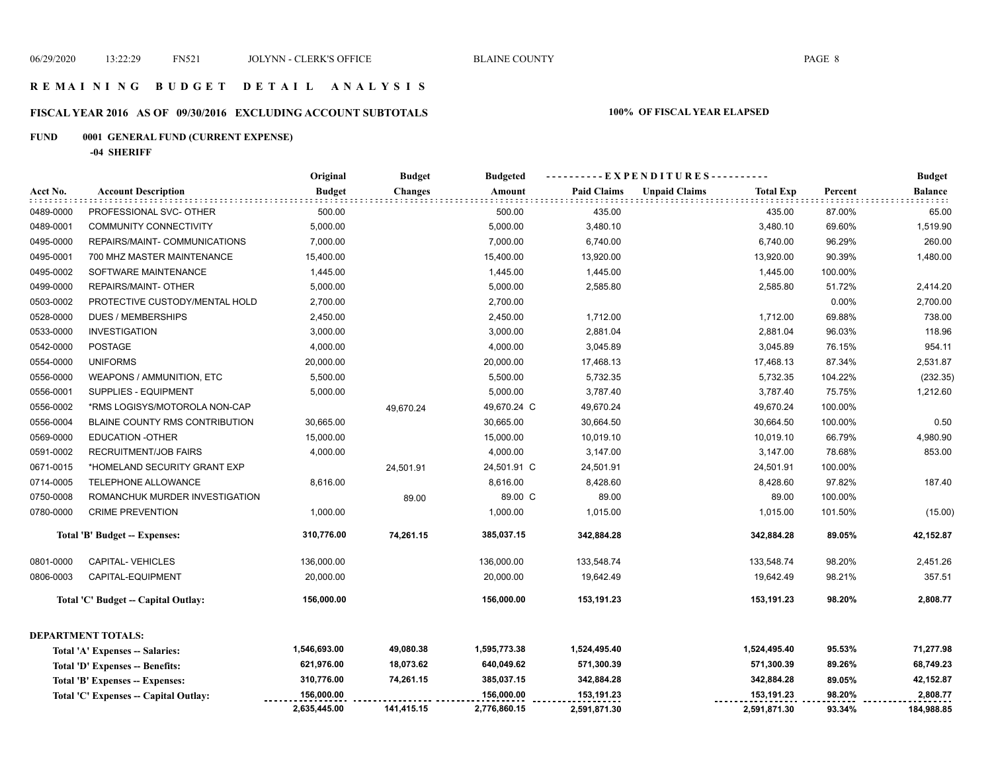#### **R E M A I N I N G B U D G E T D E T A I L A N A L Y S I S**

# **FISCAL YEAR 2016 AS OF 09/30/2016 EXCLUDING ACCOUNT SUBTOTALS 100% OF FISCAL YEAR ELAPSED**

# **FUND 0001 GENERAL FUND (CURRENT EXPENSE)**

**-04 SHERIFF**

|           |                                       | Original<br><b>Budget</b><br>----EXPENDITURES----------<br><b>Budgeted</b> |            |              |                    |                      |                  | <b>Budget</b> |                |
|-----------|---------------------------------------|----------------------------------------------------------------------------|------------|--------------|--------------------|----------------------|------------------|---------------|----------------|
| Acct No.  | <b>Account Description</b>            | <b>Budget</b>                                                              | Changes    | Amount       | <b>Paid Claims</b> | <b>Unpaid Claims</b> | <b>Total Exp</b> | Percent       | <b>Balance</b> |
| 0489-0000 | PROFESSIONAL SVC- OTHER               | 500.00                                                                     |            | 500.00       | 435.00             |                      | 435.00           | 87.00%        | 65.00          |
| 0489-0001 | <b>COMMUNITY CONNECTIVITY</b>         | 5,000.00                                                                   |            | 5,000.00     | 3,480.10           |                      | 3,480.10         | 69.60%        | 1,519.90       |
| 0495-0000 | REPAIRS/MAINT- COMMUNICATIONS         | 7,000.00                                                                   |            | 7,000.00     | 6,740.00           |                      | 6,740.00         | 96.29%        | 260.00         |
| 0495-0001 | 700 MHZ MASTER MAINTENANCE            | 15,400.00                                                                  |            | 15,400.00    | 13,920.00          |                      | 13,920.00        | 90.39%        | 1,480.00       |
| 0495-0002 | SOFTWARE MAINTENANCE                  | 1,445.00                                                                   |            | 1,445.00     | 1,445.00           |                      | 1,445.00         | 100.00%       |                |
| 0499-0000 | REPAIRS/MAINT- OTHER                  | 5,000.00                                                                   |            | 5,000.00     | 2,585.80           |                      | 2,585.80         | 51.72%        | 2,414.20       |
| 0503-0002 | PROTECTIVE CUSTODY/MENTAL HOLD        | 2,700.00                                                                   |            | 2,700.00     |                    |                      |                  | 0.00%         | 2,700.00       |
| 0528-0000 | <b>DUES / MEMBERSHIPS</b>             | 2,450.00                                                                   |            | 2,450.00     | 1,712.00           |                      | 1,712.00         | 69.88%        | 738.00         |
| 0533-0000 | <b>INVESTIGATION</b>                  | 3,000.00                                                                   |            | 3,000.00     | 2,881.04           |                      | 2,881.04         | 96.03%        | 118.96         |
| 0542-0000 | <b>POSTAGE</b>                        | 4,000.00                                                                   |            | 4,000.00     | 3,045.89           |                      | 3,045.89         | 76.15%        | 954.11         |
| 0554-0000 | <b>UNIFORMS</b>                       | 20,000.00                                                                  |            | 20,000.00    | 17,468.13          |                      | 17,468.13        | 87.34%        | 2,531.87       |
| 0556-0000 | WEAPONS / AMMUNITION, ETC             | 5,500.00                                                                   |            | 5,500.00     | 5,732.35           |                      | 5,732.35         | 104.22%       | (232.35)       |
| 0556-0001 | SUPPLIES - EQUIPMENT                  | 5,000.00                                                                   |            | 5,000.00     | 3,787.40           |                      | 3,787.40         | 75.75%        | 1,212.60       |
| 0556-0002 | *RMS LOGISYS/MOTOROLA NON-CAP         |                                                                            | 49,670.24  | 49,670.24 C  | 49,670.24          |                      | 49,670.24        | 100.00%       |                |
| 0556-0004 | BLAINE COUNTY RMS CONTRIBUTION        | 30,665.00                                                                  |            | 30,665.00    | 30,664.50          |                      | 30,664.50        | 100.00%       | 0.50           |
| 0569-0000 | <b>EDUCATION -OTHER</b>               | 15,000.00                                                                  |            | 15,000.00    | 10,019.10          |                      | 10,019.10        | 66.79%        | 4,980.90       |
| 0591-0002 | <b>RECRUITMENT/JOB FAIRS</b>          | 4,000.00                                                                   |            | 4,000.00     | 3,147.00           |                      | 3,147.00         | 78.68%        | 853.00         |
| 0671-0015 | *HOMELAND SECURITY GRANT EXP          |                                                                            | 24,501.91  | 24,501.91 C  | 24,501.91          |                      | 24,501.91        | 100.00%       |                |
| 0714-0005 | TELEPHONE ALLOWANCE                   | 8,616.00                                                                   |            | 8,616.00     | 8,428.60           |                      | 8,428.60         | 97.82%        | 187.40         |
| 0750-0008 | ROMANCHUK MURDER INVESTIGATION        |                                                                            | 89.00      | 89.00 C      | 89.00              |                      | 89.00            | 100.00%       |                |
| 0780-0000 | <b>CRIME PREVENTION</b>               | 1,000.00                                                                   |            | 1,000.00     | 1,015.00           |                      | 1,015.00         | 101.50%       | (15.00)        |
|           | Total 'B' Budget -- Expenses:         | 310,776.00                                                                 | 74,261.15  | 385,037.15   | 342,884.28         |                      | 342,884.28       | 89.05%        | 42,152.87      |
| 0801-0000 | <b>CAPITAL-VEHICLES</b>               | 136,000.00                                                                 |            | 136,000.00   | 133,548.74         |                      | 133,548.74       | 98.20%        | 2,451.26       |
| 0806-0003 | CAPITAL-EQUIPMENT                     | 20,000.00                                                                  |            | 20,000.00    | 19,642.49          |                      | 19,642.49        | 98.21%        | 357.51         |
|           | Total 'C' Budget -- Capital Outlay:   | 156,000.00                                                                 |            | 156,000.00   | 153,191.23         |                      | 153,191.23       | 98.20%        | 2,808.77       |
|           | <b>DEPARTMENT TOTALS:</b>             |                                                                            |            |              |                    |                      |                  |               |                |
|           | Total 'A' Expenses -- Salaries:       | 1,546,693.00                                                               | 49,080.38  | 1,595,773.38 | 1,524,495.40       |                      | 1,524,495.40     | 95.53%        | 71,277.98      |
|           | Total 'D' Expenses -- Benefits:       | 621,976.00                                                                 | 18,073.62  | 640,049.62   | 571,300.39         |                      | 571,300.39       | 89.26%        | 68,749.23      |
|           | Total 'B' Expenses -- Expenses:       | 310,776.00                                                                 | 74,261.15  | 385,037.15   | 342,884.28         |                      | 342,884.28       | 89.05%        | 42,152.87      |
|           | Total 'C' Expenses -- Capital Outlay: | 156,000.00                                                                 |            | 156,000.00   | 153,191.23         |                      | 153,191.23       | 98.20%        | 2,808.77       |
|           |                                       | 2,635,445.00                                                               | 141,415.15 | 2,776,860.15 | 2,591,871.30       |                      | 2,591,871.30     | 93.34%        | 184,988.85     |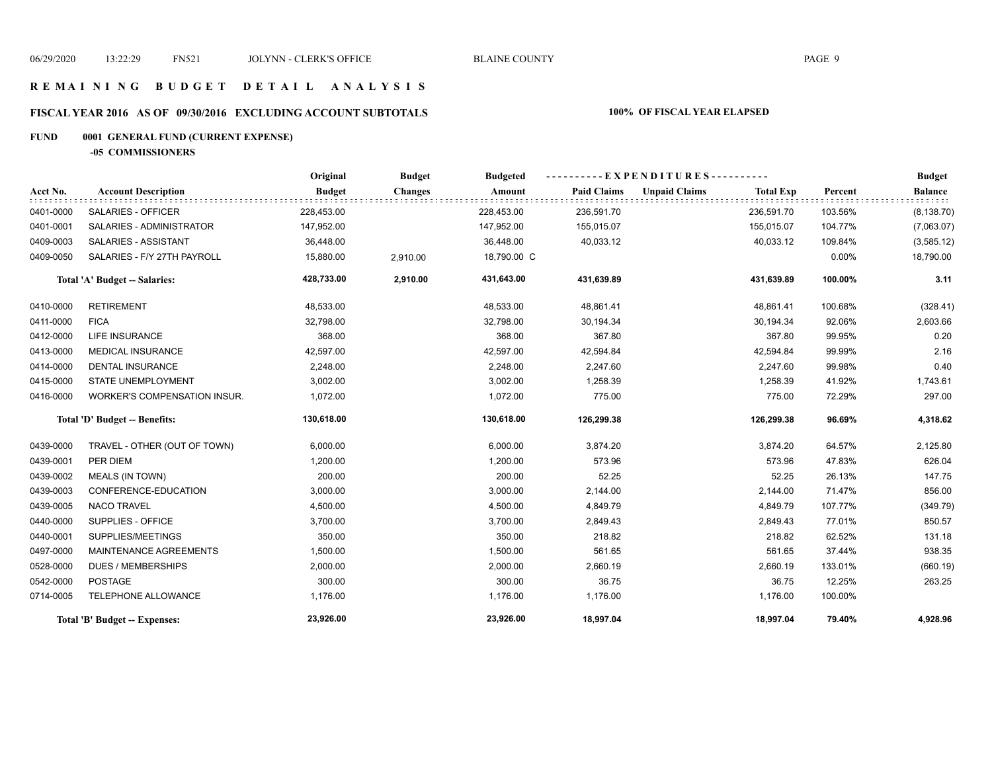#### **R E M A I N I N G B U D G E T D E T A I L A N A L Y S I S**

# **FISCAL YEAR 2016 AS OF 09/30/2016 EXCLUDING ACCOUNT SUBTOTALS 100% OF FISCAL YEAR ELAPSED**

# **FUND 0001 GENERAL FUND (CURRENT EXPENSE)**

**-05 COMMISSIONERS**

|           |                                     | Original      | <b>Budget</b><br><b>Budgeted</b> |             |                    |                      | <b>Budget</b>    |         |                |
|-----------|-------------------------------------|---------------|----------------------------------|-------------|--------------------|----------------------|------------------|---------|----------------|
| Acct No.  | <b>Account Description</b>          | <b>Budget</b> | <b>Changes</b>                   | Amount      | <b>Paid Claims</b> | <b>Unpaid Claims</b> | <b>Total Exp</b> | Percent | <b>Balance</b> |
| 0401-0000 | <b>SALARIES - OFFICER</b>           | 228,453.00    |                                  | 228,453.00  | 236,591.70         |                      | 236,591.70       | 103.56% | (8, 138.70)    |
| 0401-0001 | SALARIES - ADMINISTRATOR            | 147,952.00    |                                  | 147,952.00  | 155,015.07         |                      | 155,015.07       | 104.77% | (7,063.07)     |
| 0409-0003 | SALARIES - ASSISTANT                | 36,448.00     |                                  | 36,448.00   | 40,033.12          |                      | 40,033.12        | 109.84% | (3,585.12)     |
| 0409-0050 | SALARIES - F/Y 27TH PAYROLL         | 15,880.00     | 2,910.00                         | 18,790.00 C |                    |                      |                  | 0.00%   | 18,790.00      |
|           | Total 'A' Budget -- Salaries:       | 428,733.00    | 2,910.00                         | 431,643.00  | 431,639.89         |                      | 431,639.89       | 100.00% | 3.11           |
| 0410-0000 | <b>RETIREMENT</b>                   | 48,533.00     |                                  | 48,533.00   | 48,861.41          |                      | 48,861.41        | 100.68% | (328.41)       |
| 0411-0000 | <b>FICA</b>                         | 32,798.00     |                                  | 32,798.00   | 30,194.34          |                      | 30,194.34        | 92.06%  | 2,603.66       |
| 0412-0000 | <b>LIFE INSURANCE</b>               | 368.00        |                                  | 368.00      | 367.80             |                      | 367.80           | 99.95%  | 0.20           |
| 0413-0000 | <b>MEDICAL INSURANCE</b>            | 42,597.00     |                                  | 42,597.00   | 42,594.84          |                      | 42,594.84        | 99.99%  | 2.16           |
| 0414-0000 | <b>DENTAL INSURANCE</b>             | 2,248.00      |                                  | 2,248.00    | 2,247.60           |                      | 2,247.60         | 99.98%  | 0.40           |
| 0415-0000 | STATE UNEMPLOYMENT                  | 3,002.00      |                                  | 3,002.00    | 1,258.39           |                      | 1,258.39         | 41.92%  | 1,743.61       |
| 0416-0000 | <b>WORKER'S COMPENSATION INSUR.</b> | 1,072.00      |                                  | 1,072.00    | 775.00             |                      | 775.00           | 72.29%  | 297.00         |
|           | Total 'D' Budget -- Benefits:       | 130,618.00    |                                  | 130,618.00  | 126,299.38         |                      | 126,299.38       | 96.69%  | 4,318.62       |
| 0439-0000 | TRAVEL - OTHER (OUT OF TOWN)        | 6,000.00      |                                  | 6,000.00    | 3,874.20           |                      | 3,874.20         | 64.57%  | 2,125.80       |
| 0439-0001 | PER DIEM                            | 1,200.00      |                                  | 1,200.00    | 573.96             |                      | 573.96           | 47.83%  | 626.04         |
| 0439-0002 | <b>MEALS (IN TOWN)</b>              | 200.00        |                                  | 200.00      | 52.25              |                      | 52.25            | 26.13%  | 147.75         |
| 0439-0003 | CONFERENCE-EDUCATION                | 3,000.00      |                                  | 3,000.00    | 2,144.00           |                      | 2,144.00         | 71.47%  | 856.00         |
| 0439-0005 | <b>NACO TRAVEL</b>                  | 4,500.00      |                                  | 4,500.00    | 4,849.79           |                      | 4,849.79         | 107.77% | (349.79)       |
| 0440-0000 | SUPPLIES - OFFICE                   | 3,700.00      |                                  | 3,700.00    | 2,849.43           |                      | 2,849.43         | 77.01%  | 850.57         |
| 0440-0001 | SUPPLIES/MEETINGS                   | 350.00        |                                  | 350.00      | 218.82             |                      | 218.82           | 62.52%  | 131.18         |
| 0497-0000 | <b>MAINTENANCE AGREEMENTS</b>       | 1,500.00      |                                  | 1,500.00    | 561.65             |                      | 561.65           | 37.44%  | 938.35         |
| 0528-0000 | <b>DUES / MEMBERSHIPS</b>           | 2,000.00      |                                  | 2,000.00    | 2,660.19           |                      | 2,660.19         | 133.01% | (660.19)       |
| 0542-0000 | <b>POSTAGE</b>                      | 300.00        |                                  | 300.00      | 36.75              |                      | 36.75            | 12.25%  | 263.25         |
| 0714-0005 | TELEPHONE ALLOWANCE                 | 1,176.00      |                                  | 1,176.00    | 1,176.00           |                      | 1,176.00         | 100.00% |                |
|           | Total 'B' Budget -- Expenses:       | 23,926.00     |                                  | 23,926.00   | 18,997.04          |                      | 18,997.04        | 79.40%  | 4,928.96       |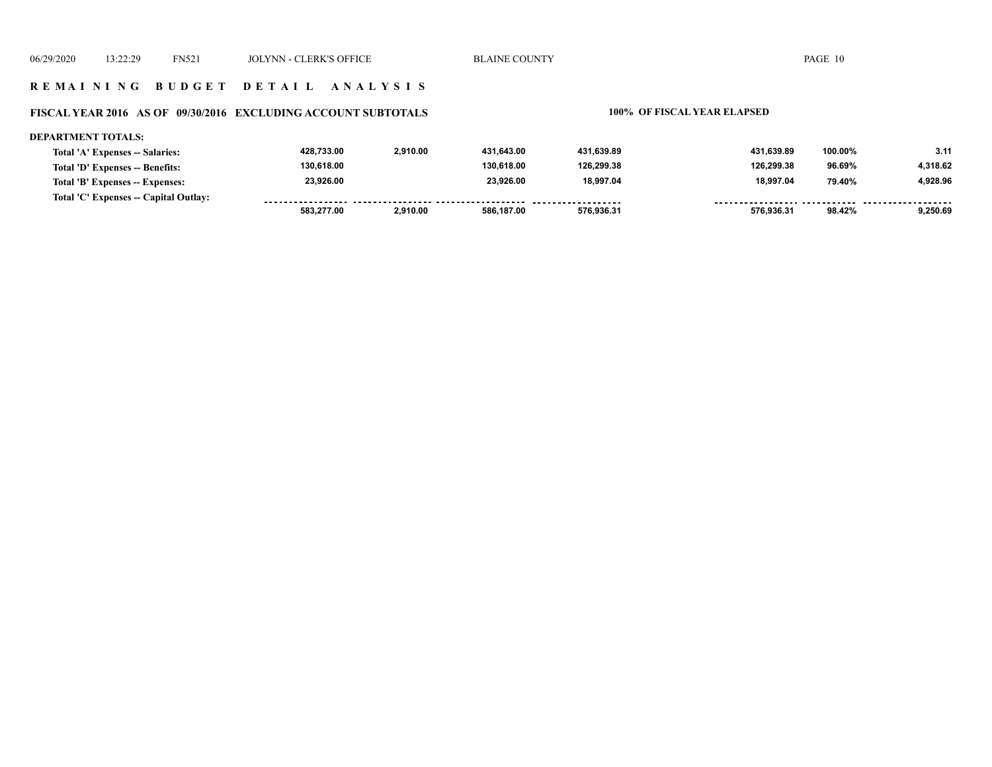#### **R E M A I N I N G B U D G E T D E T A I L A N A L Y S I S**

#### **FISCAL YEAR 2016 AS OF 09/30/2016 EXCLUDING ACCOUNT SUBTOTALS 100% OF FISCAL YEAR ELAPSED**

#### **DEPARTMENT TOTALS: 428,733.00 2,910.00 431,643.00 431,639.89 431,639.89 100.00% 3.11 Total 'A' Expenses -- Salaries: 130,618.00 130,618.00 126,299.38 126,299.38 4,318.62 Total 'D' Expenses -- Benefits: 96.69% 23,926.00 23,926.00 18,997.04 18,997.04 4,928.96 Total 'B' Expenses -- Expenses: 79.40% Total 'C' Expenses -- Capital Outlay:** ................. .......... ................... . . . . . . . . <u>-------- ------</u> ------- -------- **583,277.00 2,910.00 586,187.00 576,936.31 576,936.31 98.42% 9,250.69**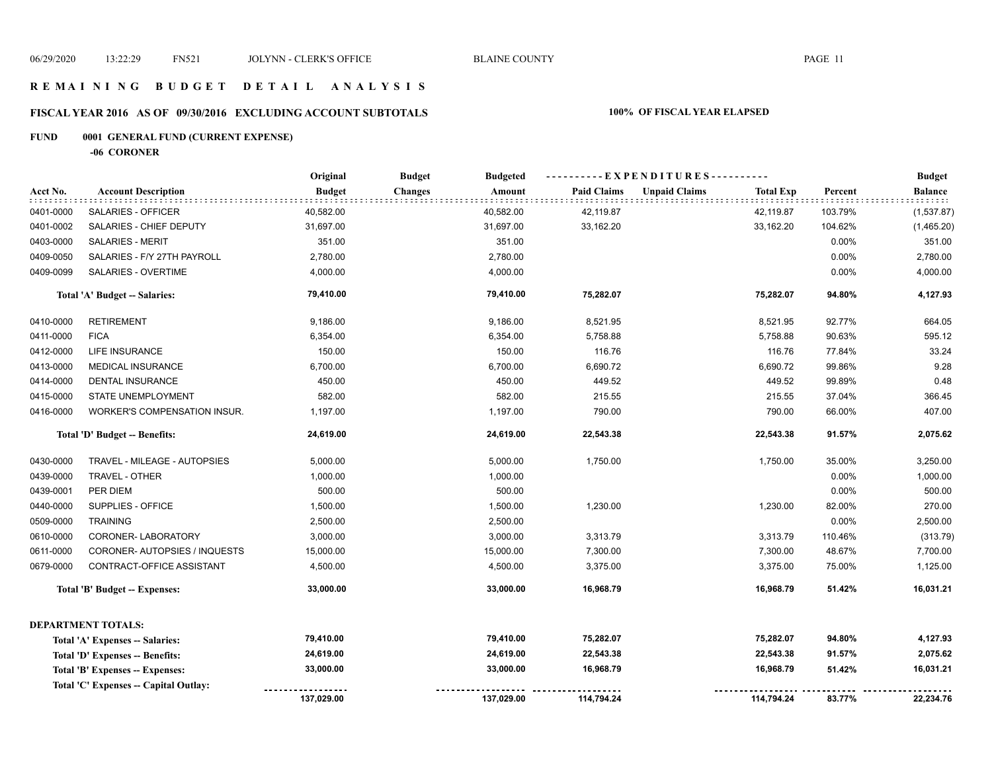### **R E M A I N I N G B U D G E T D E T A I L A N A L Y S I S**

# **FISCAL YEAR 2016 AS OF 09/30/2016 EXCLUDING ACCOUNT SUBTOTALS 100% OF FISCAL YEAR ELAPSED**

# **FUND 0001 GENERAL FUND (CURRENT EXPENSE)**

**-06 CORONER**

|           |                                       | Original      | <b>Budget</b>  | <b>Budgeted</b> |                    | ----------EXPENDITURES---------- |                  |         | <b>Budget</b>  |
|-----------|---------------------------------------|---------------|----------------|-----------------|--------------------|----------------------------------|------------------|---------|----------------|
| Acct No.  | <b>Account Description</b>            | <b>Budget</b> | <b>Changes</b> | Amount          | <b>Paid Claims</b> | <b>Unpaid Claims</b>             | <b>Total Exp</b> | Percent | <b>Balance</b> |
| 0401-0000 | SALARIES - OFFICER                    | 40,582.00     |                | 40,582.00       | 42,119.87          |                                  | 42,119.87        | 103.79% | (1,537.87)     |
| 0401-0002 | SALARIES - CHIEF DEPUTY               | 31,697.00     |                | 31,697.00       | 33,162.20          |                                  | 33,162.20        | 104.62% | (1,465.20)     |
| 0403-0000 | <b>SALARIES - MERIT</b>               | 351.00        |                | 351.00          |                    |                                  |                  | 0.00%   | 351.00         |
| 0409-0050 | SALARIES - F/Y 27TH PAYROLL           | 2,780.00      |                | 2,780.00        |                    |                                  |                  | 0.00%   | 2,780.00       |
| 0409-0099 | SALARIES - OVERTIME                   | 4,000.00      |                | 4,000.00        |                    |                                  |                  | 0.00%   | 4,000.00       |
|           | Total 'A' Budget -- Salaries:         | 79,410.00     |                | 79,410.00       | 75,282.07          |                                  | 75,282.07        | 94.80%  | 4,127.93       |
| 0410-0000 | <b>RETIREMENT</b>                     | 9,186.00      |                | 9,186.00        | 8,521.95           |                                  | 8,521.95         | 92.77%  | 664.05         |
| 0411-0000 | <b>FICA</b>                           | 6,354.00      |                | 6,354.00        | 5,758.88           |                                  | 5,758.88         | 90.63%  | 595.12         |
| 0412-0000 | LIFE INSURANCE                        | 150.00        |                | 150.00          | 116.76             |                                  | 116.76           | 77.84%  | 33.24          |
| 0413-0000 | <b>MEDICAL INSURANCE</b>              | 6,700.00      |                | 6,700.00        | 6,690.72           |                                  | 6,690.72         | 99.86%  | 9.28           |
| 0414-0000 | <b>DENTAL INSURANCE</b>               | 450.00        |                | 450.00          | 449.52             |                                  | 449.52           | 99.89%  | 0.48           |
| 0415-0000 | STATE UNEMPLOYMENT                    | 582.00        |                | 582.00          | 215.55             |                                  | 215.55           | 37.04%  | 366.45         |
| 0416-0000 | <b>WORKER'S COMPENSATION INSUR.</b>   | 1,197.00      |                | 1,197.00        | 790.00             |                                  | 790.00           | 66.00%  | 407.00         |
|           | Total 'D' Budget -- Benefits:         | 24,619.00     |                | 24,619.00       | 22,543.38          |                                  | 22,543.38        | 91.57%  | 2,075.62       |
| 0430-0000 | TRAVEL - MILEAGE - AUTOPSIES          | 5,000.00      |                | 5,000.00        | 1,750.00           |                                  | 1,750.00         | 35.00%  | 3,250.00       |
| 0439-0000 | TRAVEL - OTHER                        | 1,000.00      |                | 1,000.00        |                    |                                  |                  | 0.00%   | 1,000.00       |
| 0439-0001 | PER DIEM                              | 500.00        |                | 500.00          |                    |                                  |                  | 0.00%   | 500.00         |
| 0440-0000 | SUPPLIES - OFFICE                     | 1,500.00      |                | 1,500.00        | 1,230.00           |                                  | 1,230.00         | 82.00%  | 270.00         |
| 0509-0000 | <b>TRAINING</b>                       | 2,500.00      |                | 2,500.00        |                    |                                  |                  | 0.00%   | 2,500.00       |
| 0610-0000 | CORONER-LABORATORY                    | 3,000.00      |                | 3,000.00        | 3,313.79           |                                  | 3,313.79         | 110.46% | (313.79)       |
| 0611-0000 | CORONER-AUTOPSIES / INQUESTS          | 15,000.00     |                | 15,000.00       | 7,300.00           |                                  | 7,300.00         | 48.67%  | 7,700.00       |
| 0679-0000 | CONTRACT-OFFICE ASSISTANT             | 4,500.00      |                | 4,500.00        | 3,375.00           |                                  | 3,375.00         | 75.00%  | 1,125.00       |
|           | Total 'B' Budget -- Expenses:         | 33,000.00     |                | 33,000.00       | 16,968.79          |                                  | 16,968.79        | 51.42%  | 16,031.21      |
|           | <b>DEPARTMENT TOTALS:</b>             |               |                |                 |                    |                                  |                  |         |                |
|           | Total 'A' Expenses -- Salaries:       | 79,410.00     |                | 79,410.00       | 75,282.07          |                                  | 75,282.07        | 94.80%  | 4,127.93       |
|           | Total 'D' Expenses -- Benefits:       | 24,619.00     |                | 24,619.00       | 22,543.38          |                                  | 22,543.38        | 91.57%  | 2,075.62       |
|           | Total 'B' Expenses -- Expenses:       | 33,000.00     |                | 33,000.00       | 16,968.79          |                                  | 16,968.79        | 51.42%  | 16,031.21      |
|           | Total 'C' Expenses -- Capital Outlay: |               |                |                 |                    |                                  |                  |         |                |
|           |                                       | 137,029.00    |                | 137,029.00      | 114,794.24         |                                  | 114,794.24       | 83.77%  | 22,234.76      |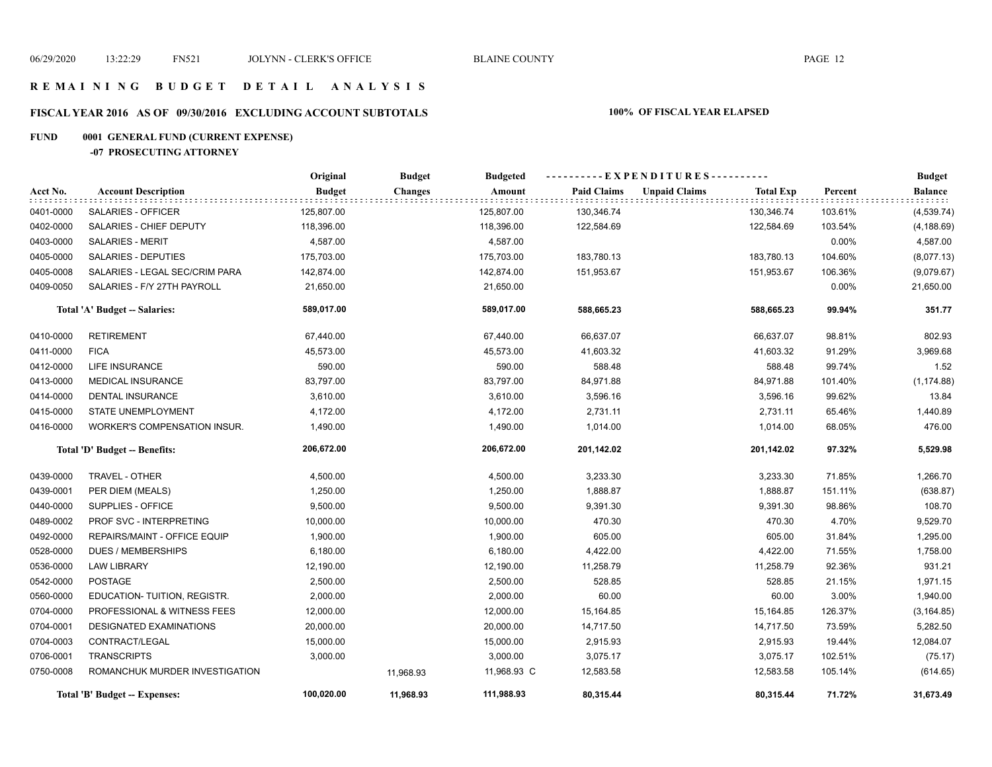#### **R E M A I N I N G B U D G E T D E T A I L A N A L Y S I S**

# **FISCAL YEAR 2016 AS OF 09/30/2016 EXCLUDING ACCOUNT SUBTOTALS 100% OF FISCAL YEAR ELAPSED**

#### **FUND 0001 GENERAL FUND (CURRENT EXPENSE)**

**-07 PROSECUTING ATTORNEY**

|           |                                | Original      | <b>Budget</b>  | <b>Budgeted</b> |                    | ----------EXPENDITURES---------- |                  |         | <b>Budget</b>  |
|-----------|--------------------------------|---------------|----------------|-----------------|--------------------|----------------------------------|------------------|---------|----------------|
| Acct No.  | <b>Account Description</b>     | <b>Budget</b> | <b>Changes</b> | Amount          | <b>Paid Claims</b> | <b>Unpaid Claims</b>             | <b>Total Exp</b> | Percent | <b>Balance</b> |
| 0401-0000 | SALARIES - OFFICER             | 125,807.00    |                | 125,807.00      | 130,346.74         |                                  | 130,346.74       | 103.61% | (4,539.74)     |
| 0402-0000 | SALARIES - CHIEF DEPUTY        | 118,396.00    |                | 118,396.00      | 122,584.69         |                                  | 122,584.69       | 103.54% | (4, 188.69)    |
| 0403-0000 | <b>SALARIES - MERIT</b>        | 4,587.00      |                | 4,587.00        |                    |                                  |                  | 0.00%   | 4,587.00       |
| 0405-0000 | SALARIES - DEPUTIES            | 175,703.00    |                | 175,703.00      | 183,780.13         |                                  | 183,780.13       | 104.60% | (8,077.13)     |
| 0405-0008 | SALARIES - LEGAL SEC/CRIM PARA | 142,874.00    |                | 142,874.00      | 151,953.67         |                                  | 151,953.67       | 106.36% | (9,079.67)     |
| 0409-0050 | SALARIES - F/Y 27TH PAYROLL    | 21,650.00     |                | 21,650.00       |                    |                                  |                  | 0.00%   | 21,650.00      |
|           | Total 'A' Budget -- Salaries:  | 589,017.00    |                | 589,017.00      | 588,665.23         |                                  | 588,665.23       | 99.94%  | 351.77         |
| 0410-0000 | <b>RETIREMENT</b>              | 67,440.00     |                | 67,440.00       | 66,637.07          |                                  | 66,637.07        | 98.81%  | 802.93         |
| 0411-0000 | <b>FICA</b>                    | 45,573.00     |                | 45,573.00       | 41,603.32          |                                  | 41,603.32        | 91.29%  | 3,969.68       |
| 0412-0000 | <b>LIFE INSURANCE</b>          | 590.00        |                | 590.00          | 588.48             |                                  | 588.48           | 99.74%  | 1.52           |
| 0413-0000 | <b>MEDICAL INSURANCE</b>       | 83,797.00     |                | 83,797.00       | 84,971.88          |                                  | 84,971.88        | 101.40% | (1, 174.88)    |
| 0414-0000 | <b>DENTAL INSURANCE</b>        | 3,610.00      |                | 3,610.00        | 3,596.16           |                                  | 3,596.16         | 99.62%  | 13.84          |
| 0415-0000 | STATE UNEMPLOYMENT             | 4,172.00      |                | 4,172.00        | 2,731.11           |                                  | 2,731.11         | 65.46%  | 1,440.89       |
| 0416-0000 | WORKER'S COMPENSATION INSUR.   | 1,490.00      |                | 1,490.00        | 1,014.00           |                                  | 1,014.00         | 68.05%  | 476.00         |
|           | Total 'D' Budget -- Benefits:  | 206,672.00    |                | 206,672.00      | 201,142.02         |                                  | 201,142.02       | 97.32%  | 5,529.98       |
| 0439-0000 | TRAVEL - OTHER                 | 4,500.00      |                | 4,500.00        | 3,233.30           |                                  | 3,233.30         | 71.85%  | 1,266.70       |
| 0439-0001 | PER DIEM (MEALS)               | 1,250.00      |                | 1,250.00        | 1,888.87           |                                  | 1,888.87         | 151.11% | (638.87)       |
| 0440-0000 | SUPPLIES - OFFICE              | 9,500.00      |                | 9,500.00        | 9,391.30           |                                  | 9,391.30         | 98.86%  | 108.70         |
| 0489-0002 | PROF SVC - INTERPRETING        | 10,000.00     |                | 10,000.00       | 470.30             |                                  | 470.30           | 4.70%   | 9,529.70       |
| 0492-0000 | REPAIRS/MAINT - OFFICE EQUIP   | 1,900.00      |                | 1,900.00        | 605.00             |                                  | 605.00           | 31.84%  | 1,295.00       |
| 0528-0000 | <b>DUES / MEMBERSHIPS</b>      | 6,180.00      |                | 6,180.00        | 4,422.00           |                                  | 4,422.00         | 71.55%  | 1,758.00       |
| 0536-0000 | <b>LAW LIBRARY</b>             | 12,190.00     |                | 12,190.00       | 11,258.79          |                                  | 11,258.79        | 92.36%  | 931.21         |
| 0542-0000 | <b>POSTAGE</b>                 | 2,500.00      |                | 2,500.00        | 528.85             |                                  | 528.85           | 21.15%  | 1,971.15       |
| 0560-0000 | EDUCATION-TUITION, REGISTR.    | 2,000.00      |                | 2,000.00        | 60.00              |                                  | 60.00            | 3.00%   | 1,940.00       |
| 0704-0000 | PROFESSIONAL & WITNESS FEES    | 12,000.00     |                | 12,000.00       | 15,164.85          |                                  | 15,164.85        | 126.37% | (3, 164.85)    |
| 0704-0001 | <b>DESIGNATED EXAMINATIONS</b> | 20,000.00     |                | 20,000.00       | 14,717.50          |                                  | 14,717.50        | 73.59%  | 5,282.50       |
| 0704-0003 | CONTRACT/LEGAL                 | 15,000.00     |                | 15,000.00       | 2,915.93           |                                  | 2,915.93         | 19.44%  | 12,084.07      |
| 0706-0001 | <b>TRANSCRIPTS</b>             | 3,000.00      |                | 3,000.00        | 3,075.17           |                                  | 3,075.17         | 102.51% | (75.17)        |
| 0750-0008 | ROMANCHUK MURDER INVESTIGATION |               | 11,968.93      | 11,968.93 C     | 12,583.58          |                                  | 12,583.58        | 105.14% | (614.65)       |
|           | Total 'B' Budget -- Expenses:  | 100,020.00    | 11,968.93      | 111,988.93      | 80,315.44          |                                  | 80,315.44        | 71.72%  | 31,673.49      |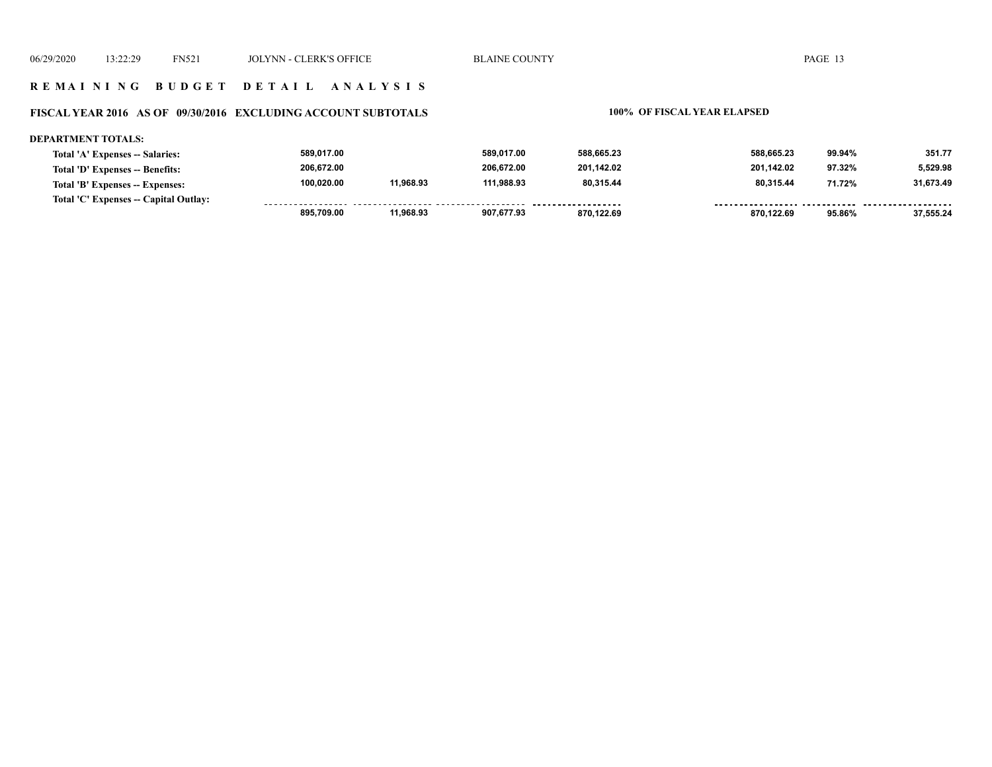### **R E M A I N I N G B U D G E T D E T A I L A N A L Y S I S**

#### **FISCAL YEAR 2016 AS OF 09/30/2016 EXCLUDING ACCOUNT SUBTOTALS 100% OF FISCAL YEAR ELAPSED**

| <b>DEPARTMENT TOTALS:</b>             |            |           |            |            |            |        |           |
|---------------------------------------|------------|-----------|------------|------------|------------|--------|-----------|
| Total 'A' Expenses -- Salaries:       | 589,017.00 |           | 589.017.00 | 588,665.23 | 588.665.23 | 99.94% | 351.77    |
| Total 'D' Expenses -- Benefits:       | 206,672.00 |           | 206.672.00 | 201,142.02 | 201.142.02 | 97.32% | 5.529.98  |
| Total 'B' Expenses -- Expenses:       | 100.020.00 | 11.968.93 | 111.988.93 | 80.315.44  | 80.315.44  | 71.72% | 31,673.49 |
| Total 'C' Expenses -- Capital Outlay: |            |           |            |            |            |        |           |
|                                       | 895.709.00 | 11.968.93 | 907.677.93 | 870.122.69 | 870.122.69 | 95.86% | 37.555.24 |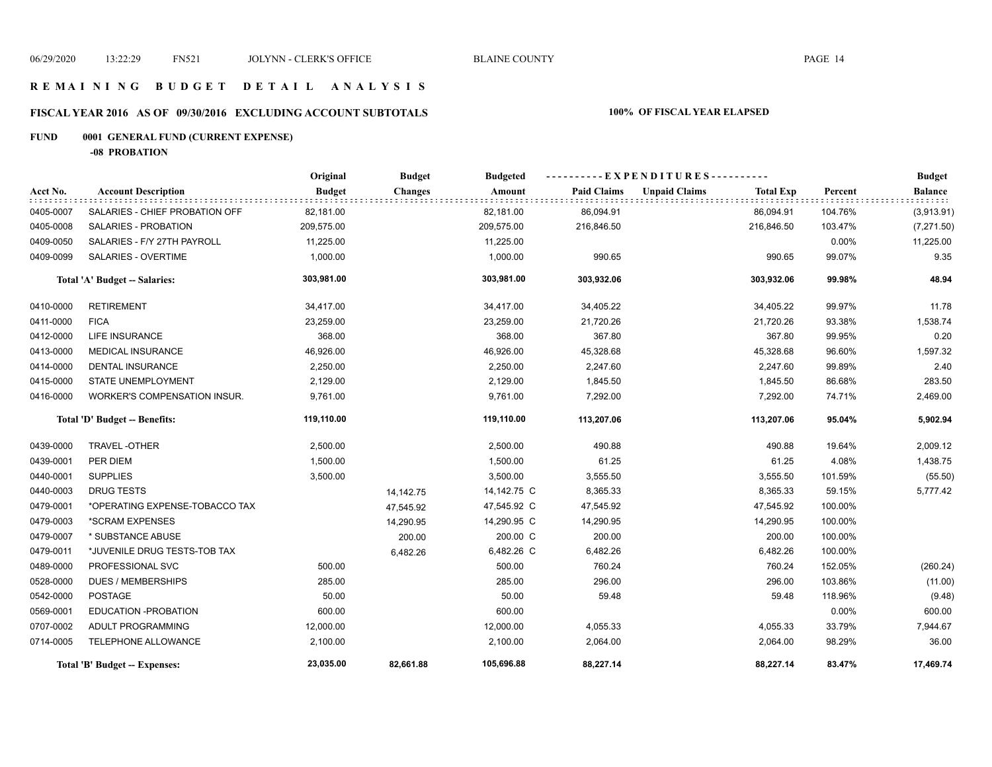### **R E M A I N I N G B U D G E T D E T A I L A N A L Y S I S**

# **FISCAL YEAR 2016 AS OF 09/30/2016 EXCLUDING ACCOUNT SUBTOTALS 100% OF FISCAL YEAR ELAPSED**

# **FUND 0001 GENERAL FUND (CURRENT EXPENSE)**

**-08 PROBATION**

|           |                                     | Original      | <b>Budget</b>  | <b>Budgeted</b> | ----------EXPENDITURES---------- |                      |                  |         | <b>Budget</b>  |
|-----------|-------------------------------------|---------------|----------------|-----------------|----------------------------------|----------------------|------------------|---------|----------------|
| Acct No.  | <b>Account Description</b>          | <b>Budget</b> | <b>Changes</b> | Amount          | <b>Paid Claims</b>               | <b>Unpaid Claims</b> | <b>Total Exp</b> | Percent | <b>Balance</b> |
| 0405-0007 | SALARIES - CHIEF PROBATION OFF      | 82,181.00     |                | 82,181.00       | 86,094.91                        |                      | 86,094.91        | 104.76% | (3,913.91)     |
| 0405-0008 | SALARIES - PROBATION                | 209,575.00    |                | 209,575.00      | 216,846.50                       |                      | 216,846.50       | 103.47% | (7,271.50)     |
| 0409-0050 | SALARIES - F/Y 27TH PAYROLL         | 11,225.00     |                | 11,225.00       |                                  |                      |                  | 0.00%   | 11,225.00      |
| 0409-0099 | <b>SALARIES - OVERTIME</b>          | 1,000.00      |                | 1,000.00        | 990.65                           |                      | 990.65           | 99.07%  | 9.35           |
|           | Total 'A' Budget -- Salaries:       | 303,981.00    |                | 303,981.00      | 303,932.06                       |                      | 303,932.06       | 99.98%  | 48.94          |
| 0410-0000 | <b>RETIREMENT</b>                   | 34,417.00     |                | 34,417.00       | 34,405.22                        |                      | 34,405.22        | 99.97%  | 11.78          |
| 0411-0000 | <b>FICA</b>                         | 23,259.00     |                | 23,259.00       | 21,720.26                        |                      | 21,720.26        | 93.38%  | 1,538.74       |
| 0412-0000 | <b>LIFE INSURANCE</b>               | 368.00        |                | 368.00          | 367.80                           |                      | 367.80           | 99.95%  | 0.20           |
| 0413-0000 | <b>MEDICAL INSURANCE</b>            | 46,926.00     |                | 46,926.00       | 45,328.68                        |                      | 45,328.68        | 96.60%  | 1,597.32       |
| 0414-0000 | DENTAL INSURANCE                    | 2,250.00      |                | 2,250.00        | 2,247.60                         |                      | 2,247.60         | 99.89%  | 2.40           |
| 0415-0000 | <b>STATE UNEMPLOYMENT</b>           | 2,129.00      |                | 2,129.00        | 1,845.50                         |                      | 1,845.50         | 86.68%  | 283.50         |
| 0416-0000 | <b>WORKER'S COMPENSATION INSUR.</b> | 9,761.00      |                | 9,761.00        | 7,292.00                         |                      | 7,292.00         | 74.71%  | 2,469.00       |
|           | Total 'D' Budget -- Benefits:       | 119,110.00    |                | 119,110.00      | 113,207.06                       |                      | 113,207.06       | 95.04%  | 5,902.94       |
| 0439-0000 | TRAVEL-OTHER                        | 2,500.00      |                | 2,500.00        | 490.88                           |                      | 490.88           | 19.64%  | 2,009.12       |
| 0439-0001 | PER DIEM                            | 1,500.00      |                | 1,500.00        | 61.25                            |                      | 61.25            | 4.08%   | 1,438.75       |
| 0440-0001 | <b>SUPPLIES</b>                     | 3,500.00      |                | 3,500.00        | 3,555.50                         |                      | 3,555.50         | 101.59% | (55.50)        |
| 0440-0003 | <b>DRUG TESTS</b>                   |               | 14,142.75      | 14,142.75 C     | 8,365.33                         |                      | 8,365.33         | 59.15%  | 5,777.42       |
| 0479-0001 | *OPERATING EXPENSE-TOBACCO TAX      |               | 47,545.92      | 47,545.92 C     | 47,545.92                        |                      | 47,545.92        | 100.00% |                |
| 0479-0003 | *SCRAM EXPENSES                     |               | 14,290.95      | 14,290.95 C     | 14,290.95                        |                      | 14,290.95        | 100.00% |                |
| 0479-0007 | * SUBSTANCE ABUSE                   |               | 200.00         | 200.00 C        | 200.00                           |                      | 200.00           | 100.00% |                |
| 0479-0011 | *JUVENILE DRUG TESTS-TOB TAX        |               | 6,482.26       | 6,482.26 C      | 6,482.26                         |                      | 6,482.26         | 100.00% |                |
| 0489-0000 | PROFESSIONAL SVC                    | 500.00        |                | 500.00          | 760.24                           |                      | 760.24           | 152.05% | (260.24)       |
| 0528-0000 | <b>DUES / MEMBERSHIPS</b>           | 285.00        |                | 285.00          | 296.00                           |                      | 296.00           | 103.86% | (11.00)        |
| 0542-0000 | <b>POSTAGE</b>                      | 50.00         |                | 50.00           | 59.48                            |                      | 59.48            | 118.96% | (9.48)         |
| 0569-0001 | EDUCATION - PROBATION               | 600.00        |                | 600.00          |                                  |                      |                  | 0.00%   | 600.00         |
| 0707-0002 | ADULT PROGRAMMING                   | 12,000.00     |                | 12,000.00       | 4,055.33                         |                      | 4,055.33         | 33.79%  | 7,944.67       |
| 0714-0005 | TELEPHONE ALLOWANCE                 | 2,100.00      |                | 2,100.00        | 2,064.00                         |                      | 2,064.00         | 98.29%  | 36.00          |
|           | Total 'B' Budget -- Expenses:       | 23,035.00     | 82,661.88      | 105,696.88      | 88,227.14                        |                      | 88,227.14        | 83.47%  | 17,469.74      |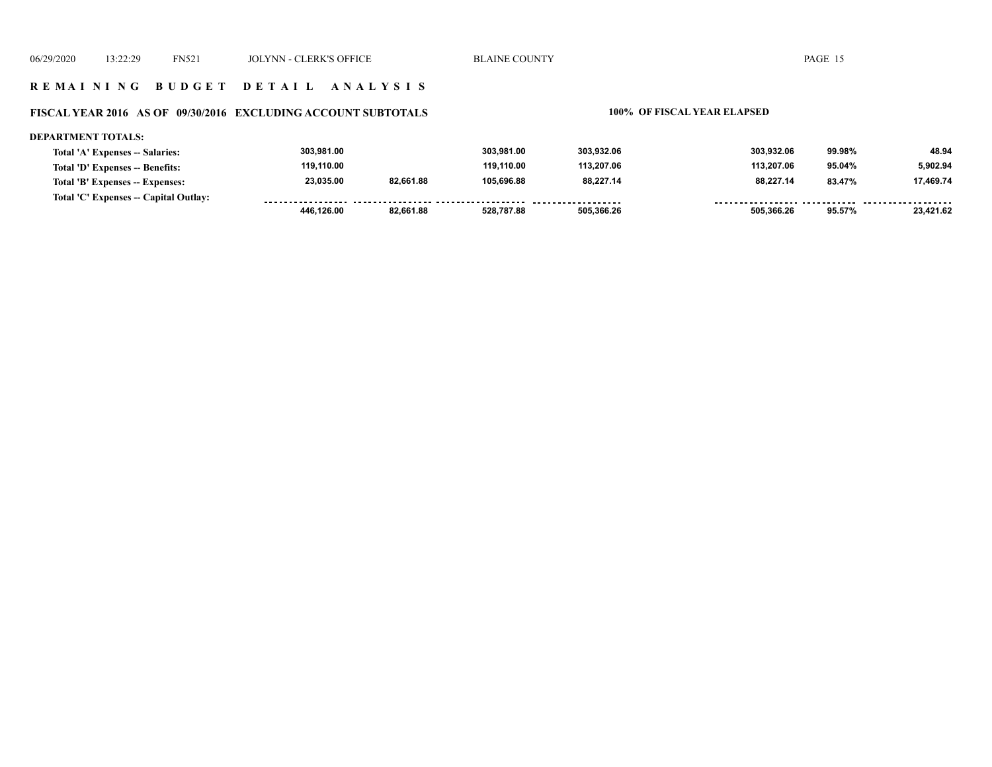#### **R E M A I N I N G B U D G E T D E T A I L A N A L Y S I S**

### **FISCAL YEAR 2016 AS OF 09/30/2016 EXCLUDING ACCOUNT SUBTOTALS 100% OF FISCAL YEAR ELAPSED**

| <b>DEPARTMENT TOTALS:</b>             |            |           |            |            |            |        |           |
|---------------------------------------|------------|-----------|------------|------------|------------|--------|-----------|
| Total 'A' Expenses -- Salaries:       | 303,981.00 |           | 303.981.00 | 303,932.06 | 303.932.06 | 99.98% | 48.94     |
| Total 'D' Expenses -- Benefits:       | 119.110.00 |           | 119.110.00 | 113.207.06 | 113.207.06 | 95.04% | 5.902.94  |
| Total 'B' Expenses -- Expenses:       | 23,035.00  | 82,661.88 | 105.696.88 | 88.227.14  | 88.227.14  | 83.47% | 17.469.74 |
| Total 'C' Expenses -- Capital Outlay: |            |           |            |            |            |        |           |
|                                       | 446,126.00 | 82,661.88 | 528,787.88 | 505,366.26 | 505.366.26 | 95.57% | 23.421.62 |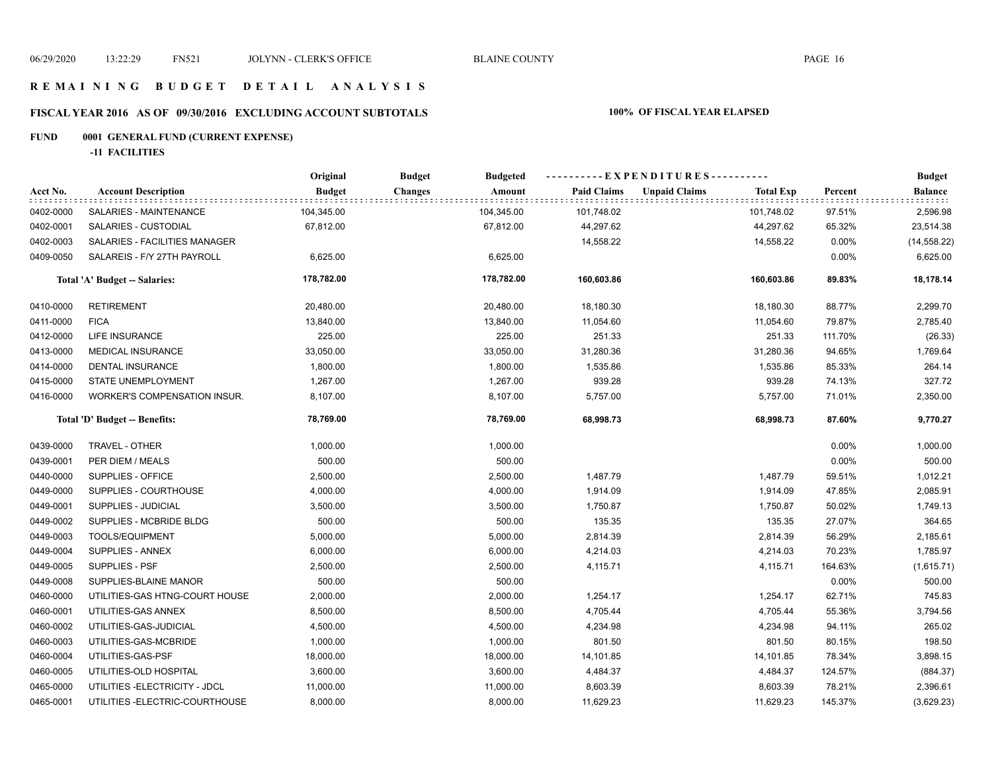### **R E M A I N I N G B U D G E T D E T A I L A N A L Y S I S**

# **FISCAL YEAR 2016 AS OF 09/30/2016 EXCLUDING ACCOUNT SUBTOTALS 100% OF FISCAL YEAR ELAPSED**

# **FUND 0001 GENERAL FUND (CURRENT EXPENSE)**

**-11 FACILITIES**

|           |                                     | Original      | <b>Budget</b><br><b>Budgeted</b> |                    | ----------EXPENDITURES----------         |         | <b>Budget</b><br><b>Balance</b> |
|-----------|-------------------------------------|---------------|----------------------------------|--------------------|------------------------------------------|---------|---------------------------------|
| Acct No.  | <b>Account Description</b>          | <b>Budget</b> | <b>Changes</b><br>Amount         | <b>Paid Claims</b> | <b>Unpaid Claims</b><br><b>Total Exp</b> | Percent |                                 |
| 0402-0000 | <b>SALARIES - MAINTENANCE</b>       | 104,345.00    | 104,345.00                       | 101,748.02         | 101,748.02                               | 97.51%  | 2,596.98                        |
| 0402-0001 | SALARIES - CUSTODIAL                | 67,812.00     | 67,812.00                        | 44,297.62          | 44,297.62                                | 65.32%  | 23,514.38                       |
| 0402-0003 | SALARIES - FACILITIES MANAGER       |               |                                  | 14,558.22          | 14,558.22                                | 0.00%   | (14, 558.22)                    |
| 0409-0050 | SALAREIS - F/Y 27TH PAYROLL         | 6,625.00      | 6,625.00                         |                    |                                          | 0.00%   | 6,625.00                        |
|           | Total 'A' Budget -- Salaries:       | 178,782.00    | 178,782.00                       | 160,603.86         | 160,603.86                               | 89.83%  | 18,178.14                       |
| 0410-0000 | <b>RETIREMENT</b>                   | 20,480.00     | 20,480.00                        | 18,180.30          | 18,180.30                                | 88.77%  | 2,299.70                        |
| 0411-0000 | <b>FICA</b>                         | 13,840.00     | 13,840.00                        | 11,054.60          | 11,054.60                                | 79.87%  | 2,785.40                        |
| 0412-0000 | <b>LIFE INSURANCE</b>               | 225.00        | 225.00                           | 251.33             | 251.33                                   | 111.70% | (26.33)                         |
| 0413-0000 | <b>MEDICAL INSURANCE</b>            | 33,050.00     | 33,050.00                        | 31,280.36          | 31,280.36                                | 94.65%  | 1,769.64                        |
| 0414-0000 | <b>DENTAL INSURANCE</b>             | 1,800.00      | 1,800.00                         | 1,535.86           | 1,535.86                                 | 85.33%  | 264.14                          |
| 0415-0000 | STATE UNEMPLOYMENT                  | 1,267.00      | 1,267.00                         | 939.28             | 939.28                                   | 74.13%  | 327.72                          |
| 0416-0000 | <b>WORKER'S COMPENSATION INSUR.</b> | 8,107.00      | 8,107.00                         | 5,757.00           | 5,757.00                                 | 71.01%  | 2,350.00                        |
|           | Total 'D' Budget -- Benefits:       | 78,769.00     | 78,769.00                        | 68,998.73          | 68,998.73                                | 87.60%  | 9,770.27                        |
| 0439-0000 | TRAVEL - OTHER                      | 1,000.00      | 1,000.00                         |                    |                                          | 0.00%   | 1,000.00                        |
| 0439-0001 | PER DIEM / MEALS                    | 500.00        | 500.00                           |                    |                                          | 0.00%   | 500.00                          |
| 0440-0000 | SUPPLIES - OFFICE                   | 2,500.00      | 2,500.00                         | 1,487.79           | 1,487.79                                 | 59.51%  | 1,012.21                        |
| 0449-0000 | SUPPLIES - COURTHOUSE               | 4,000.00      | 4,000.00                         | 1,914.09           | 1,914.09                                 | 47.85%  | 2,085.91                        |
| 0449-0001 | SUPPLIES - JUDICIAL                 | 3,500.00      | 3,500.00                         | 1,750.87           | 1,750.87                                 | 50.02%  | 1,749.13                        |
| 0449-0002 | SUPPLIES - MCBRIDE BLDG             | 500.00        | 500.00                           | 135.35             | 135.35                                   | 27.07%  | 364.65                          |
| 0449-0003 | TOOLS/EQUIPMENT                     | 5,000.00      | 5,000.00                         | 2,814.39           | 2,814.39                                 | 56.29%  | 2,185.61                        |
| 0449-0004 | SUPPLIES - ANNEX                    | 6,000.00      | 6,000.00                         | 4,214.03           | 4,214.03                                 | 70.23%  | 1,785.97                        |
| 0449-0005 | SUPPLIES - PSF                      | 2,500.00      | 2,500.00                         | 4,115.71           | 4,115.71                                 | 164.63% | (1,615.71)                      |
| 0449-0008 | SUPPLIES-BLAINE MANOR               | 500.00        | 500.00                           |                    |                                          | 0.00%   | 500.00                          |
| 0460-0000 | UTILITIES-GAS HTNG-COURT HOUSE      | 2,000.00      | 2,000.00                         | 1,254.17           | 1,254.17                                 | 62.71%  | 745.83                          |
| 0460-0001 | UTILITIES-GAS ANNEX                 | 8,500.00      | 8,500.00                         | 4,705.44           | 4,705.44                                 | 55.36%  | 3,794.56                        |
| 0460-0002 | UTILITIES-GAS-JUDICIAL              | 4,500.00      | 4,500.00                         | 4,234.98           | 4,234.98                                 | 94.11%  | 265.02                          |
| 0460-0003 | UTILITIES-GAS-MCBRIDE               | 1,000.00      | 1,000.00                         | 801.50             | 801.50                                   | 80.15%  | 198.50                          |
| 0460-0004 | UTILITIES-GAS-PSF                   | 18,000.00     | 18,000.00                        | 14,101.85          | 14,101.85                                | 78.34%  | 3,898.15                        |
| 0460-0005 | UTILITIES-OLD HOSPITAL              | 3,600.00      | 3,600.00                         | 4,484.37           | 4,484.37                                 | 124.57% | (884.37)                        |
| 0465-0000 | UTILITIES - ELECTRICITY - JDCL      | 11,000.00     | 11,000.00                        | 8,603.39           | 8,603.39                                 | 78.21%  | 2,396.61                        |
| 0465-0001 | UTILITIES - ELECTRIC-COURTHOUSE     | 8,000.00      | 8,000.00                         | 11,629.23          | 11,629.23                                | 145.37% | (3,629.23)                      |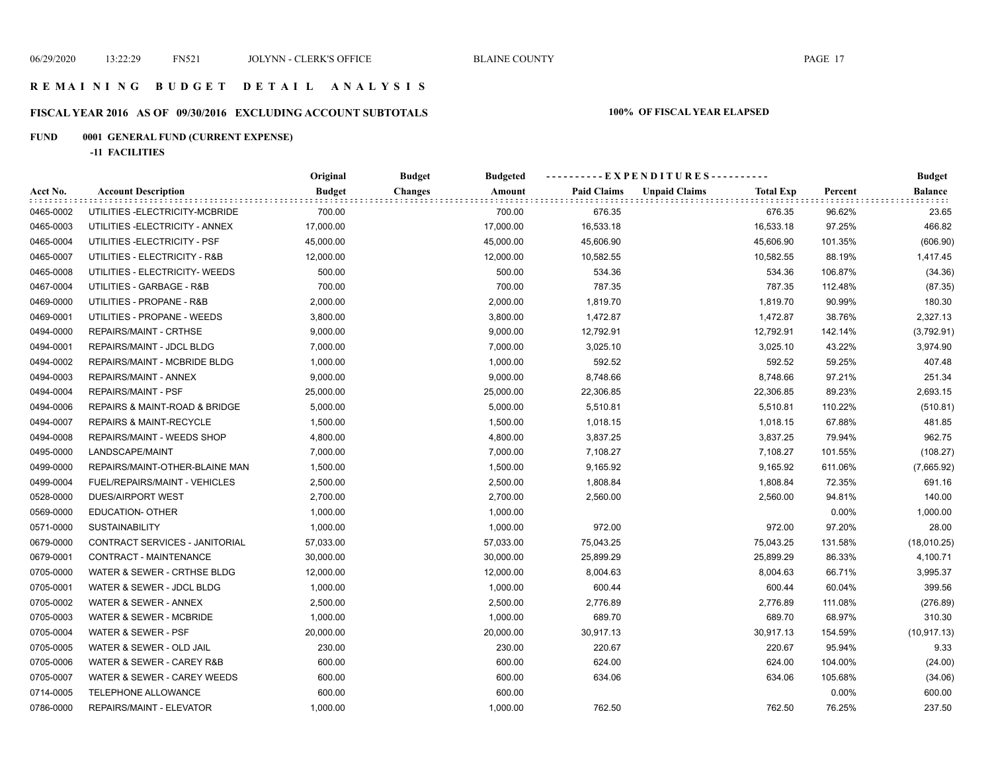#### **R E M A I N I N G B U D G E T D E T A I L A N A L Y S I S**

# **FISCAL YEAR 2016 AS OF 09/30/2016 EXCLUDING ACCOUNT SUBTOTALS 100% OF FISCAL YEAR ELAPSED**

# **FUND 0001 GENERAL FUND (CURRENT EXPENSE)**

**-11 FACILITIES**

|           |                                    | Original      | <b>Budget</b>  | <b>Budgeted</b> |                    |                      |                  |         | <b>Budget</b> |
|-----------|------------------------------------|---------------|----------------|-----------------|--------------------|----------------------|------------------|---------|---------------|
| Acct No.  | <b>Account Description</b>         | <b>Budget</b> | <b>Changes</b> | Amount          | <b>Paid Claims</b> | <b>Unpaid Claims</b> | <b>Total Exp</b> | Percent | Balance       |
| 0465-0002 | UTILITIES - ELECTRICITY-MCBRIDE    | 700.00        |                | 700.00          | 676.35             |                      | 676.35           | 96.62%  | 23.65         |
| 0465-0003 | UTILITIES - ELECTRICITY - ANNEX    | 17,000.00     |                | 17,000.00       | 16,533.18          |                      | 16,533.18        | 97.25%  | 466.82        |
| 0465-0004 | UTILITIES - ELECTRICITY - PSF      | 45,000.00     |                | 45,000.00       | 45,606.90          |                      | 45,606.90        | 101.35% | (606.90)      |
| 0465-0007 | UTILITIES - ELECTRICITY - R&B      | 12,000.00     |                | 12,000.00       | 10,582.55          |                      | 10,582.55        | 88.19%  | 1,417.45      |
| 0465-0008 | UTILITIES - ELECTRICITY- WEEDS     | 500.00        |                | 500.00          | 534.36             |                      | 534.36           | 106.87% | (34.36)       |
| 0467-0004 | UTILITIES - GARBAGE - R&B          | 700.00        |                | 700.00          | 787.35             |                      | 787.35           | 112.48% | (87.35)       |
| 0469-0000 | UTILITIES - PROPANE - R&B          | 2,000.00      |                | 2,000.00        | 1,819.70           |                      | 1,819.70         | 90.99%  | 180.30        |
| 0469-0001 | UTILITIES - PROPANE - WEEDS        | 3,800.00      |                | 3,800.00        | 1,472.87           |                      | 1,472.87         | 38.76%  | 2,327.13      |
| 0494-0000 | REPAIRS/MAINT - CRTHSE             | 9,000.00      |                | 9,000.00        | 12,792.91          |                      | 12,792.91        | 142.14% | (3,792.91)    |
| 0494-0001 | REPAIRS/MAINT - JDCL BLDG          | 7,000.00      |                | 7,000.00        | 3,025.10           |                      | 3,025.10         | 43.22%  | 3,974.90      |
| 0494-0002 | REPAIRS/MAINT - MCBRIDE BLDG       | 1,000.00      |                | 1,000.00        | 592.52             |                      | 592.52           | 59.25%  | 407.48        |
| 0494-0003 | REPAIRS/MAINT - ANNEX              | 9,000.00      |                | 9,000.00        | 8,748.66           |                      | 8,748.66         | 97.21%  | 251.34        |
| 0494-0004 | <b>REPAIRS/MAINT - PSF</b>         | 25,000.00     |                | 25,000.00       | 22,306.85          |                      | 22,306.85        | 89.23%  | 2,693.15      |
| 0494-0006 | REPAIRS & MAINT-ROAD & BRIDGE      | 5,000.00      |                | 5,000.00        | 5,510.81           |                      | 5,510.81         | 110.22% | (510.81)      |
| 0494-0007 | <b>REPAIRS &amp; MAINT-RECYCLE</b> | 1,500.00      |                | 1,500.00        | 1,018.15           |                      | 1,018.15         | 67.88%  | 481.85        |
| 0494-0008 | REPAIRS/MAINT - WEEDS SHOP         | 4,800.00      |                | 4,800.00        | 3,837.25           |                      | 3,837.25         | 79.94%  | 962.75        |
| 0495-0000 | LANDSCAPE/MAINT                    | 7,000.00      |                | 7,000.00        | 7,108.27           |                      | 7,108.27         | 101.55% | (108.27)      |
| 0499-0000 | REPAIRS/MAINT-OTHER-BLAINE MAN     | 1,500.00      |                | 1,500.00        | 9,165.92           |                      | 9,165.92         | 611.06% | (7,665.92)    |
| 0499-0004 | FUEL/REPAIRS/MAINT - VEHICLES      | 2,500.00      |                | 2,500.00        | 1,808.84           |                      | 1,808.84         | 72.35%  | 691.16        |
| 0528-0000 | DUES/AIRPORT WEST                  | 2,700.00      |                | 2,700.00        | 2,560.00           |                      | 2,560.00         | 94.81%  | 140.00        |
| 0569-0000 | <b>EDUCATION- OTHER</b>            | 1,000.00      |                | 1,000.00        |                    |                      |                  | 0.00%   | 1,000.00      |
| 0571-0000 | <b>SUSTAINABILITY</b>              | 1,000.00      |                | 1,000.00        | 972.00             |                      | 972.00           | 97.20%  | 28.00         |
| 0679-0000 | CONTRACT SERVICES - JANITORIAL     | 57,033.00     |                | 57,033.00       | 75,043.25          |                      | 75,043.25        | 131.58% | (18,010.25)   |
| 0679-0001 | CONTRACT - MAINTENANCE             | 30,000.00     |                | 30,000.00       | 25,899.29          |                      | 25,899.29        | 86.33%  | 4,100.71      |
| 0705-0000 | WATER & SEWER - CRTHSE BLDG        | 12,000.00     |                | 12,000.00       | 8,004.63           |                      | 8,004.63         | 66.71%  | 3,995.37      |
| 0705-0001 | WATER & SEWER - JDCL BLDG          | 1,000.00      |                | 1,000.00        | 600.44             |                      | 600.44           | 60.04%  | 399.56        |
| 0705-0002 | WATER & SEWER - ANNEX              | 2,500.00      |                | 2,500.00        | 2,776.89           |                      | 2,776.89         | 111.08% | (276.89)      |
| 0705-0003 | WATER & SEWER - MCBRIDE            | 1,000.00      |                | 1,000.00        | 689.70             |                      | 689.70           | 68.97%  | 310.30        |
| 0705-0004 | WATER & SEWER - PSF                | 20,000.00     |                | 20,000.00       | 30,917.13          |                      | 30,917.13        | 154.59% | (10, 917.13)  |
| 0705-0005 | WATER & SEWER - OLD JAIL           | 230.00        |                | 230.00          | 220.67             |                      | 220.67           | 95.94%  | 9.33          |
| 0705-0006 | WATER & SEWER - CAREY R&B          | 600.00        |                | 600.00          | 624.00             |                      | 624.00           | 104.00% | (24.00)       |
| 0705-0007 | WATER & SEWER - CAREY WEEDS        | 600.00        |                | 600.00          | 634.06             |                      | 634.06           | 105.68% | (34.06)       |
| 0714-0005 | TELEPHONE ALLOWANCE                | 600.00        |                | 600.00          |                    |                      |                  | 0.00%   | 600.00        |
| 0786-0000 | REPAIRS/MAINT - ELEVATOR           | 1,000.00      |                | 1,000.00        | 762.50             |                      | 762.50           | 76.25%  | 237.50        |
|           |                                    |               |                |                 |                    |                      |                  |         |               |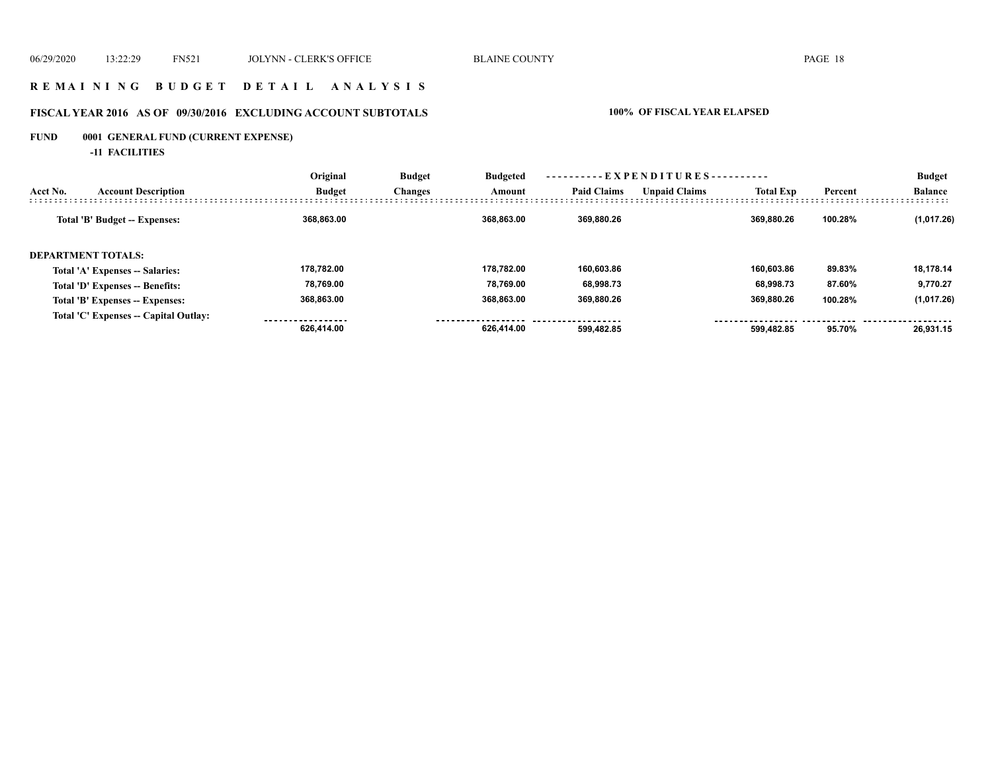### **R E M A I N I N G B U D G E T D E T A I L A N A L Y S I S**

# **FISCAL YEAR 2016 AS OF 09/30/2016 EXCLUDING ACCOUNT SUBTOTALS 100% OF FISCAL YEAR ELAPSED**

# **FUND 0001 GENERAL FUND (CURRENT EXPENSE)**

**-11 FACILITIES**

|                                        | Original      | <b>Budget</b>  | <b>Budgeted</b><br>Amount | --EXPENDITURES---------- |                      |                  |         | <b>Budget</b>  |  |
|----------------------------------------|---------------|----------------|---------------------------|--------------------------|----------------------|------------------|---------|----------------|--|
| Acct No.<br><b>Account Description</b> | <b>Budget</b> | <b>Changes</b> |                           | <b>Paid Claims</b>       | <b>Unpaid Claims</b> | <b>Total Exp</b> | Percent | <b>Balance</b> |  |
| Total 'B' Budget -- Expenses:          | 368.863.00    |                | 368.863.00                | 369.880.26               |                      | 369.880.26       | 100.28% | (1,017.26)     |  |
| <b>DEPARTMENT TOTALS:</b>              |               |                |                           |                          |                      |                  |         |                |  |
| Total 'A' Expenses -- Salaries:        | 178.782.00    |                | 178.782.00                | 160.603.86               |                      | 160.603.86       | 89.83%  | 18,178.14      |  |
| Total 'D' Expenses -- Benefits:        | 78.769.00     |                | 78.769.00                 | 68,998.73                |                      | 68.998.73        | 87.60%  | 9,770.27       |  |
| Total 'B' Expenses -- Expenses:        | 368,863.00    |                | 368.863.00                | 369,880.26               |                      | 369.880.26       | 100.28% | (1,017.26)     |  |
| Total 'C' Expenses -- Capital Outlay:  |               |                |                           |                          |                      |                  |         |                |  |
|                                        | 626,414.00    |                | 626.414.00                | 599.482.85               |                      | 599.482.85       | 95.70%  | 26.931.15      |  |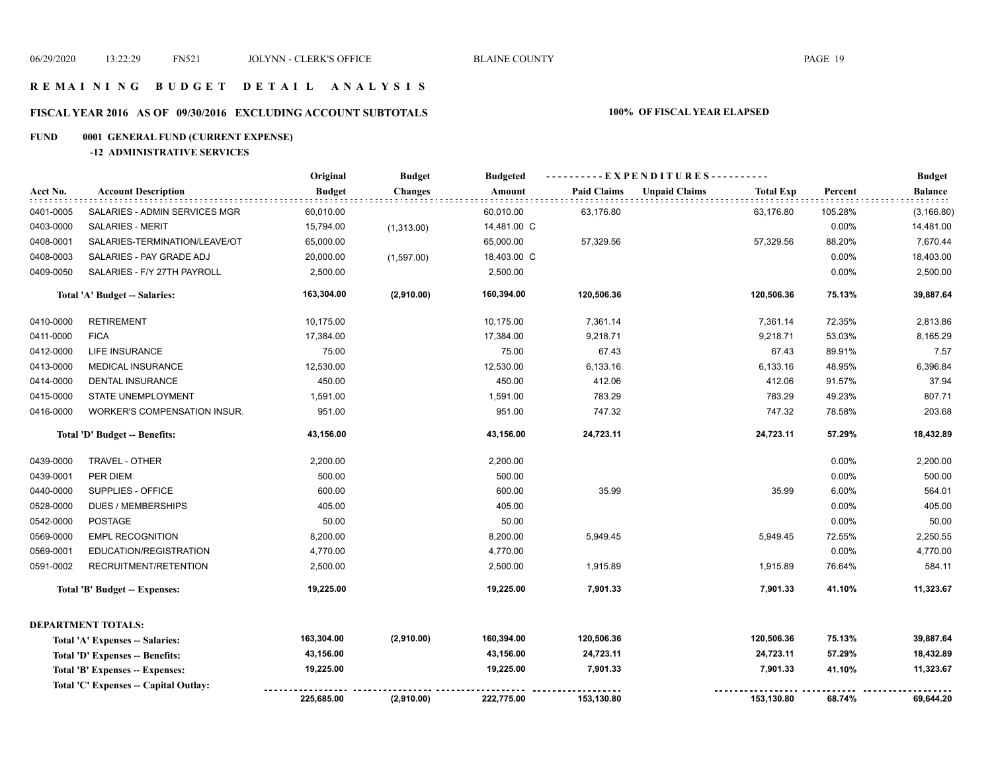#### **R E M A I N I N G B U D G E T D E T A I L A N A L Y S I S**

# **FISCAL YEAR 2016 AS OF 09/30/2016 EXCLUDING ACCOUNT SUBTOTALS 100% OF FISCAL YEAR ELAPSED**

# **FUND 0001 GENERAL FUND (CURRENT EXPENSE)**

#### **-12 ADMINISTRATIVE SERVICES**

|           |                                       | Original      | <b>Budget</b>  | <b>Budgeted</b> |                    |                      |                  |         | <b>Budget</b>  |
|-----------|---------------------------------------|---------------|----------------|-----------------|--------------------|----------------------|------------------|---------|----------------|
| Acct No.  | <b>Account Description</b>            | <b>Budget</b> | <b>Changes</b> | Amount          | <b>Paid Claims</b> | <b>Unpaid Claims</b> | <b>Total Exp</b> | Percent | <b>Balance</b> |
| 0401-0005 | SALARIES - ADMIN SERVICES MGR         | 60,010.00     |                | 60,010.00       | 63,176.80          |                      | 63,176.80        | 105.28% | (3, 166.80)    |
| 0403-0000 | <b>SALARIES - MERIT</b>               | 15,794.00     | (1,313.00)     | 14,481.00 C     |                    |                      |                  | 0.00%   | 14,481.00      |
| 0408-0001 | SALARIES-TERMINATION/LEAVE/OT         | 65,000.00     |                | 65,000.00       | 57,329.56          |                      | 57,329.56        | 88.20%  | 7,670.44       |
| 0408-0003 | SALARIES - PAY GRADE ADJ              | 20,000.00     | (1,597.00)     | 18,403.00 C     |                    |                      |                  | 0.00%   | 18,403.00      |
| 0409-0050 | SALARIES - F/Y 27TH PAYROLL           | 2,500.00      |                | 2,500.00        |                    |                      |                  | 0.00%   | 2,500.00       |
|           | Total 'A' Budget -- Salaries:         | 163,304.00    | (2,910.00)     | 160,394.00      | 120,506.36         |                      | 120,506.36       | 75.13%  | 39,887.64      |
| 0410-0000 | <b>RETIREMENT</b>                     | 10,175.00     |                | 10,175.00       | 7,361.14           |                      | 7,361.14         | 72.35%  | 2,813.86       |
| 0411-0000 | <b>FICA</b>                           | 17,384.00     |                | 17,384.00       | 9,218.71           |                      | 9,218.71         | 53.03%  | 8,165.29       |
| 0412-0000 | <b>LIFE INSURANCE</b>                 | 75.00         |                | 75.00           | 67.43              |                      | 67.43            | 89.91%  | 7.57           |
| 0413-0000 | <b>MEDICAL INSURANCE</b>              | 12,530.00     |                | 12,530.00       | 6,133.16           |                      | 6,133.16         | 48.95%  | 6,396.84       |
| 0414-0000 | <b>DENTAL INSURANCE</b>               | 450.00        |                | 450.00          | 412.06             |                      | 412.06           | 91.57%  | 37.94          |
| 0415-0000 | STATE UNEMPLOYMENT                    | 1,591.00      |                | 1,591.00        | 783.29             |                      | 783.29           | 49.23%  | 807.71         |
| 0416-0000 | WORKER'S COMPENSATION INSUR.          | 951.00        |                | 951.00          | 747.32             |                      | 747.32           | 78.58%  | 203.68         |
|           | Total 'D' Budget -- Benefits:         | 43,156.00     |                | 43,156.00       | 24,723.11          |                      | 24,723.11        | 57.29%  | 18,432.89      |
| 0439-0000 | TRAVEL - OTHER                        | 2,200.00      |                | 2,200.00        |                    |                      |                  | 0.00%   | 2,200.00       |
| 0439-0001 | PER DIEM                              | 500.00        |                | 500.00          |                    |                      |                  | 0.00%   | 500.00         |
| 0440-0000 | SUPPLIES - OFFICE                     | 600.00        |                | 600.00          | 35.99              |                      | 35.99            | 6.00%   | 564.01         |
| 0528-0000 | <b>DUES / MEMBERSHIPS</b>             | 405.00        |                | 405.00          |                    |                      |                  | 0.00%   | 405.00         |
| 0542-0000 | <b>POSTAGE</b>                        | 50.00         |                | 50.00           |                    |                      |                  | 0.00%   | 50.00          |
| 0569-0000 | <b>EMPL RECOGNITION</b>               | 8,200.00      |                | 8,200.00        | 5,949.45           |                      | 5,949.45         | 72.55%  | 2,250.55       |
| 0569-0001 | EDUCATION/REGISTRATION                | 4,770.00      |                | 4,770.00        |                    |                      |                  | 0.00%   | 4,770.00       |
| 0591-0002 | RECRUITMENT/RETENTION                 | 2,500.00      |                | 2,500.00        | 1,915.89           |                      | 1,915.89         | 76.64%  | 584.11         |
|           | Total 'B' Budget -- Expenses:         | 19,225.00     |                | 19,225.00       | 7,901.33           |                      | 7,901.33         | 41.10%  | 11,323.67      |
|           | <b>DEPARTMENT TOTALS:</b>             |               |                |                 |                    |                      |                  |         |                |
|           | Total 'A' Expenses -- Salaries:       | 163,304.00    | (2,910.00)     | 160,394.00      | 120,506.36         |                      | 120,506.36       | 75.13%  | 39,887.64      |
|           | Total 'D' Expenses -- Benefits:       | 43,156.00     |                | 43,156.00       | 24,723.11          |                      | 24,723.11        | 57.29%  | 18,432.89      |
|           | Total 'B' Expenses -- Expenses:       | 19,225.00     |                | 19,225.00       | 7,901.33           |                      | 7,901.33         | 41.10%  | 11,323.67      |
|           | Total 'C' Expenses -- Capital Outlay: | 225,685.00    | (2,910.00)     | 222,775.00      | 153,130.80         |                      | 153,130.80       | 68.74%  | 69,644.20      |
|           |                                       |               |                |                 |                    |                      |                  |         |                |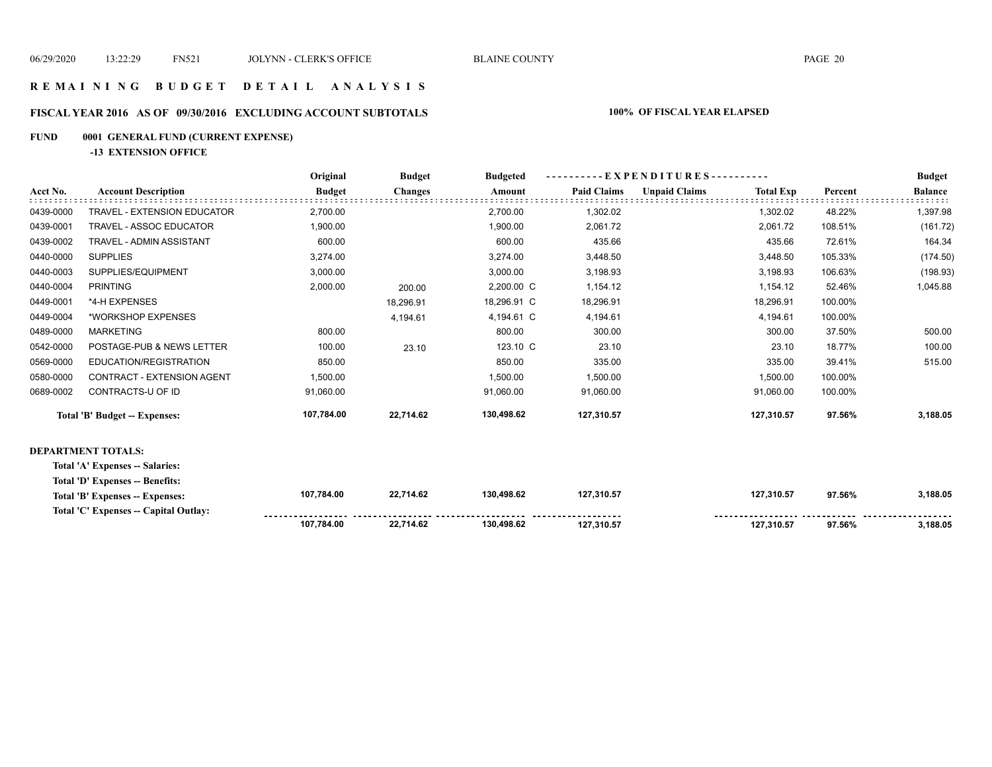### **R E M A I N I N G B U D G E T D E T A I L A N A L Y S I S**

#### **FISCAL YEAR 2016 AS OF 09/30/2016 EXCLUDING ACCOUNT SUBTOTALS 100% OF FISCAL YEAR ELAPSED**

#### **FUND 0001 GENERAL FUND (CURRENT EXPENSE)**

**-13 EXTENSION OFFICE**

|           |                                       | Original      | <b>Budget</b>  | <b>Budgeted</b> | - EXPENDITURES---------- |                      |                  |         | <b>Budget</b>  |
|-----------|---------------------------------------|---------------|----------------|-----------------|--------------------------|----------------------|------------------|---------|----------------|
| Acct No.  | <b>Account Description</b>            | <b>Budget</b> | <b>Changes</b> | Amount          | <b>Paid Claims</b>       | <b>Unpaid Claims</b> | <b>Total Exp</b> | Percent | <b>Balance</b> |
| 0439-0000 | TRAVEL - EXTENSION EDUCATOR           | 2,700.00      |                | 2,700.00        | 1,302.02                 |                      | 1,302.02         | 48.22%  | 1,397.98       |
| 0439-0001 | <b>TRAVEL - ASSOC EDUCATOR</b>        | 1,900.00      |                | 1,900.00        | 2,061.72                 |                      | 2,061.72         | 108.51% | (161.72)       |
| 0439-0002 | TRAVEL - ADMIN ASSISTANT              | 600.00        |                | 600.00          | 435.66                   |                      | 435.66           | 72.61%  | 164.34         |
| 0440-0000 | <b>SUPPLIES</b>                       | 3,274.00      |                | 3,274.00        | 3,448.50                 |                      | 3,448.50         | 105.33% | (174.50)       |
| 0440-0003 | SUPPLIES/EQUIPMENT                    | 3,000.00      |                | 3,000.00        | 3,198.93                 |                      | 3,198.93         | 106.63% | (198.93)       |
| 0440-0004 | <b>PRINTING</b>                       | 2,000.00      | 200.00         | 2,200.00 C      | 1,154.12                 |                      | 1,154.12         | 52.46%  | 1,045.88       |
| 0449-0001 | *4-H EXPENSES                         |               | 18,296.91      | 18,296.91 C     | 18,296.91                |                      | 18,296.91        | 100.00% |                |
| 0449-0004 | *WORKSHOP EXPENSES                    |               | 4,194.61       | 4,194.61 C      | 4,194.61                 |                      | 4,194.61         | 100.00% |                |
| 0489-0000 | <b>MARKETING</b>                      | 800.00        |                | 800.00          | 300.00                   |                      | 300.00           | 37.50%  | 500.00         |
| 0542-0000 | POSTAGE-PUB & NEWS LETTER             | 100.00        | 23.10          | 123.10 C        | 23.10                    |                      | 23.10            | 18.77%  | 100.00         |
| 0569-0000 | EDUCATION/REGISTRATION                | 850.00        |                | 850.00          | 335.00                   |                      | 335.00           | 39.41%  | 515.00         |
| 0580-0000 | CONTRACT - EXTENSION AGENT            | 1,500.00      |                | 1,500.00        | 1,500.00                 |                      | 1,500.00         | 100.00% |                |
| 0689-0002 | CONTRACTS-U OF ID                     | 91,060.00     |                | 91,060.00       | 91,060.00                |                      | 91,060.00        | 100.00% |                |
|           | Total 'B' Budget -- Expenses:         | 107,784.00    | 22,714.62      | 130,498.62      | 127,310.57               |                      | 127,310.57       | 97.56%  | 3,188.05       |
|           | <b>DEPARTMENT TOTALS:</b>             |               |                |                 |                          |                      |                  |         |                |
|           | Total 'A' Expenses -- Salaries:       |               |                |                 |                          |                      |                  |         |                |
|           | Total 'D' Expenses -- Benefits:       |               |                |                 |                          |                      |                  |         |                |
|           | Total 'B' Expenses -- Expenses:       | 107,784.00    | 22,714.62      | 130,498.62      | 127,310.57               |                      | 127,310.57       | 97.56%  | 3,188.05       |
|           | Total 'C' Expenses -- Capital Outlay: |               |                |                 |                          |                      |                  |         |                |
|           |                                       | 107,784.00    | 22,714.62      | 130,498.62      | 127.310.57               |                      | 127.310.57       | 97.56%  | 3,188.05       |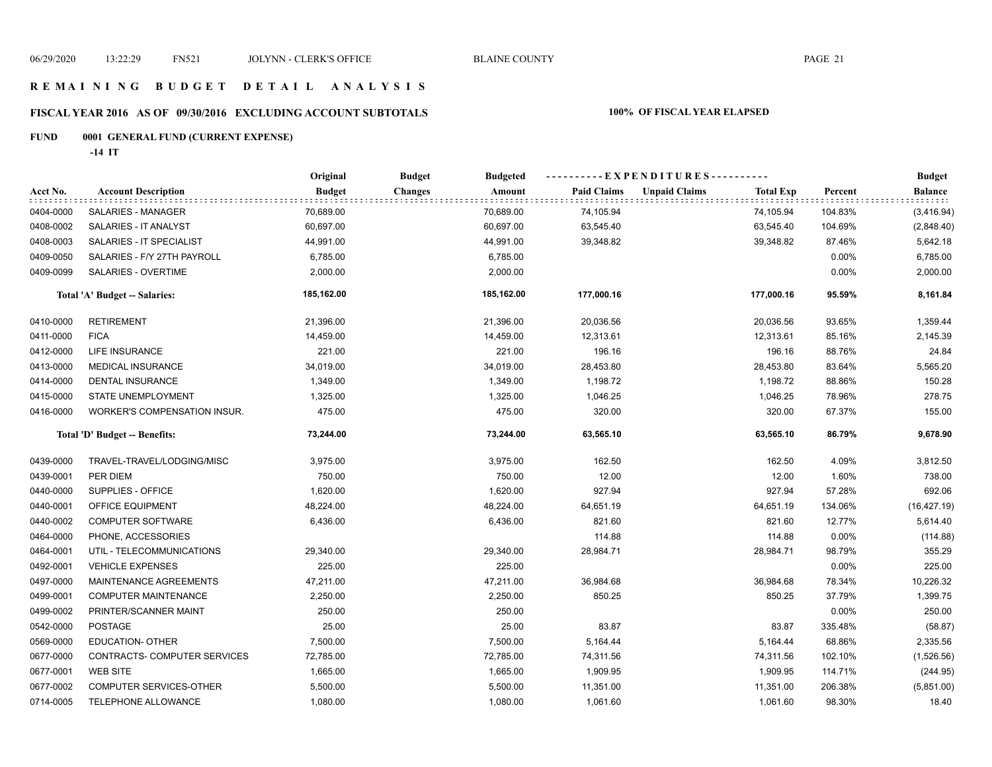### **R E M A I N I N G B U D G E T D E T A I L A N A L Y S I S**

# **FISCAL YEAR 2016 AS OF 09/30/2016 EXCLUDING ACCOUNT SUBTOTALS 100% OF FISCAL YEAR ELAPSED**

# **FUND 0001 GENERAL FUND (CURRENT EXPENSE)**

**-14 IT**

|           |                                     | Original      | <b>Budget</b><br><b>Budgeted</b> |                    | -----EXPENDITURES----------              |         | <b>Budget</b> |
|-----------|-------------------------------------|---------------|----------------------------------|--------------------|------------------------------------------|---------|---------------|
| Acct No.  | <b>Account Description</b>          | <b>Budget</b> | <b>Changes</b><br>Amount         | <b>Paid Claims</b> | <b>Unpaid Claims</b><br><b>Total Exp</b> | Percent | Balance       |
| 0404-0000 | SALARIES - MANAGER                  | 70,689.00     | 70,689.00                        | 74,105.94          | 74,105.94                                | 104.83% | (3,416.94)    |
| 0408-0002 | SALARIES - IT ANALYST               | 60,697.00     | 60,697.00                        | 63,545.40          | 63,545.40                                | 104.69% | (2,848.40)    |
| 0408-0003 | SALARIES - IT SPECIALIST            | 44,991.00     | 44,991.00                        | 39,348.82          | 39,348.82                                | 87.46%  | 5,642.18      |
| 0409-0050 | SALARIES - F/Y 27TH PAYROLL         | 6,785.00      | 6,785.00                         |                    |                                          | 0.00%   | 6,785.00      |
| 0409-0099 | SALARIES - OVERTIME                 | 2,000.00      | 2,000.00                         |                    |                                          | 0.00%   | 2,000.00      |
|           | Total 'A' Budget -- Salaries:       | 185,162.00    | 185,162.00                       | 177,000.16         | 177,000.16                               | 95.59%  | 8,161.84      |
| 0410-0000 | <b>RETIREMENT</b>                   | 21,396.00     | 21,396.00                        | 20,036.56          | 20,036.56                                | 93.65%  | 1,359.44      |
| 0411-0000 | <b>FICA</b>                         | 14,459.00     | 14,459.00                        | 12,313.61          | 12,313.61                                | 85.16%  | 2,145.39      |
| 0412-0000 | LIFE INSURANCE                      | 221.00        | 221.00                           | 196.16             | 196.16                                   | 88.76%  | 24.84         |
| 0413-0000 | <b>MEDICAL INSURANCE</b>            | 34,019.00     | 34,019.00                        | 28,453.80          | 28,453.80                                | 83.64%  | 5,565.20      |
| 0414-0000 | <b>DENTAL INSURANCE</b>             | 1,349.00      | 1,349.00                         | 1,198.72           | 1,198.72                                 | 88.86%  | 150.28        |
| 0415-0000 | STATE UNEMPLOYMENT                  | 1,325.00      | 1,325.00                         | 1,046.25           | 1,046.25                                 | 78.96%  | 278.75        |
| 0416-0000 | <b>WORKER'S COMPENSATION INSUR.</b> | 475.00        | 475.00                           | 320.00             | 320.00                                   | 67.37%  | 155.00        |
|           | Total 'D' Budget -- Benefits:       | 73,244.00     | 73,244.00                        | 63,565.10          | 63,565.10                                | 86.79%  | 9,678.90      |
| 0439-0000 | TRAVEL-TRAVEL/LODGING/MISC          | 3,975.00      | 3,975.00                         | 162.50             | 162.50                                   | 4.09%   | 3,812.50      |
| 0439-0001 | PER DIEM                            | 750.00        | 750.00                           | 12.00              | 12.00                                    | 1.60%   | 738.00        |
| 0440-0000 | SUPPLIES - OFFICE                   | 1,620.00      | 1,620.00                         | 927.94             | 927.94                                   | 57.28%  | 692.06        |
| 0440-0001 | OFFICE EQUIPMENT                    | 48,224.00     | 48,224.00                        | 64,651.19          | 64,651.19                                | 134.06% | (16, 427.19)  |
| 0440-0002 | <b>COMPUTER SOFTWARE</b>            | 6,436.00      | 6,436.00                         | 821.60             | 821.60                                   | 12.77%  | 5,614.40      |
| 0464-0000 | PHONE, ACCESSORIES                  |               |                                  | 114.88             | 114.88                                   | 0.00%   | (114.88)      |
| 0464-0001 | UTIL - TELECOMMUNICATIONS           | 29,340.00     | 29,340.00                        | 28,984.71          | 28,984.71                                | 98.79%  | 355.29        |
| 0492-0001 | <b>VEHICLE EXPENSES</b>             | 225.00        | 225.00                           |                    |                                          | 0.00%   | 225.00        |
| 0497-0000 | MAINTENANCE AGREEMENTS              | 47,211.00     | 47,211.00                        | 36,984.68          | 36,984.68                                | 78.34%  | 10,226.32     |
| 0499-0001 | <b>COMPUTER MAINTENANCE</b>         | 2,250.00      | 2,250.00                         | 850.25             | 850.25                                   | 37.79%  | 1,399.75      |
| 0499-0002 | PRINTER/SCANNER MAINT               | 250.00        | 250.00                           |                    |                                          | 0.00%   | 250.00        |
| 0542-0000 | <b>POSTAGE</b>                      | 25.00         | 25.00                            | 83.87              | 83.87                                    | 335.48% | (58.87)       |
| 0569-0000 | <b>EDUCATION- OTHER</b>             | 7,500.00      | 7,500.00                         | 5,164.44           | 5,164.44                                 | 68.86%  | 2,335.56      |
| 0677-0000 | CONTRACTS- COMPUTER SERVICES        | 72,785.00     | 72,785.00                        | 74,311.56          | 74,311.56                                | 102.10% | (1,526.56)    |
| 0677-0001 | <b>WEB SITE</b>                     | 1,665.00      | 1,665.00                         | 1,909.95           | 1,909.95                                 | 114.71% | (244.95)      |
| 0677-0002 | <b>COMPUTER SERVICES-OTHER</b>      | 5,500.00      | 5,500.00                         | 11,351.00          | 11,351.00                                | 206.38% | (5,851.00)    |
| 0714-0005 | TELEPHONE ALLOWANCE                 | 1,080.00      | 1,080.00                         | 1,061.60           | 1,061.60                                 | 98.30%  | 18.40         |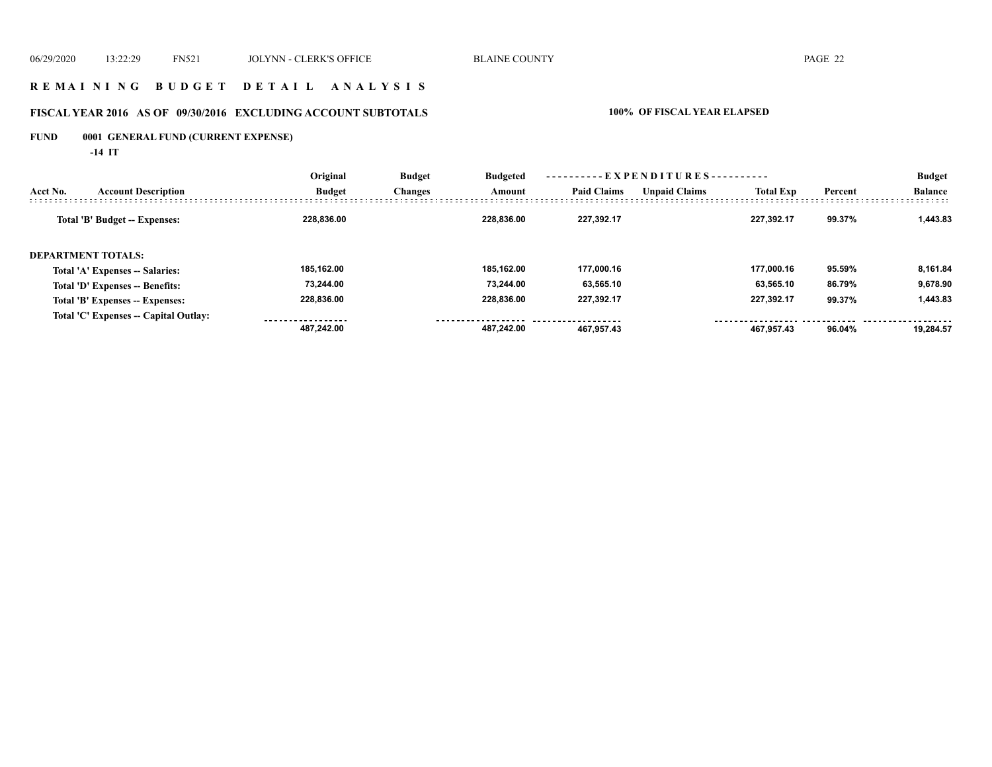### **R E M A I N I N G B U D G E T D E T A I L A N A L Y S I S**

# **FISCAL YEAR 2016 AS OF 09/30/2016 EXCLUDING ACCOUNT SUBTOTALS 100% OF FISCAL YEAR ELAPSED**

# **FUND 0001 GENERAL FUND (CURRENT EXPENSE)**

**-14 IT**

|                                        | Original      | <b>Budget</b><br><b>Changes</b> | <b>Budgeted</b><br>Amount |                    |                      |                  |         | <b>Budget</b>  |  |
|----------------------------------------|---------------|---------------------------------|---------------------------|--------------------|----------------------|------------------|---------|----------------|--|
| <b>Account Description</b><br>Acct No. | <b>Budget</b> |                                 |                           | <b>Paid Claims</b> | <b>Unpaid Claims</b> | <b>Total Exp</b> | Percent | <b>Balance</b> |  |
| Total 'B' Budget -- Expenses:          | 228.836.00    |                                 | 228.836.00                | 227.392.17         |                      | 227.392.17       | 99.37%  | 1,443.83       |  |
| DEPARTMENT TOTALS:                     |               |                                 |                           |                    |                      |                  |         |                |  |
| Total 'A' Expenses -- Salaries:        | 185.162.00    |                                 | 185.162.00                | 177.000.16         |                      | 177.000.16       | 95.59%  | 8,161.84       |  |
| Total 'D' Expenses -- Benefits:        | 73.244.00     |                                 | 73.244.00                 | 63.565.10          |                      | 63.565.10        | 86.79%  | 9.678.90       |  |
| Total 'B' Expenses -- Expenses:        | 228.836.00    |                                 | 228.836.00                | 227,392.17         |                      | 227.392.17       | 99.37%  | 1,443.83       |  |
| Total 'C' Expenses -- Capital Outlay:  |               |                                 |                           |                    |                      |                  |         |                |  |
|                                        | 487.242.00    |                                 | 487.242.00                | 467.957.43         |                      | 467.957.43       | 96.04%  | 19.284.57      |  |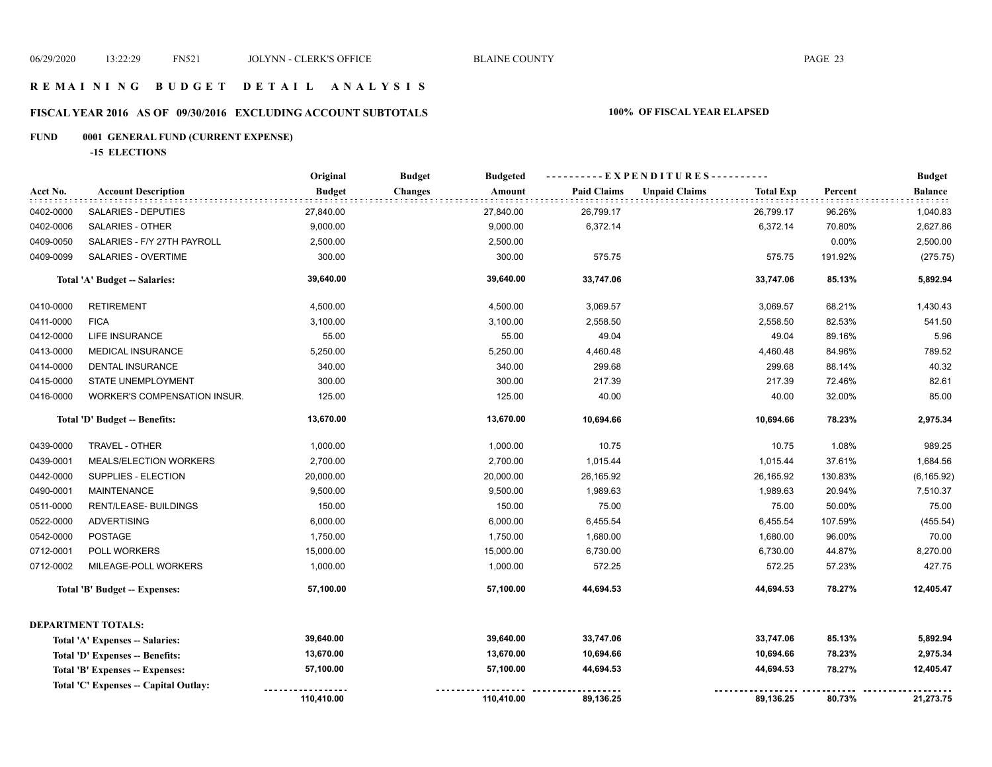### **R E M A I N I N G B U D G E T D E T A I L A N A L Y S I S**

# **FISCAL YEAR 2016 AS OF 09/30/2016 EXCLUDING ACCOUNT SUBTOTALS 100% OF FISCAL YEAR ELAPSED**

# **FUND 0001 GENERAL FUND (CURRENT EXPENSE)**

**-15 ELECTIONS**

|           |                                       | Original      | <b>Budget</b><br><b>Budgeted</b> |                    | ----------EXPENDITURES----------         |         | <b>Budget</b>  |
|-----------|---------------------------------------|---------------|----------------------------------|--------------------|------------------------------------------|---------|----------------|
| Acct No.  | <b>Account Description</b>            | <b>Budget</b> | <b>Changes</b><br>Amount         | <b>Paid Claims</b> | <b>Unpaid Claims</b><br><b>Total Exp</b> | Percent | <b>Balance</b> |
| 0402-0000 | SALARIES - DEPUTIES                   | 27,840.00     | 27,840.00                        | 26,799.17          | 26,799.17                                | 96.26%  | 1,040.83       |
| 0402-0006 | <b>SALARIES - OTHER</b>               | 9,000.00      | 9,000.00                         | 6,372.14           | 6,372.14                                 | 70.80%  | 2,627.86       |
| 0409-0050 | SALARIES - F/Y 27TH PAYROLL           | 2,500.00      | 2,500.00                         |                    |                                          | 0.00%   | 2,500.00       |
| 0409-0099 | SALARIES - OVERTIME                   | 300.00        | 300.00                           | 575.75             | 575.75                                   | 191.92% | (275.75)       |
|           | Total 'A' Budget -- Salaries:         | 39,640.00     | 39,640.00                        | 33,747.06          | 33,747.06                                | 85.13%  | 5,892.94       |
| 0410-0000 | <b>RETIREMENT</b>                     | 4,500.00      | 4,500.00                         | 3,069.57           | 3,069.57                                 | 68.21%  | 1,430.43       |
| 0411-0000 | <b>FICA</b>                           | 3,100.00      | 3,100.00                         | 2,558.50           | 2,558.50                                 | 82.53%  | 541.50         |
| 0412-0000 | <b>LIFE INSURANCE</b>                 | 55.00         | 55.00                            | 49.04              | 49.04                                    | 89.16%  | 5.96           |
| 0413-0000 | MEDICAL INSURANCE                     | 5,250.00      | 5,250.00                         | 4,460.48           | 4,460.48                                 | 84.96%  | 789.52         |
| 0414-0000 | <b>DENTAL INSURANCE</b>               | 340.00        | 340.00                           | 299.68             | 299.68                                   | 88.14%  | 40.32          |
| 0415-0000 | STATE UNEMPLOYMENT                    | 300.00        | 300.00                           | 217.39             | 217.39                                   | 72.46%  | 82.61          |
| 0416-0000 | <b>WORKER'S COMPENSATION INSUR.</b>   | 125.00        | 125.00                           | 40.00              | 40.00                                    | 32.00%  | 85.00          |
|           | Total 'D' Budget -- Benefits:         | 13,670.00     | 13,670.00                        | 10,694.66          | 10,694.66                                | 78.23%  | 2,975.34       |
| 0439-0000 | TRAVEL - OTHER                        | 1,000.00      | 1,000.00                         | 10.75              | 10.75                                    | 1.08%   | 989.25         |
| 0439-0001 | MEALS/ELECTION WORKERS                | 2,700.00      | 2,700.00                         | 1,015.44           | 1,015.44                                 | 37.61%  | 1,684.56       |
| 0442-0000 | SUPPLIES - ELECTION                   | 20,000.00     | 20,000.00                        | 26,165.92          | 26,165.92                                | 130.83% | (6, 165.92)    |
| 0490-0001 | <b>MAINTENANCE</b>                    | 9,500.00      | 9,500.00                         | 1,989.63           | 1,989.63                                 | 20.94%  | 7,510.37       |
| 0511-0000 | <b>RENT/LEASE- BUILDINGS</b>          | 150.00        | 150.00                           | 75.00              | 75.00                                    | 50.00%  | 75.00          |
| 0522-0000 | <b>ADVERTISING</b>                    | 6,000.00      | 6,000.00                         | 6,455.54           | 6,455.54                                 | 107.59% | (455.54)       |
| 0542-0000 | POSTAGE                               | 1,750.00      | 1,750.00                         | 1,680.00           | 1,680.00                                 | 96.00%  | 70.00          |
| 0712-0001 | POLL WORKERS                          | 15,000.00     | 15,000.00                        | 6,730.00           | 6,730.00                                 | 44.87%  | 8,270.00       |
| 0712-0002 | MILEAGE-POLL WORKERS                  | 1,000.00      | 1,000.00                         | 572.25             | 572.25                                   | 57.23%  | 427.75         |
|           | Total 'B' Budget -- Expenses:         | 57,100.00     | 57,100.00                        | 44,694.53          | 44,694.53                                | 78.27%  | 12,405.47      |
|           | <b>DEPARTMENT TOTALS:</b>             |               |                                  |                    |                                          |         |                |
|           | Total 'A' Expenses -- Salaries:       | 39,640.00     | 39,640.00                        | 33,747.06          | 33,747.06                                | 85.13%  | 5,892.94       |
|           | Total 'D' Expenses -- Benefits:       | 13,670.00     | 13,670.00                        | 10,694.66          | 10,694.66                                | 78.23%  | 2,975.34       |
|           | Total 'B' Expenses -- Expenses:       | 57,100.00     | 57,100.00                        | 44,694.53          | 44,694.53                                | 78.27%  | 12,405.47      |
|           | Total 'C' Expenses -- Capital Outlay: |               |                                  |                    |                                          |         |                |
|           |                                       | 110,410.00    | 110,410.00                       | 89,136.25          | 89,136.25                                | 80.73%  | 21,273.75      |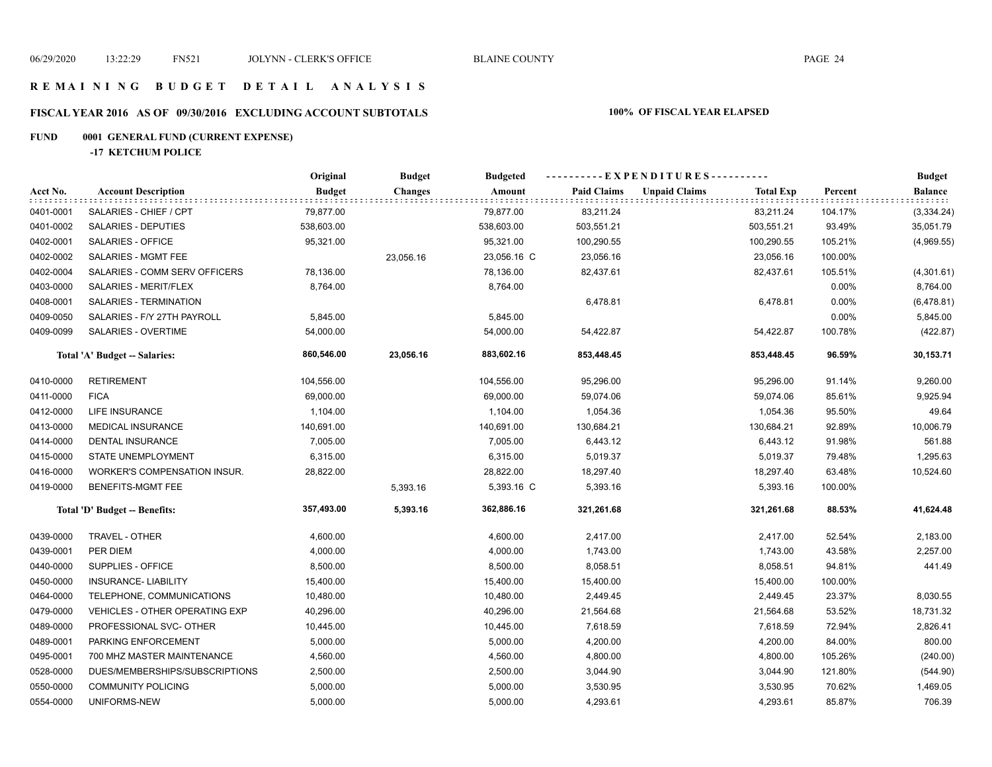#### **R E M A I N I N G B U D G E T D E T A I L A N A L Y S I S**

# **FISCAL YEAR 2016 AS OF 09/30/2016 EXCLUDING ACCOUNT SUBTOTALS 100% OF FISCAL YEAR ELAPSED**

# **FUND 0001 GENERAL FUND (CURRENT EXPENSE)**

**-17 KETCHUM POLICE**

|           |                                | Original      | <b>Budget</b>  | <b>Budgeted</b> | ----------EXPENDITURES---------- |                      |                  |         | <b>Budget</b>  |
|-----------|--------------------------------|---------------|----------------|-----------------|----------------------------------|----------------------|------------------|---------|----------------|
| Acct No.  | <b>Account Description</b>     | <b>Budget</b> | <b>Changes</b> | Amount          | <b>Paid Claims</b>               | <b>Unpaid Claims</b> | <b>Total Exp</b> | Percent | <b>Balance</b> |
| 0401-0001 | SALARIES - CHIEF / CPT         | 79,877.00     |                | 79,877.00       | 83,211.24                        |                      | 83,211.24        | 104.17% | (3,334.24)     |
| 0401-0002 | SALARIES - DEPUTIES            | 538,603.00    |                | 538,603.00      | 503,551.21                       |                      | 503,551.21       | 93.49%  | 35,051.79      |
| 0402-0001 | SALARIES - OFFICE              | 95,321.00     |                | 95,321.00       | 100,290.55                       |                      | 100,290.55       | 105.21% | (4,969.55)     |
| 0402-0002 | SALARIES - MGMT FEE            |               | 23,056.16      | 23,056.16 C     | 23,056.16                        |                      | 23,056.16        | 100.00% |                |
| 0402-0004 | SALARIES - COMM SERV OFFICERS  | 78,136.00     |                | 78,136.00       | 82,437.61                        |                      | 82,437.61        | 105.51% | (4,301.61)     |
| 0403-0000 | SALARIES - MERIT/FLEX          | 8,764.00      |                | 8,764.00        |                                  |                      |                  | 0.00%   | 8,764.00       |
| 0408-0001 | SALARIES - TERMINATION         |               |                |                 | 6,478.81                         |                      | 6,478.81         | 0.00%   | (6,478.81)     |
| 0409-0050 | SALARIES - F/Y 27TH PAYROLL    | 5,845.00      |                | 5,845.00        |                                  |                      |                  | 0.00%   | 5,845.00       |
| 0409-0099 | SALARIES - OVERTIME            | 54,000.00     |                | 54,000.00       | 54,422.87                        |                      | 54,422.87        | 100.78% | (422.87)       |
|           | Total 'A' Budget -- Salaries:  | 860,546.00    | 23,056.16      | 883,602.16      | 853,448.45                       |                      | 853,448.45       | 96.59%  | 30,153.71      |
| 0410-0000 | <b>RETIREMENT</b>              | 104,556.00    |                | 104,556.00      | 95,296.00                        |                      | 95,296.00        | 91.14%  | 9,260.00       |
| 0411-0000 | <b>FICA</b>                    | 69,000.00     |                | 69,000.00       | 59,074.06                        |                      | 59,074.06        | 85.61%  | 9,925.94       |
| 0412-0000 | LIFE INSURANCE                 | 1,104.00      |                | 1,104.00        | 1,054.36                         |                      | 1,054.36         | 95.50%  | 49.64          |
| 0413-0000 | <b>MEDICAL INSURANCE</b>       | 140,691.00    |                | 140,691.00      | 130,684.21                       |                      | 130,684.21       | 92.89%  | 10,006.79      |
| 0414-0000 | <b>DENTAL INSURANCE</b>        | 7,005.00      |                | 7,005.00        | 6,443.12                         |                      | 6,443.12         | 91.98%  | 561.88         |
| 0415-0000 | STATE UNEMPLOYMENT             | 6,315.00      |                | 6,315.00        | 5,019.37                         |                      | 5,019.37         | 79.48%  | 1,295.63       |
| 0416-0000 | WORKER'S COMPENSATION INSUR.   | 28,822.00     |                | 28,822.00       | 18,297.40                        |                      | 18,297.40        | 63.48%  | 10,524.60      |
| 0419-0000 | BENEFITS-MGMT FEE              |               | 5,393.16       | 5,393.16 C      | 5,393.16                         |                      | 5,393.16         | 100.00% |                |
|           | Total 'D' Budget -- Benefits:  | 357,493.00    | 5,393.16       | 362,886.16      | 321,261.68                       |                      | 321,261.68       | 88.53%  | 41,624.48      |
| 0439-0000 | TRAVEL - OTHER                 | 4,600.00      |                | 4,600.00        | 2,417.00                         |                      | 2,417.00         | 52.54%  | 2,183.00       |
| 0439-0001 | PER DIEM                       | 4,000.00      |                | 4,000.00        | 1,743.00                         |                      | 1,743.00         | 43.58%  | 2,257.00       |
| 0440-0000 | SUPPLIES - OFFICE              | 8,500.00      |                | 8,500.00        | 8,058.51                         |                      | 8,058.51         | 94.81%  | 441.49         |
| 0450-0000 | <b>INSURANCE- LIABILITY</b>    | 15,400.00     |                | 15,400.00       | 15,400.00                        |                      | 15,400.00        | 100.00% |                |
| 0464-0000 | TELEPHONE, COMMUNICATIONS      | 10,480.00     |                | 10,480.00       | 2,449.45                         |                      | 2,449.45         | 23.37%  | 8,030.55       |
| 0479-0000 | VEHICLES - OTHER OPERATING EXP | 40,296.00     |                | 40,296.00       | 21,564.68                        |                      | 21,564.68        | 53.52%  | 18,731.32      |
| 0489-0000 | PROFESSIONAL SVC- OTHER        | 10,445.00     |                | 10,445.00       | 7,618.59                         |                      | 7,618.59         | 72.94%  | 2,826.41       |
| 0489-0001 | PARKING ENFORCEMENT            | 5,000.00      |                | 5,000.00        | 4,200.00                         |                      | 4,200.00         | 84.00%  | 800.00         |
| 0495-0001 | 700 MHZ MASTER MAINTENANCE     | 4,560.00      |                | 4,560.00        | 4,800.00                         |                      | 4,800.00         | 105.26% | (240.00)       |
| 0528-0000 | DUES/MEMBERSHIPS/SUBSCRIPTIONS | 2,500.00      |                | 2,500.00        | 3,044.90                         |                      | 3,044.90         | 121.80% | (544.90)       |
| 0550-0000 | <b>COMMUNITY POLICING</b>      | 5,000.00      |                | 5,000.00        | 3,530.95                         |                      | 3,530.95         | 70.62%  | 1,469.05       |
| 0554-0000 | UNIFORMS-NEW                   | 5,000.00      |                | 5,000.00        | 4,293.61                         |                      | 4,293.61         | 85.87%  | 706.39         |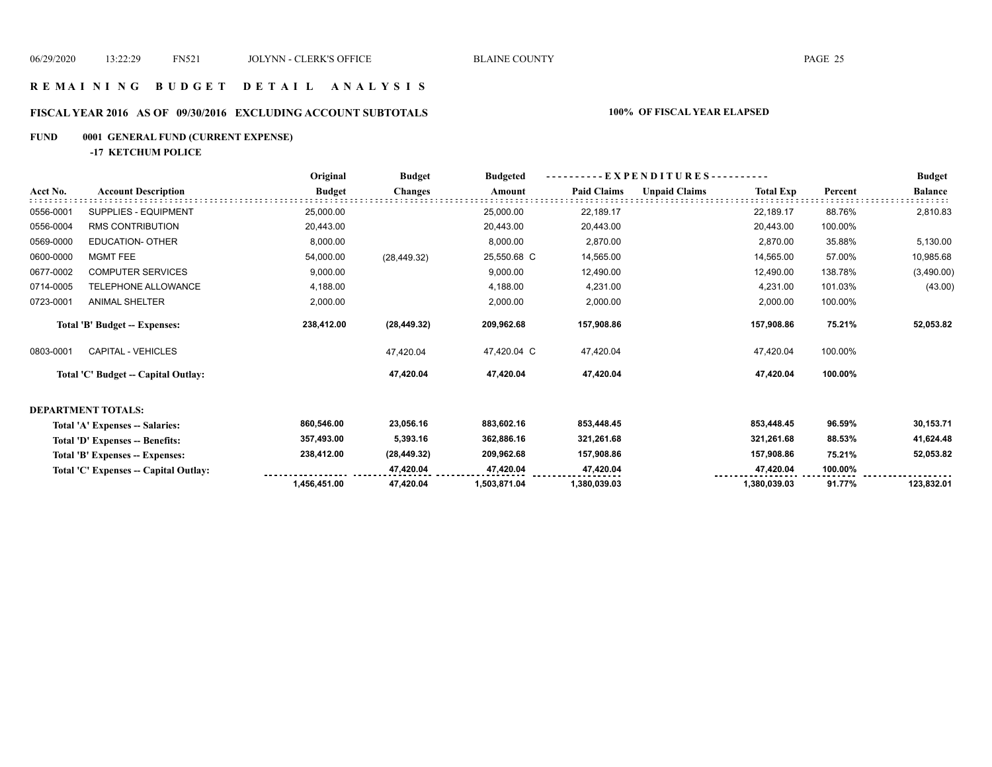### **R E M A I N I N G B U D G E T D E T A I L A N A L Y S I S**

# **FISCAL YEAR 2016 AS OF 09/30/2016 EXCLUDING ACCOUNT SUBTOTALS 100% OF FISCAL YEAR ELAPSED**

#### **FUND 0001 GENERAL FUND (CURRENT EXPENSE)**

**-17 KETCHUM POLICE**

|           |                                       | Original      | <b>Budget</b>  | <b>Budgeted</b> |                    |                      |                  | - EXPENDITURES---------- |                |
|-----------|---------------------------------------|---------------|----------------|-----------------|--------------------|----------------------|------------------|--------------------------|----------------|
| Acct No.  | <b>Account Description</b>            | <b>Budget</b> | <b>Changes</b> | Amount          | <b>Paid Claims</b> | <b>Unpaid Claims</b> | <b>Total Exp</b> | Percent                  | <b>Balance</b> |
| 0556-0001 | SUPPLIES - EQUIPMENT                  | 25,000.00     |                | 25,000.00       | 22,189.17          |                      | 22,189.17        | 88.76%                   | 2,810.83       |
| 0556-0004 | <b>RMS CONTRIBUTION</b>               | 20,443.00     |                | 20,443.00       | 20,443.00          |                      | 20,443.00        | 100.00%                  |                |
| 0569-0000 | <b>EDUCATION- OTHER</b>               | 8,000.00      |                | 8,000.00        | 2,870.00           |                      | 2,870.00         | 35.88%                   | 5,130.00       |
| 0600-0000 | <b>MGMT FEE</b>                       | 54,000.00     | (28, 449.32)   | 25,550.68 C     | 14,565.00          |                      | 14,565.00        | 57.00%                   | 10,985.68      |
| 0677-0002 | <b>COMPUTER SERVICES</b>              | 9,000.00      |                | 9,000.00        | 12,490.00          |                      | 12,490.00        | 138.78%                  | (3,490.00)     |
| 0714-0005 | TELEPHONE ALLOWANCE                   | 4,188.00      |                | 4,188.00        | 4,231.00           |                      | 4,231.00         | 101.03%                  | (43.00)        |
| 0723-0001 | <b>ANIMAL SHELTER</b>                 | 2,000.00      |                | 2,000.00        | 2,000.00           |                      | 2,000.00         | 100.00%                  |                |
|           | Total 'B' Budget -- Expenses:         | 238,412.00    | (28, 449.32)   | 209,962.68      | 157,908.86         |                      | 157,908.86       | 75.21%                   | 52,053.82      |
| 0803-0001 | <b>CAPITAL - VEHICLES</b>             |               | 47,420.04      | 47,420.04 C     | 47,420.04          |                      | 47,420.04        | 100.00%                  |                |
|           | Total 'C' Budget -- Capital Outlay:   |               | 47,420.04      | 47,420.04       | 47,420.04          |                      | 47,420.04        | 100.00%                  |                |
|           | <b>DEPARTMENT TOTALS:</b>             |               |                |                 |                    |                      |                  |                          |                |
|           | Total 'A' Expenses -- Salaries:       | 860,546.00    | 23,056.16      | 883,602.16      | 853,448.45         |                      | 853,448.45       | 96.59%                   | 30,153.71      |
|           | Total 'D' Expenses -- Benefits:       | 357,493.00    | 5,393.16       | 362,886.16      | 321,261.68         |                      | 321,261.68       | 88.53%                   | 41,624.48      |
|           | Total 'B' Expenses -- Expenses:       | 238,412.00    | (28, 449.32)   | 209,962.68      | 157,908.86         |                      | 157,908.86       | 75.21%                   | 52,053.82      |
|           | Total 'C' Expenses -- Capital Outlay: |               | 47,420.04      | 47,420.04       | 47,420.04          |                      | 47,420.04        | 100.00%                  |                |
|           |                                       | 1,456,451.00  | 47,420.04      | 1,503,871.04    | 1,380,039.03       |                      | 1,380,039.03     | 91.77%                   | 123,832.01     |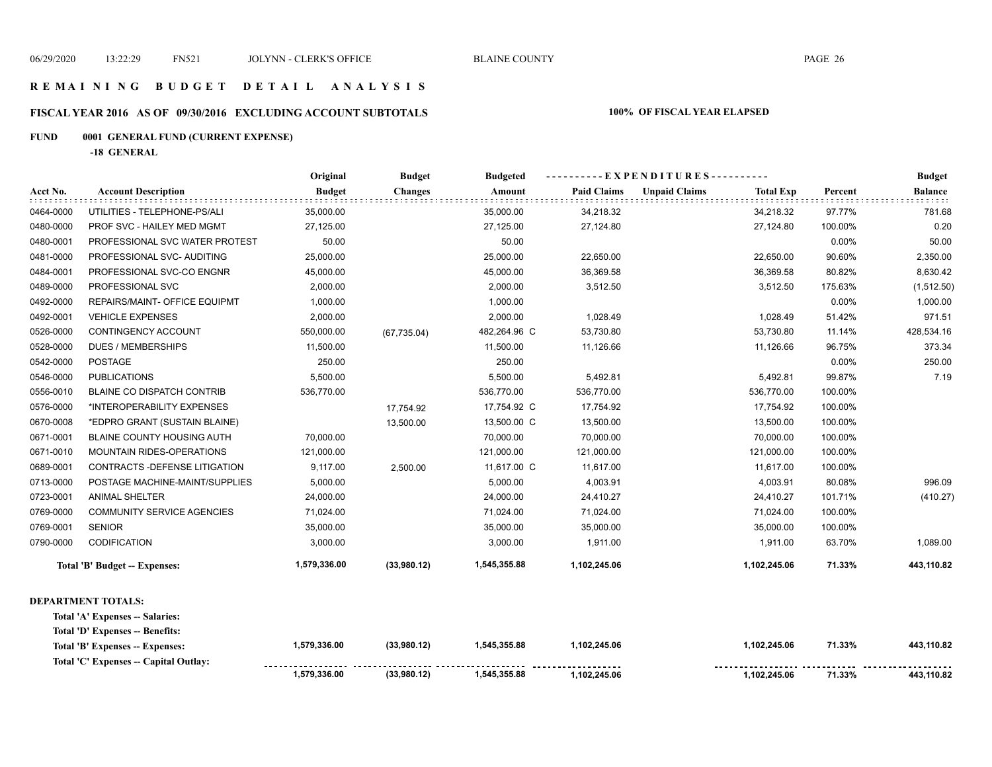**1,102,245.06 1,102,245.06 71.33% 443,110.82** 

#### **R E M A I N I N G B U D G E T D E T A I L A N A L Y S I S**

#### **FISCAL YEAR 2016 AS OF 09/30/2016 EXCLUDING ACCOUNT SUBTOTALS 100% OF FISCAL YEAR ELAPSED**

#### **FUND 0001 GENERAL FUND (CURRENT EXPENSE)**

**-18 GENERAL**

**Total 'C' Expenses -- Capital Outlay:**

|           |                                      | Original      | <b>Budget</b>  | <b>Budgeted</b> | ----------EXPENDITURES---------- |                      |                  |         | <b>Budget</b>  |
|-----------|--------------------------------------|---------------|----------------|-----------------|----------------------------------|----------------------|------------------|---------|----------------|
| Acct No.  | <b>Account Description</b>           | <b>Budget</b> | <b>Changes</b> | Amount          | <b>Paid Claims</b>               | <b>Unpaid Claims</b> | <b>Total Exp</b> | Percent | <b>Balance</b> |
| 0464-0000 | UTILITIES - TELEPHONE-PS/ALI         | 35,000.00     |                | 35,000.00       | 34,218.32                        |                      | 34,218.32        | 97.77%  | 781.68         |
| 0480-0000 | PROF SVC - HAILEY MED MGMT           | 27,125.00     |                | 27,125.00       | 27,124.80                        |                      | 27,124.80        | 100.00% | 0.20           |
| 0480-0001 | PROFESSIONAL SVC WATER PROTEST       | 50.00         |                | 50.00           |                                  |                      |                  | 0.00%   | 50.00          |
| 0481-0000 | PROFESSIONAL SVC- AUDITING           | 25,000.00     |                | 25,000.00       | 22,650.00                        |                      | 22,650.00        | 90.60%  | 2,350.00       |
| 0484-0001 | PROFESSIONAL SVC-CO ENGNR            | 45,000.00     |                | 45,000.00       | 36,369.58                        |                      | 36,369.58        | 80.82%  | 8,630.42       |
| 0489-0000 | PROFESSIONAL SVC                     | 2,000.00      |                | 2,000.00        | 3,512.50                         |                      | 3,512.50         | 175.63% | (1,512.50)     |
| 0492-0000 | REPAIRS/MAINT- OFFICE EQUIPMT        | 1,000.00      |                | 1,000.00        |                                  |                      |                  | 0.00%   | 1,000.00       |
| 0492-0001 | <b>VEHICLE EXPENSES</b>              | 2,000.00      |                | 2,000.00        | 1,028.49                         |                      | 1,028.49         | 51.42%  | 971.51         |
| 0526-0000 | CONTINGENCY ACCOUNT                  | 550,000.00    | (67, 735.04)   | 482,264.96 C    | 53,730.80                        |                      | 53,730.80        | 11.14%  | 428,534.16     |
| 0528-0000 | <b>DUES / MEMBERSHIPS</b>            | 11,500.00     |                | 11,500.00       | 11,126.66                        |                      | 11,126.66        | 96.75%  | 373.34         |
| 0542-0000 | <b>POSTAGE</b>                       | 250.00        |                | 250.00          |                                  |                      |                  | 0.00%   | 250.00         |
| 0546-0000 | <b>PUBLICATIONS</b>                  | 5,500.00      |                | 5,500.00        | 5,492.81                         |                      | 5,492.81         | 99.87%  | 7.19           |
| 0556-0010 | <b>BLAINE CO DISPATCH CONTRIB</b>    | 536,770.00    |                | 536,770.00      | 536,770.00                       |                      | 536,770.00       | 100.00% |                |
| 0576-0000 | *INTEROPERABILITY EXPENSES           |               | 17,754.92      | 17,754.92 C     | 17,754.92                        |                      | 17,754.92        | 100.00% |                |
| 0670-0008 | *EDPRO GRANT (SUSTAIN BLAINE)        |               | 13,500.00      | 13,500.00 C     | 13,500.00                        |                      | 13,500.00        | 100.00% |                |
| 0671-0001 | <b>BLAINE COUNTY HOUSING AUTH</b>    | 70,000.00     |                | 70,000.00       | 70,000.00                        |                      | 70,000.00        | 100.00% |                |
| 0671-0010 | <b>MOUNTAIN RIDES-OPERATIONS</b>     | 121,000.00    |                | 121,000.00      | 121,000.00                       |                      | 121,000.00       | 100.00% |                |
| 0689-0001 | CONTRACTS - DEFENSE LITIGATION       | 9,117.00      | 2,500.00       | 11,617.00 C     | 11,617.00                        |                      | 11,617.00        | 100.00% |                |
| 0713-0000 | POSTAGE MACHINE-MAINT/SUPPLIES       | 5,000.00      |                | 5,000.00        | 4,003.91                         |                      | 4,003.91         | 80.08%  | 996.09         |
| 0723-0001 | <b>ANIMAL SHELTER</b>                | 24,000.00     |                | 24,000.00       | 24,410.27                        |                      | 24,410.27        | 101.71% | (410.27)       |
| 0769-0000 | <b>COMMUNITY SERVICE AGENCIES</b>    | 71,024.00     |                | 71,024.00       | 71,024.00                        |                      | 71,024.00        | 100.00% |                |
| 0769-0001 | <b>SENIOR</b>                        | 35,000.00     |                | 35,000.00       | 35,000.00                        |                      | 35,000.00        | 100.00% |                |
| 0790-0000 | CODIFICATION                         | 3,000.00      |                | 3,000.00        | 1,911.00                         |                      | 1,911.00         | 63.70%  | 1,089.00       |
|           | <b>Total 'B' Budget -- Expenses:</b> | 1,579,336.00  | (33,980.12)    | 1,545,355.88    | 1,102,245.06                     |                      | 1,102,245.06     | 71.33%  | 443,110.82     |
|           | <b>DEPARTMENT TOTALS:</b>            |               |                |                 |                                  |                      |                  |         |                |
|           | Total 'A' Expenses -- Salaries:      |               |                |                 |                                  |                      |                  |         |                |
|           | Total 'D' Expenses -- Benefits:      |               |                |                 |                                  |                      |                  |         |                |
|           | Total 'B' Expenses -- Expenses:      | 1,579,336.00  | (33,980.12)    | 1,545,355.88    | 1,102,245.06                     |                      | 1,102,245.06     | 71.33%  | 443,110.82     |

 **1,545,355.88**

**(33,980.12)**

 **1,579,336.00**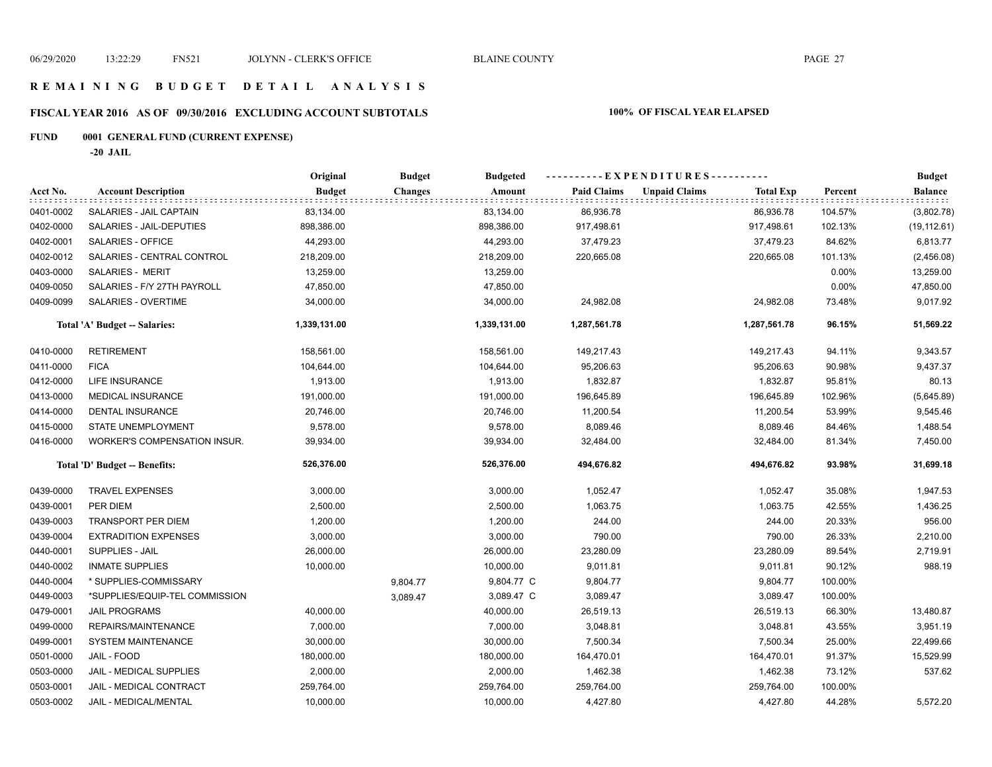### **R E M A I N I N G B U D G E T D E T A I L A N A L Y S I S**

# **FISCAL YEAR 2016 AS OF 09/30/2016 EXCLUDING ACCOUNT SUBTOTALS 100% OF FISCAL YEAR ELAPSED**

# **FUND 0001 GENERAL FUND (CURRENT EXPENSE)**

**-20 JAIL**

|           |                                     | Original      | <b>Budget</b>  | <b>Budgeted</b> |                    | ---------- EXPENDITURES----------        |         | <b>Budget</b>  |
|-----------|-------------------------------------|---------------|----------------|-----------------|--------------------|------------------------------------------|---------|----------------|
| Acct No.  | <b>Account Description</b>          | <b>Budget</b> | <b>Changes</b> | Amount          | <b>Paid Claims</b> | <b>Unpaid Claims</b><br><b>Total Exp</b> | Percent | <b>Balance</b> |
| 0401-0002 | SALARIES - JAIL CAPTAIN             | 83,134.00     |                | 83,134.00       | 86,936.78          | 86,936.78                                | 104.57% | (3,802.78)     |
| 0402-0000 | SALARIES - JAIL-DEPUTIES            | 898,386.00    |                | 898,386.00      | 917,498.61         | 917,498.61                               | 102.13% | (19, 112.61)   |
| 0402-0001 | <b>SALARIES - OFFICE</b>            | 44,293.00     |                | 44,293.00       | 37,479.23          | 37,479.23                                | 84.62%  | 6,813.77       |
| 0402-0012 | SALARIES - CENTRAL CONTROL          | 218,209.00    |                | 218,209.00      | 220,665.08         | 220,665.08                               | 101.13% | (2,456.08)     |
| 0403-0000 | <b>SALARIES - MERIT</b>             | 13,259.00     |                | 13,259.00       |                    |                                          | 0.00%   | 13,259.00      |
| 0409-0050 | SALARIES - F/Y 27TH PAYROLL         | 47,850.00     |                | 47,850.00       |                    |                                          | 0.00%   | 47,850.00      |
| 0409-0099 | SALARIES - OVERTIME                 | 34,000.00     |                | 34,000.00       | 24,982.08          | 24,982.08                                | 73.48%  | 9,017.92       |
|           | Total 'A' Budget -- Salaries:       | 1,339,131.00  |                | 1,339,131.00    | 1,287,561.78       | 1,287,561.78                             | 96.15%  | 51,569.22      |
| 0410-0000 | <b>RETIREMENT</b>                   | 158,561.00    |                | 158,561.00      | 149,217.43         | 149,217.43                               | 94.11%  | 9,343.57       |
| 0411-0000 | <b>FICA</b>                         | 104,644.00    |                | 104,644.00      | 95,206.63          | 95,206.63                                | 90.98%  | 9,437.37       |
| 0412-0000 | LIFE INSURANCE                      | 1,913.00      |                | 1,913.00        | 1,832.87           | 1,832.87                                 | 95.81%  | 80.13          |
| 0413-0000 | <b>MEDICAL INSURANCE</b>            | 191,000.00    |                | 191,000.00      | 196,645.89         | 196,645.89                               | 102.96% | (5,645.89)     |
| 0414-0000 | DENTAL INSURANCE                    | 20,746.00     |                | 20,746.00       | 11,200.54          | 11,200.54                                | 53.99%  | 9,545.46       |
| 0415-0000 | STATE UNEMPLOYMENT                  | 9,578.00      |                | 9,578.00        | 8,089.46           | 8,089.46                                 | 84.46%  | 1,488.54       |
| 0416-0000 | <b>WORKER'S COMPENSATION INSUR.</b> | 39,934.00     |                | 39,934.00       | 32,484.00          | 32,484.00                                | 81.34%  | 7,450.00       |
|           | Total 'D' Budget -- Benefits:       | 526,376.00    |                | 526,376.00      | 494,676.82         | 494,676.82                               | 93.98%  | 31,699.18      |
| 0439-0000 | <b>TRAVEL EXPENSES</b>              | 3,000.00      |                | 3,000.00        | 1,052.47           | 1,052.47                                 | 35.08%  | 1,947.53       |
| 0439-0001 | PER DIEM                            | 2,500.00      |                | 2,500.00        | 1,063.75           | 1,063.75                                 | 42.55%  | 1,436.25       |
| 0439-0003 | <b>TRANSPORT PER DIEM</b>           | 1,200.00      |                | 1,200.00        | 244.00             | 244.00                                   | 20.33%  | 956.00         |
| 0439-0004 | <b>EXTRADITION EXPENSES</b>         | 3,000.00      |                | 3,000.00        | 790.00             | 790.00                                   | 26.33%  | 2,210.00       |
| 0440-0001 | <b>SUPPLIES - JAIL</b>              | 26,000.00     |                | 26,000.00       | 23,280.09          | 23,280.09                                | 89.54%  | 2,719.91       |
| 0440-0002 | <b>INMATE SUPPLIES</b>              | 10,000.00     |                | 10,000.00       | 9,011.81           | 9,011.81                                 | 90.12%  | 988.19         |
| 0440-0004 | * SUPPLIES-COMMISSARY               |               | 9,804.77       | 9,804.77 C      | 9,804.77           | 9,804.77                                 | 100.00% |                |
| 0449-0003 | *SUPPLIES/EQUIP-TEL COMMISSION      |               | 3,089.47       | 3,089.47 C      | 3,089.47           | 3,089.47                                 | 100.00% |                |
| 0479-0001 | <b>JAIL PROGRAMS</b>                | 40,000.00     |                | 40,000.00       | 26,519.13          | 26,519.13                                | 66.30%  | 13,480.87      |
| 0499-0000 | REPAIRS/MAINTENANCE                 | 7,000.00      |                | 7,000.00        | 3,048.81           | 3,048.81                                 | 43.55%  | 3,951.19       |
| 0499-0001 | SYSTEM MAINTENANCE                  | 30,000.00     |                | 30,000.00       | 7,500.34           | 7,500.34                                 | 25.00%  | 22,499.66      |
| 0501-0000 | JAIL - FOOD                         | 180,000.00    |                | 180,000.00      | 164,470.01         | 164,470.01                               | 91.37%  | 15,529.99      |
| 0503-0000 | JAIL - MEDICAL SUPPLIES             | 2,000.00      |                | 2,000.00        | 1,462.38           | 1,462.38                                 | 73.12%  | 537.62         |
| 0503-0001 | JAIL - MEDICAL CONTRACT             | 259,764.00    |                | 259,764.00      | 259,764.00         | 259,764.00                               | 100.00% |                |
| 0503-0002 | JAIL - MEDICAL/MENTAL               | 10,000.00     |                | 10,000.00       | 4,427.80           | 4,427.80                                 | 44.28%  | 5,572.20       |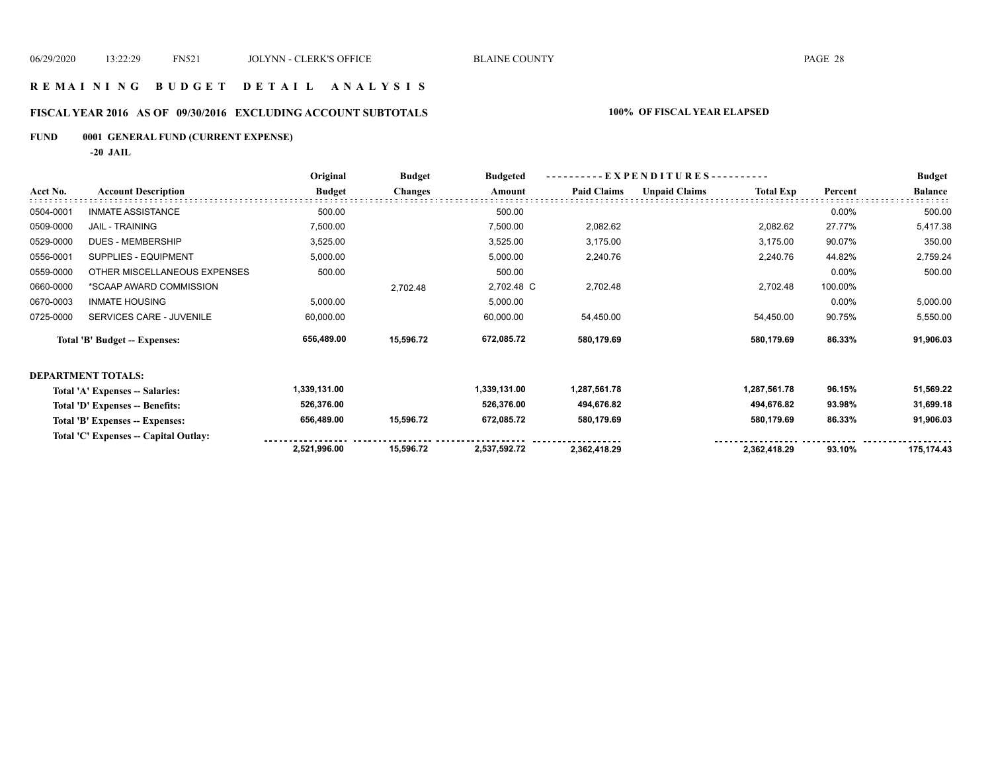#### **R E M A I N I N G B U D G E T D E T A I L A N A L Y S I S**

# **FISCAL YEAR 2016 AS OF 09/30/2016 EXCLUDING ACCOUNT SUBTOTALS 100% OF FISCAL YEAR ELAPSED**

# **FUND 0001 GENERAL FUND (CURRENT EXPENSE)**

**-20 JAIL**

|           |                                      | Original      | <b>Budget</b>  | <b>Budgeted</b> | EXPENDITURES-      |                      |                  |         | <b>Budget</b>  |
|-----------|--------------------------------------|---------------|----------------|-----------------|--------------------|----------------------|------------------|---------|----------------|
| Acct No.  | <b>Account Description</b>           | <b>Budget</b> | <b>Changes</b> | Amount          | <b>Paid Claims</b> | <b>Unpaid Claims</b> | <b>Total Exp</b> | Percent | <b>Balance</b> |
| 0504-0001 | <b>INMATE ASSISTANCE</b>             | 500.00        |                | 500.00          |                    |                      |                  | 0.00%   | 500.00         |
| 0509-0000 | <b>JAIL - TRAINING</b>               | 7,500.00      |                | 7,500.00        | 2,082.62           |                      | 2,082.62         | 27.77%  | 5,417.38       |
| 0529-0000 | DUES - MEMBERSHIP                    | 3,525.00      |                | 3,525.00        | 3,175.00           |                      | 3,175.00         | 90.07%  | 350.00         |
| 0556-0001 | SUPPLIES - EQUIPMENT                 | 5,000.00      |                | 5,000.00        | 2,240.76           |                      | 2,240.76         | 44.82%  | 2,759.24       |
| 0559-0000 | OTHER MISCELLANEOUS EXPENSES         | 500.00        |                | 500.00          |                    |                      |                  | 0.00%   | 500.00         |
| 0660-0000 | *SCAAP AWARD COMMISSION              |               | 2,702.48       | 2,702.48 C      | 2,702.48           |                      | 2,702.48         | 100.00% |                |
| 0670-0003 | <b>INMATE HOUSING</b>                | 5,000.00      |                | 5,000.00        |                    |                      |                  | 0.00%   | 5,000.00       |
| 0725-0000 | SERVICES CARE - JUVENILE             | 60,000.00     |                | 60,000.00       | 54,450.00          |                      | 54,450.00        | 90.75%  | 5,550.00       |
|           | Total 'B' Budget -- Expenses:        | 656,489.00    | 15,596.72      | 672,085.72      | 580,179.69         |                      | 580,179.69       | 86.33%  | 91,906.03      |
|           | <b>DEPARTMENT TOTALS:</b>            |               |                |                 |                    |                      |                  |         |                |
|           | Total 'A' Expenses -- Salaries:      | 1,339,131.00  |                | 1,339,131.00    | 1,287,561.78       |                      | 1,287,561.78     | 96.15%  | 51,569.22      |
|           | Total 'D' Expenses -- Benefits:      | 526,376.00    |                | 526,376.00      | 494,676.82         |                      | 494,676.82       | 93.98%  | 31,699.18      |
|           | Total 'B' Expenses -- Expenses:      | 656,489.00    | 15,596.72      | 672,085.72      | 580,179.69         |                      | 580,179.69       | 86.33%  | 91,906.03      |
|           | Total 'C' Expenses - Capital Outlay: |               |                |                 |                    |                      |                  |         |                |
|           |                                      | 2,521,996.00  | 15,596.72      | 2,537,592.72    | 2,362,418.29       |                      | 2,362,418.29     | 93.10%  | 175,174.43     |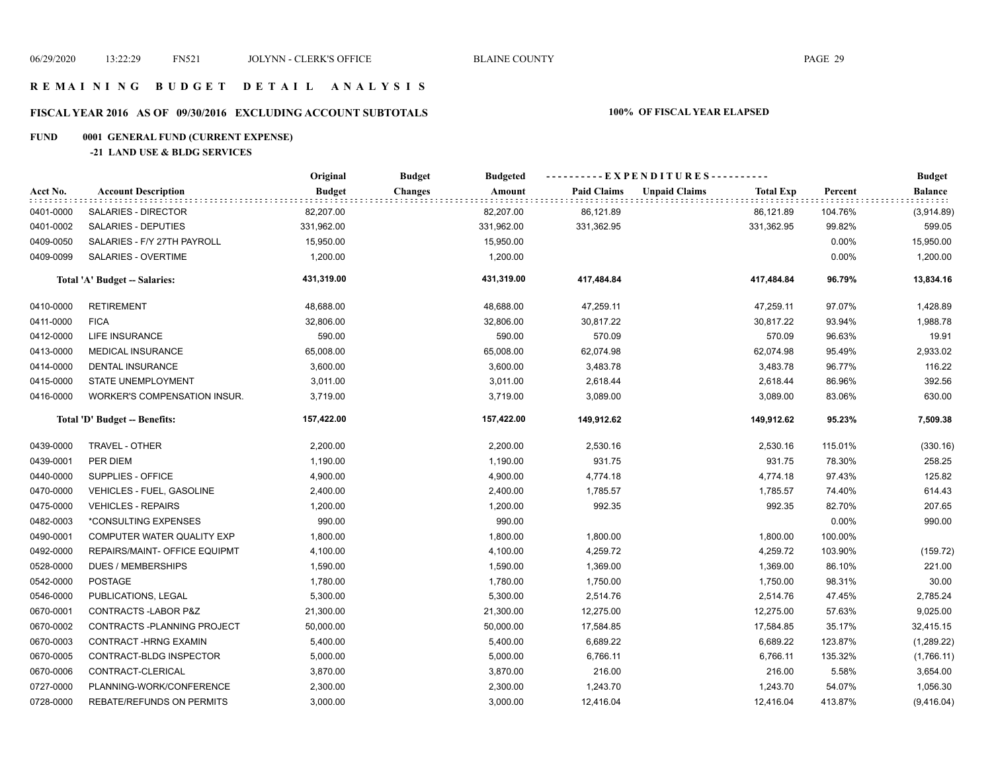#### **R E M A I N I N G B U D G E T D E T A I L A N A L Y S I S**

# **FISCAL YEAR 2016 AS OF 09/30/2016 EXCLUDING ACCOUNT SUBTOTALS 100% OF FISCAL YEAR ELAPSED**

# **FUND 0001 GENERAL FUND (CURRENT EXPENSE)**

#### **-21 LAND USE & BLDG SERVICES**

|           |                                     | Original      | <b>Budget</b><br><b>Budgeted</b> |                    | ----------EXPENDITURES---------- |                  |         | <b>Budget</b>    |
|-----------|-------------------------------------|---------------|----------------------------------|--------------------|----------------------------------|------------------|---------|------------------|
| Acct No.  | <b>Account Description</b>          | <b>Budget</b> | <b>Changes</b><br>Amount         | <b>Paid Claims</b> | <b>Unpaid Claims</b>             | <b>Total Exp</b> | Percent | Balance<br>::::: |
| 0401-0000 | SALARIES - DIRECTOR                 | 82,207.00     | 82,207.00                        | 86,121.89          |                                  | 86,121.89        | 104.76% | (3,914.89)       |
| 0401-0002 | SALARIES - DEPUTIES                 | 331,962.00    | 331,962.00                       | 331,362.95         |                                  | 331,362.95       | 99.82%  | 599.05           |
| 0409-0050 | SALARIES - F/Y 27TH PAYROLL         | 15,950.00     | 15,950.00                        |                    |                                  |                  | 0.00%   | 15,950.00        |
| 0409-0099 | SALARIES - OVERTIME                 | 1,200.00      | 1,200.00                         |                    |                                  |                  | 0.00%   | 1,200.00         |
|           | Total 'A' Budget -- Salaries:       | 431,319.00    | 431,319.00                       | 417,484.84         |                                  | 417,484.84       | 96.79%  | 13,834.16        |
| 0410-0000 | <b>RETIREMENT</b>                   | 48,688.00     | 48,688.00                        | 47,259.11          |                                  | 47,259.11        | 97.07%  | 1,428.89         |
| 0411-0000 | <b>FICA</b>                         | 32,806.00     | 32,806.00                        | 30,817.22          |                                  | 30,817.22        | 93.94%  | 1,988.78         |
| 0412-0000 | <b>LIFE INSURANCE</b>               | 590.00        | 590.00                           | 570.09             |                                  | 570.09           | 96.63%  | 19.91            |
| 0413-0000 | <b>MEDICAL INSURANCE</b>            | 65,008.00     | 65,008.00                        | 62,074.98          |                                  | 62,074.98        | 95.49%  | 2,933.02         |
| 0414-0000 | <b>DENTAL INSURANCE</b>             | 3,600.00      | 3,600.00                         | 3,483.78           |                                  | 3,483.78         | 96.77%  | 116.22           |
| 0415-0000 | STATE UNEMPLOYMENT                  | 3,011.00      | 3,011.00                         | 2,618.44           |                                  | 2,618.44         | 86.96%  | 392.56           |
| 0416-0000 | <b>WORKER'S COMPENSATION INSUR.</b> | 3,719.00      | 3,719.00                         | 3,089.00           |                                  | 3,089.00         | 83.06%  | 630.00           |
|           | Total 'D' Budget -- Benefits:       | 157,422.00    | 157,422.00                       | 149,912.62         |                                  | 149,912.62       | 95.23%  | 7,509.38         |
| 0439-0000 | TRAVEL - OTHER                      | 2,200.00      | 2,200.00                         | 2,530.16           |                                  | 2,530.16         | 115.01% | (330.16)         |
| 0439-0001 | PER DIEM                            | 1,190.00      | 1,190.00                         | 931.75             |                                  | 931.75           | 78.30%  | 258.25           |
| 0440-0000 | SUPPLIES - OFFICE                   | 4,900.00      | 4,900.00                         | 4,774.18           |                                  | 4,774.18         | 97.43%  | 125.82           |
| 0470-0000 | VEHICLES - FUEL, GASOLINE           | 2,400.00      | 2,400.00                         | 1,785.57           |                                  | 1,785.57         | 74.40%  | 614.43           |
| 0475-0000 | <b>VEHICLES - REPAIRS</b>           | 1,200.00      | 1,200.00                         | 992.35             |                                  | 992.35           | 82.70%  | 207.65           |
| 0482-0003 | *CONSULTING EXPENSES                | 990.00        | 990.00                           |                    |                                  |                  | 0.00%   | 990.00           |
| 0490-0001 | COMPUTER WATER QUALITY EXP          | 1,800.00      | 1,800.00                         | 1,800.00           |                                  | 1,800.00         | 100.00% |                  |
| 0492-0000 | REPAIRS/MAINT- OFFICE EQUIPMT       | 4,100.00      | 4,100.00                         | 4,259.72           |                                  | 4,259.72         | 103.90% | (159.72)         |
| 0528-0000 | <b>DUES / MEMBERSHIPS</b>           | 1,590.00      | 1,590.00                         | 1,369.00           |                                  | 1,369.00         | 86.10%  | 221.00           |
| 0542-0000 | <b>POSTAGE</b>                      | 1,780.00      | 1,780.00                         | 1,750.00           |                                  | 1,750.00         | 98.31%  | 30.00            |
| 0546-0000 | PUBLICATIONS, LEGAL                 | 5,300.00      | 5,300.00                         | 2,514.76           |                                  | 2,514.76         | 47.45%  | 2,785.24         |
| 0670-0001 | CONTRACTS-LABOR P&Z                 | 21,300.00     | 21,300.00                        | 12,275.00          |                                  | 12,275.00        | 57.63%  | 9,025.00         |
| 0670-0002 | CONTRACTS - PLANNING PROJECT        | 50,000.00     | 50,000.00                        | 17,584.85          |                                  | 17,584.85        | 35.17%  | 32,415.15        |
| 0670-0003 | CONTRACT-HRNG EXAMIN                | 5,400.00      | 5,400.00                         | 6,689.22           |                                  | 6,689.22         | 123.87% | (1,289.22)       |
| 0670-0005 | CONTRACT-BLDG INSPECTOR             | 5,000.00      | 5,000.00                         | 6,766.11           |                                  | 6,766.11         | 135.32% | (1,766.11)       |
| 0670-0006 | CONTRACT-CLERICAL                   | 3,870.00      | 3,870.00                         | 216.00             |                                  | 216.00           | 5.58%   | 3,654.00         |
| 0727-0000 | PLANNING-WORK/CONFERENCE            | 2,300.00      | 2,300.00                         | 1,243.70           |                                  | 1,243.70         | 54.07%  | 1,056.30         |
| 0728-0000 | REBATE/REFUNDS ON PERMITS           | 3,000.00      | 3,000.00                         | 12,416.04          |                                  | 12,416.04        | 413.87% | (9,416.04)       |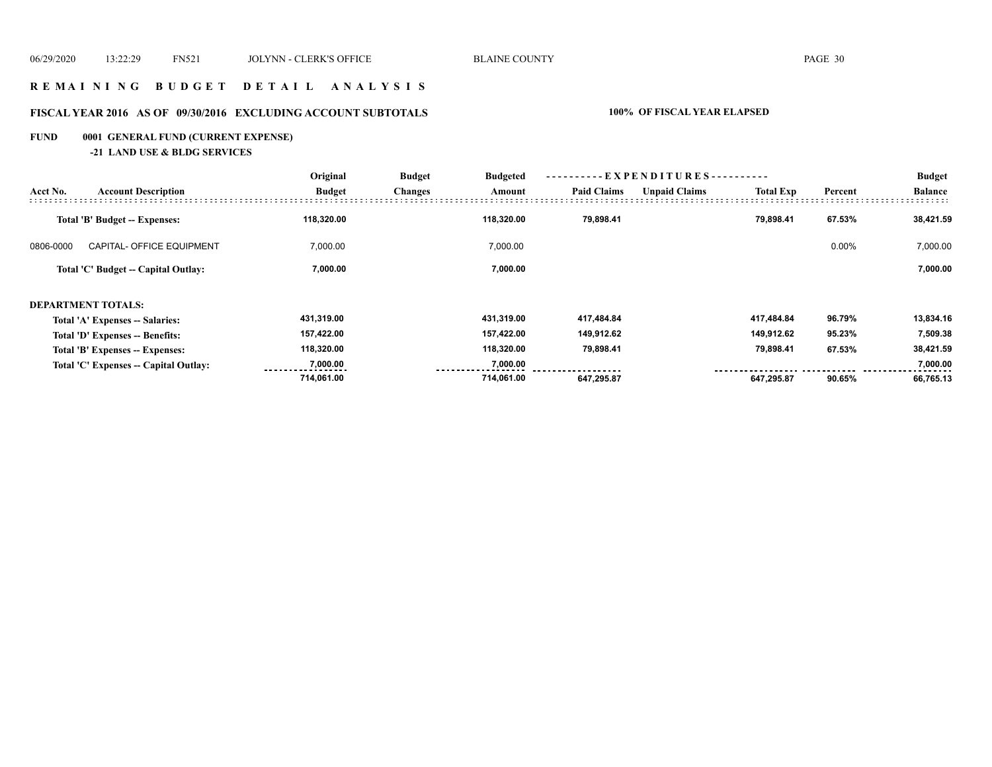### **R E M A I N I N G B U D G E T D E T A I L A N A L Y S I S**

# **FISCAL YEAR 2016 AS OF 09/30/2016 EXCLUDING ACCOUNT SUBTOTALS 100% OF FISCAL YEAR ELAPSED**

# **FUND 0001 GENERAL FUND (CURRENT EXPENSE)**

**-21 LAND USE & BLDG SERVICES**

|           |                                       | Original      | <b>Budget</b>  | <b>Budgeted</b><br>Amount | ----------EXPENDITURES---------- |                      |                  |         | <b>Budget</b>  |
|-----------|---------------------------------------|---------------|----------------|---------------------------|----------------------------------|----------------------|------------------|---------|----------------|
| Acct No.  | <b>Account Description</b>            | <b>Budget</b> | <b>Changes</b> |                           | <b>Paid Claims</b>               | <b>Unpaid Claims</b> | <b>Total Exp</b> | Percent | <b>Balance</b> |
|           | <b>Total 'B' Budget -- Expenses:</b>  | 118,320.00    |                | 118,320.00                | 79,898.41                        |                      | 79,898.41        | 67.53%  | 38,421.59      |
| 0806-0000 | <b>CAPITAL- OFFICE EQUIPMENT</b>      | 7,000.00      |                | 7,000.00                  |                                  |                      |                  | 0.00%   | 7,000.00       |
|           | Total 'C' Budget -- Capital Outlay:   | 7,000.00      |                | 7,000.00                  |                                  |                      |                  |         | 7,000.00       |
|           | <b>DEPARTMENT TOTALS:</b>             |               |                |                           |                                  |                      |                  |         |                |
|           | Total 'A' Expenses -- Salaries:       | 431,319.00    |                | 431,319.00                | 417,484.84                       |                      | 417,484.84       | 96.79%  | 13,834.16      |
|           | Total 'D' Expenses -- Benefits:       | 157,422.00    |                | 157.422.00                | 149,912.62                       |                      | 149,912.62       | 95.23%  | 7,509.38       |
|           | Total 'B' Expenses -- Expenses:       | 118,320.00    |                | 118,320.00                | 79,898.41                        |                      | 79,898.41        | 67.53%  | 38,421.59      |
|           | Total 'C' Expenses -- Capital Outlay: | 7,000.00      |                | 7,000.00                  |                                  |                      |                  |         | 7,000.00       |
|           |                                       | 714.061.00    |                | 714.061.00                | 647,295.87                       |                      | 647,295.87       | 90.65%  | 66,765.13      |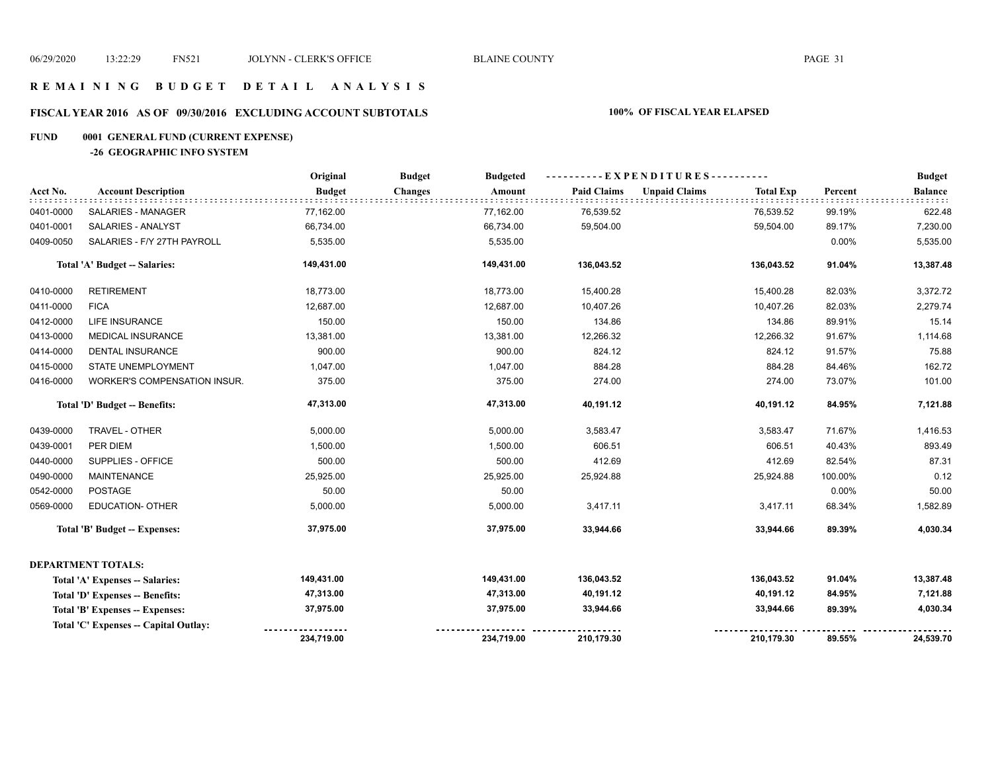#### **R E M A I N I N G B U D G E T D E T A I L A N A L Y S I S**

# **FISCAL YEAR 2016 AS OF 09/30/2016 EXCLUDING ACCOUNT SUBTOTALS 100% OF FISCAL YEAR ELAPSED**

# **FUND 0001 GENERAL FUND (CURRENT EXPENSE)**

#### **-26 GEOGRAPHIC INFO SYSTEM**

|           |                                      | Original      | <b>Budget</b><br><b>Budgeted</b> |                    | ----------EXPENDITURES----------         |         | <b>Budget</b>  |
|-----------|--------------------------------------|---------------|----------------------------------|--------------------|------------------------------------------|---------|----------------|
| Acct No.  | <b>Account Description</b>           | <b>Budget</b> | <b>Changes</b><br>Amount         | <b>Paid Claims</b> | <b>Unpaid Claims</b><br><b>Total Exp</b> | Percent | <b>Balance</b> |
| 0401-0000 | SALARIES - MANAGER                   | 77,162.00     | 77,162.00                        | 76,539.52          | 76,539.52                                | 99.19%  | 622.48         |
| 0401-0001 | SALARIES - ANALYST                   | 66,734.00     | 66,734.00                        | 59,504.00          | 59,504.00                                | 89.17%  | 7,230.00       |
| 0409-0050 | SALARIES - F/Y 27TH PAYROLL          | 5,535.00      | 5,535.00                         |                    |                                          | 0.00%   | 5,535.00       |
|           | Total 'A' Budget -- Salaries:        | 149,431.00    | 149,431.00                       | 136,043.52         | 136,043.52                               | 91.04%  | 13,387.48      |
| 0410-0000 | <b>RETIREMENT</b>                    | 18,773.00     | 18,773.00                        | 15,400.28          | 15,400.28                                | 82.03%  | 3,372.72       |
| 0411-0000 | <b>FICA</b>                          | 12,687.00     | 12,687.00                        | 10,407.26          | 10,407.26                                | 82.03%  | 2,279.74       |
| 0412-0000 | LIFE INSURANCE                       | 150.00        | 150.00                           | 134.86             | 134.86                                   | 89.91%  | 15.14          |
| 0413-0000 | <b>MEDICAL INSURANCE</b>             | 13,381.00     | 13,381.00                        | 12,266.32          | 12,266.32                                | 91.67%  | 1,114.68       |
| 0414-0000 | DENTAL INSURANCE                     | 900.00        | 900.00                           | 824.12             | 824.12                                   | 91.57%  | 75.88          |
| 0415-0000 | STATE UNEMPLOYMENT                   | 1,047.00      | 1,047.00                         | 884.28             | 884.28                                   | 84.46%  | 162.72         |
| 0416-0000 | <b>WORKER'S COMPENSATION INSUR.</b>  | 375.00        | 375.00                           | 274.00             | 274.00                                   | 73.07%  | 101.00         |
|           | Total 'D' Budget -- Benefits:        | 47,313.00     | 47,313.00                        | 40,191.12          | 40,191.12                                | 84.95%  | 7,121.88       |
| 0439-0000 | TRAVEL - OTHER                       | 5,000.00      | 5,000.00                         | 3,583.47           | 3,583.47                                 | 71.67%  | 1,416.53       |
| 0439-0001 | PER DIEM                             | 1,500.00      | 1,500.00                         | 606.51             | 606.51                                   | 40.43%  | 893.49         |
| 0440-0000 | SUPPLIES - OFFICE                    | 500.00        | 500.00                           | 412.69             | 412.69                                   | 82.54%  | 87.31          |
| 0490-0000 | <b>MAINTENANCE</b>                   | 25,925.00     | 25,925.00                        | 25,924.88          | 25,924.88                                | 100.00% | 0.12           |
| 0542-0000 | <b>POSTAGE</b>                       | 50.00         | 50.00                            |                    |                                          | 0.00%   | 50.00          |
| 0569-0000 | <b>EDUCATION- OTHER</b>              | 5,000.00      | 5,000.00                         | 3,417.11           | 3,417.11                                 | 68.34%  | 1,582.89       |
|           | Total 'B' Budget -- Expenses:        | 37,975.00     | 37,975.00                        | 33,944.66          | 33,944.66                                | 89.39%  | 4,030.34       |
|           | DEPARTMENT TOTALS:                   |               |                                  |                    |                                          |         |                |
|           | Total 'A' Expenses -- Salaries:      | 149,431.00    | 149,431.00                       | 136,043.52         | 136,043.52                               | 91.04%  | 13,387.48      |
|           | Total 'D' Expenses -- Benefits:      | 47,313.00     | 47,313.00                        | 40,191.12          | 40,191.12                                | 84.95%  | 7,121.88       |
|           | Total 'B' Expenses -- Expenses:      | 37,975.00     | 37,975.00                        | 33,944.66          | 33,944.66                                | 89.39%  | 4,030.34       |
|           | Total 'C' Expenses - Capital Outlay: |               |                                  |                    |                                          |         |                |
|           |                                      | 234,719.00    | 234,719.00                       | 210,179.30         | 210,179.30                               | 89.55%  | 24,539.70      |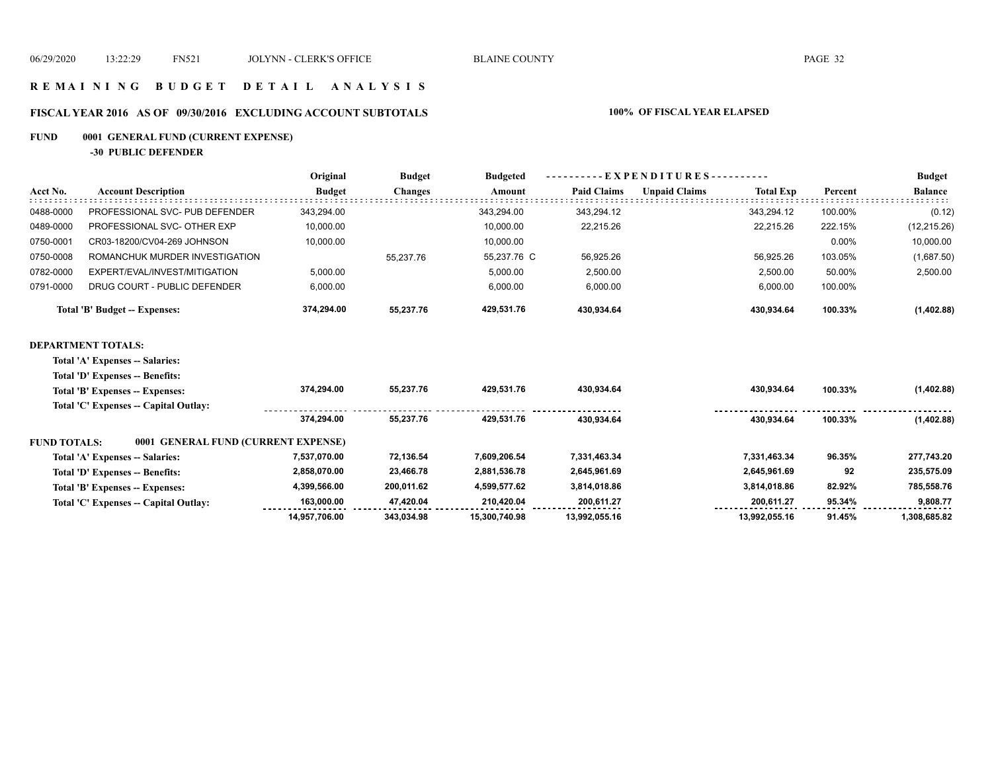#### **R E M A I N I N G B U D G E T D E T A I L A N A L Y S I S**

# **FISCAL YEAR 2016 AS OF 09/30/2016 EXCLUDING ACCOUNT SUBTOTALS 100% OF FISCAL YEAR ELAPSED**

# **FUND 0001 GENERAL FUND (CURRENT EXPENSE)**

**-30 PUBLIC DEFENDER**

|           |                                      | Original      |                |             | $-EXPENDITURES---$<br><b>Budgeted</b> |                      |                  |         | <b>Budget</b>  |
|-----------|--------------------------------------|---------------|----------------|-------------|---------------------------------------|----------------------|------------------|---------|----------------|
| Acct No.  | <b>Account Description</b>           | <b>Budget</b> | <b>Changes</b> | Amount      | <b>Paid Claims</b>                    | <b>Unpaid Claims</b> | <b>Total Exp</b> | Percent | <b>Balance</b> |
| 0488-0000 | PROFESSIONAL SVC- PUB DEFENDER       | 343.294.00    |                | 343.294.00  | 343.294.12                            |                      | 343.294.12       | 100.00% | (0.12)         |
| 0489-0000 | PROFESSIONAL SVC- OTHER EXP          | 10,000.00     |                | 10.000.00   | 22,215.26                             |                      | 22,215.26        | 222.15% | (12, 215.26)   |
| 0750-0001 | CR03-18200/CV04-269 JOHNSON          | 10,000.00     |                | 10,000.00   |                                       |                      |                  | 0.00%   | 10,000.00      |
| 0750-0008 | ROMANCHUK MURDER INVESTIGATION       |               | 55,237.76      | 55,237.76 C | 56,925.26                             |                      | 56,925.26        | 103.05% | (1,687.50)     |
| 0782-0000 | EXPERT/EVAL/INVEST/MITIGATION        | 5,000.00      |                | 5,000.00    | 2,500.00                              |                      | 2,500.00         | 50.00%  | 2,500.00       |
| 0791-0000 | DRUG COURT - PUBLIC DEFENDER         | 6,000.00      |                | 6,000.00    | 6,000.00                              |                      | 6,000.00         | 100.00% |                |
|           | <b>Total 'B' Budget -- Expenses:</b> | 374,294.00    | 55.237.76      | 429,531.76  | 430,934.64                            |                      | 430,934.64       | 100.33% | (1,402.88)     |
|           | DEPARTMENT TOTALS:                   |               |                |             |                                       |                      |                  |         |                |
|           | Total 'A' Expenses -- Salaries:      |               |                |             |                                       |                      |                  |         |                |

**Total 'D' Expenses -- Benefits:**

|                                 | Total 'B' Expenses -- Expenses:       | 374.294.00    | 55.237.76  | 429.531.76    | 430,934.64    | 430.934.64    | 100.33% | (1,402.88)   |
|---------------------------------|---------------------------------------|---------------|------------|---------------|---------------|---------------|---------|--------------|
|                                 | Total 'C' Expenses -- Capital Outlay: |               |            |               |               |               |         |              |
|                                 |                                       | 374.294.00    | 55.237.76  | 429.531.76    | 430.934.64    | 430.934.64    | 100.33% | (1,402.88)   |
| <b>FUND TOTALS:</b>             | 0001 GENERAL FUND (CURRENT EXPENSE)   |               |            |               |               |               |         |              |
| Total 'A' Expenses -- Salaries: |                                       | 7,537,070.00  | 72,136.54  | 7,609,206.54  | 7,331,463.34  | 7,331,463.34  | 96.35%  | 277,743.20   |
| Total 'D' Expenses -- Benefits: |                                       | 2,858,070.00  | 23,466.78  | 2,881,536.78  | 2,645,961.69  | 2,645,961.69  | 92      | 235,575.09   |
|                                 | Total 'B' Expenses -- Expenses:       | 4,399,566.00  | 200,011.62 | 4,599,577.62  | 3,814,018.86  | 3,814,018.86  | 82.92%  | 785,558.76   |
|                                 | Total 'C' Expenses - Capital Outlay:  | 163.000.00    | 47.420.04  | 210.420.04    | 200.611.27    | 200.611.27    | 95.34%  | 9.808.77     |
|                                 |                                       | 14,957,706.00 | 343.034.98 | 15,300,740.98 | 13,992,055.16 | 13,992,055.16 | 91.45%  | 1,308,685.82 |
|                                 |                                       |               |            |               |               |               |         |              |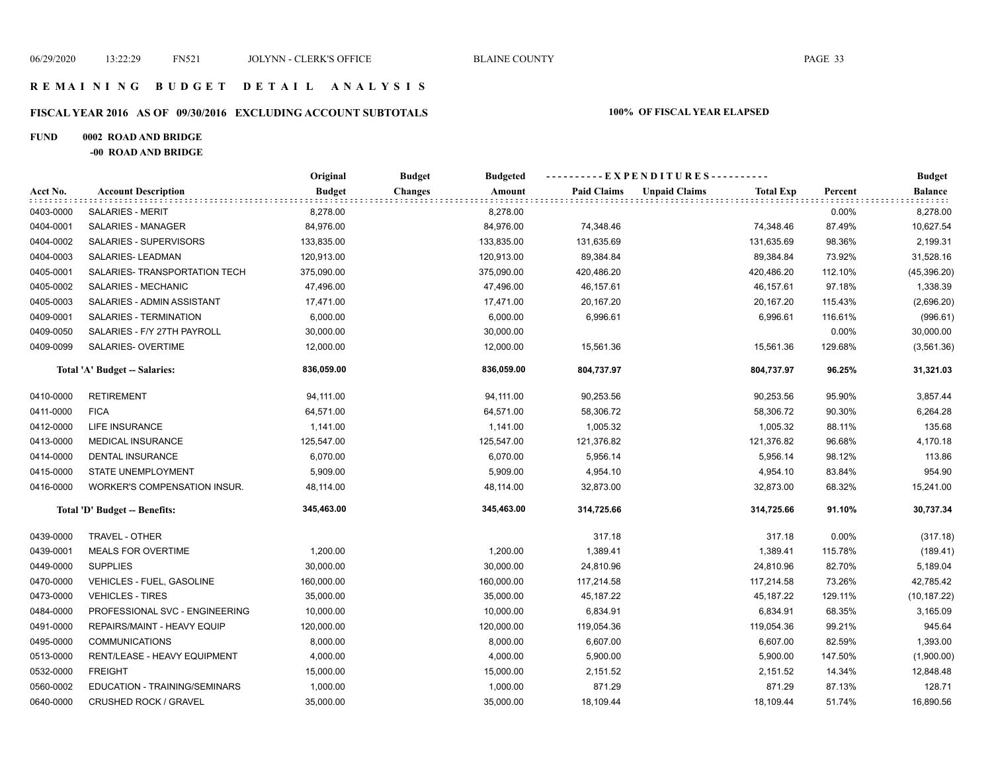#### **R E M A I N I N G B U D G E T D E T A I L A N A L Y S I S**

# **FISCAL YEAR 2016 AS OF 09/30/2016 EXCLUDING ACCOUNT SUBTOTALS 100% OF FISCAL YEAR ELAPSED**

#### **FUND 0002 ROAD AND BRIDGE**

**-00 ROAD AND BRIDGE**

|           |                                | Original      | <b>Budget</b><br><b>Budgeted</b> |                    | ----------EXPENDITURES----------         |         | <b>Budget</b>  |
|-----------|--------------------------------|---------------|----------------------------------|--------------------|------------------------------------------|---------|----------------|
| Acct No.  | <b>Account Description</b>     | <b>Budget</b> | Amount<br><b>Changes</b>         | <b>Paid Claims</b> | <b>Unpaid Claims</b><br><b>Total Exp</b> | Percent | <b>Balance</b> |
| 0403-0000 | <b>SALARIES - MERIT</b>        | 8,278.00      | 8,278.00                         |                    |                                          | 0.00%   | 8,278.00       |
| 0404-0001 | SALARIES - MANAGER             | 84,976.00     | 84,976.00                        | 74,348.46          | 74,348.46                                | 87.49%  | 10,627.54      |
| 0404-0002 | SALARIES - SUPERVISORS         | 133,835.00    | 133,835.00                       | 131,635.69         | 131,635.69                               | 98.36%  | 2,199.31       |
| 0404-0003 | SALARIES-LEADMAN               | 120,913.00    | 120,913.00                       | 89,384.84          | 89,384.84                                | 73.92%  | 31,528.16      |
| 0405-0001 | SALARIES- TRANSPORTATION TECH  | 375,090.00    | 375,090.00                       | 420,486.20         | 420,486.20                               | 112.10% | (45, 396.20)   |
| 0405-0002 | SALARIES - MECHANIC            | 47,496.00     | 47,496.00                        | 46,157.61          | 46,157.61                                | 97.18%  | 1,338.39       |
| 0405-0003 | SALARIES - ADMIN ASSISTANT     | 17,471.00     | 17,471.00                        | 20,167.20          | 20,167.20                                | 115.43% | (2,696.20)     |
| 0409-0001 | SALARIES - TERMINATION         | 6,000.00      | 6,000.00                         | 6,996.61           | 6,996.61                                 | 116.61% | (996.61)       |
| 0409-0050 | SALARIES - F/Y 27TH PAYROLL    | 30,000.00     | 30,000.00                        |                    |                                          | 0.00%   | 30,000.00      |
| 0409-0099 | SALARIES- OVERTIME             | 12,000.00     | 12,000.00                        | 15,561.36          | 15,561.36                                | 129.68% | (3, 561.36)    |
|           | Total 'A' Budget -- Salaries:  | 836,059.00    | 836,059.00                       | 804,737.97         | 804,737.97                               | 96.25%  | 31,321.03      |
| 0410-0000 | <b>RETIREMENT</b>              | 94,111.00     | 94,111.00                        | 90,253.56          | 90,253.56                                | 95.90%  | 3,857.44       |
| 0411-0000 | <b>FICA</b>                    | 64,571.00     | 64,571.00                        | 58,306.72          | 58,306.72                                | 90.30%  | 6,264.28       |
| 0412-0000 | LIFE INSURANCE                 | 1,141.00      | 1,141.00                         | 1,005.32           | 1,005.32                                 | 88.11%  | 135.68         |
| 0413-0000 | <b>MEDICAL INSURANCE</b>       | 125,547.00    | 125,547.00                       | 121,376.82         | 121,376.82                               | 96.68%  | 4,170.18       |
| 0414-0000 | DENTAL INSURANCE               | 6,070.00      | 6,070.00                         | 5,956.14           | 5,956.14                                 | 98.12%  | 113.86         |
| 0415-0000 | STATE UNEMPLOYMENT             | 5,909.00      | 5,909.00                         | 4,954.10           | 4,954.10                                 | 83.84%  | 954.90         |
| 0416-0000 | WORKER'S COMPENSATION INSUR.   | 48,114.00     | 48,114.00                        | 32,873.00          | 32,873.00                                | 68.32%  | 15,241.00      |
|           | Total 'D' Budget -- Benefits:  | 345,463.00    | 345,463.00                       | 314,725.66         | 314,725.66                               | 91.10%  | 30,737.34      |
| 0439-0000 | TRAVEL - OTHER                 |               |                                  | 317.18             | 317.18                                   | 0.00%   | (317.18)       |
| 0439-0001 | <b>MEALS FOR OVERTIME</b>      | 1,200.00      | 1,200.00                         | 1,389.41           | 1,389.41                                 | 115.78% | (189.41)       |
| 0449-0000 | <b>SUPPLIES</b>                | 30,000.00     | 30,000.00                        | 24,810.96          | 24,810.96                                | 82.70%  | 5,189.04       |
| 0470-0000 | VEHICLES - FUEL, GASOLINE      | 160,000.00    | 160,000.00                       | 117,214.58         | 117,214.58                               | 73.26%  | 42,785.42      |
| 0473-0000 | <b>VEHICLES - TIRES</b>        | 35,000.00     | 35,000.00                        | 45,187.22          | 45,187.22                                | 129.11% | (10, 187.22)   |
| 0484-0000 | PROFESSIONAL SVC - ENGINEERING | 10,000.00     | 10,000.00                        | 6,834.91           | 6,834.91                                 | 68.35%  | 3,165.09       |
| 0491-0000 | REPAIRS/MAINT - HEAVY EQUIP    | 120,000.00    | 120,000.00                       | 119,054.36         | 119,054.36                               | 99.21%  | 945.64         |
| 0495-0000 | <b>COMMUNICATIONS</b>          | 8,000.00      | 8,000.00                         | 6,607.00           | 6,607.00                                 | 82.59%  | 1,393.00       |
| 0513-0000 | RENT/LEASE - HEAVY EQUIPMENT   | 4,000.00      | 4,000.00                         | 5,900.00           | 5,900.00                                 | 147.50% | (1,900.00)     |
| 0532-0000 | <b>FREIGHT</b>                 | 15,000.00     | 15,000.00                        | 2,151.52           | 2,151.52                                 | 14.34%  | 12,848.48      |
| 0560-0002 | EDUCATION - TRAINING/SEMINARS  | 1,000.00      | 1,000.00                         | 871.29             | 871.29                                   | 87.13%  | 128.71         |
| 0640-0000 | <b>CRUSHED ROCK / GRAVEL</b>   | 35,000.00     | 35,000.00                        | 18,109.44          | 18,109.44                                | 51.74%  | 16,890.56      |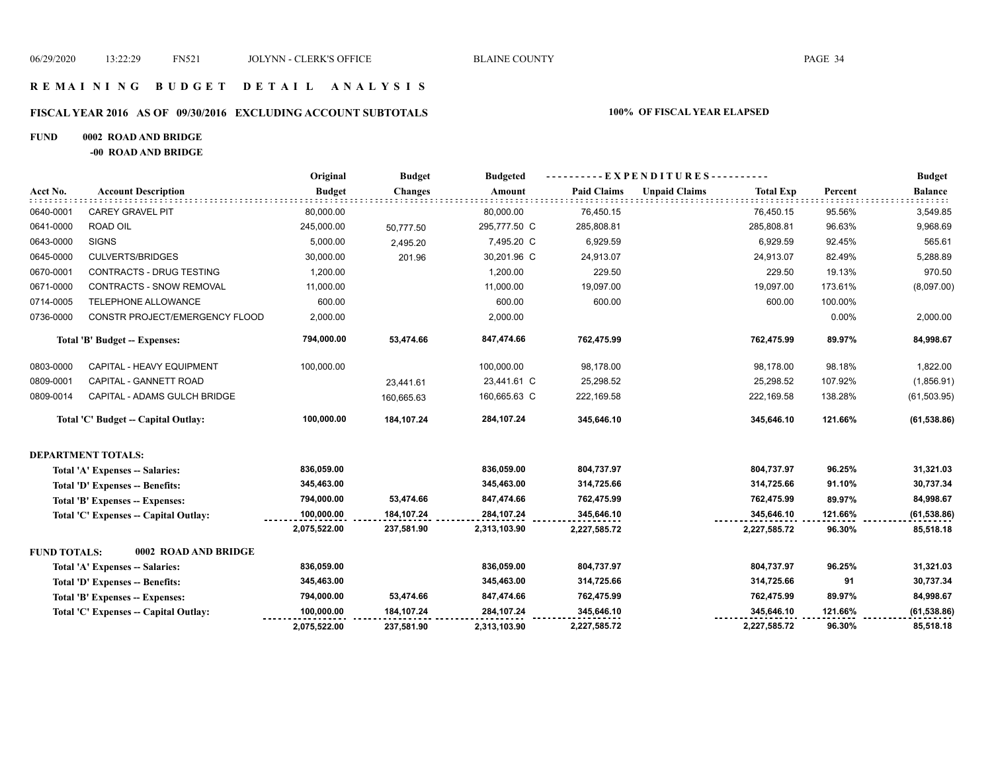# **R E M A I N I N G B U D G E T D E T A I L A N A L Y S I S**

#### **FISCAL YEAR 2016 AS OF 09/30/2016 EXCLUDING ACCOUNT SUBTOTALS 100% OF FISCAL YEAR ELAPSED**

#### **FUND 0002 ROAD AND BRIDGE**

**-00 ROAD AND BRIDGE**

|                     |                                      | Original      | <b>Budget</b>  | <b>Budgeted</b> | ----------EXPENDITURES---------- |                      |                  |         | <b>Budget</b>  |
|---------------------|--------------------------------------|---------------|----------------|-----------------|----------------------------------|----------------------|------------------|---------|----------------|
| Acct No.            | <b>Account Description</b>           | <b>Budget</b> | <b>Changes</b> | Amount          | <b>Paid Claims</b>               | <b>Unpaid Claims</b> | <b>Total Exp</b> | Percent | <b>Balance</b> |
| 0640-0001           | <b>CAREY GRAVEL PIT</b>              | 80,000.00     |                | 80,000.00       | 76,450.15                        |                      | 76,450.15        | 95.56%  | 3,549.85       |
| 0641-0000           | <b>ROAD OIL</b>                      | 245,000.00    | 50,777.50      | 295,777.50 C    | 285,808.81                       |                      | 285,808.81       | 96.63%  | 9,968.69       |
| 0643-0000           | <b>SIGNS</b>                         | 5,000.00      | 2,495.20       | 7,495.20 C      | 6,929.59                         |                      | 6,929.59         | 92.45%  | 565.61         |
| 0645-0000           | <b>CULVERTS/BRIDGES</b>              | 30,000.00     | 201.96         | 30,201.96 C     | 24,913.07                        |                      | 24,913.07        | 82.49%  | 5,288.89       |
| 0670-0001           | CONTRACTS - DRUG TESTING             | 1,200.00      |                | 1,200.00        | 229.50                           |                      | 229.50           | 19.13%  | 970.50         |
| 0671-0000           | CONTRACTS - SNOW REMOVAL             | 11,000.00     |                | 11,000.00       | 19,097.00                        |                      | 19,097.00        | 173.61% | (8,097.00)     |
| 0714-0005           | TELEPHONE ALLOWANCE                  | 600.00        |                | 600.00          | 600.00                           |                      | 600.00           | 100.00% |                |
| 0736-0000           | CONSTR PROJECT/EMERGENCY FLOOD       | 2,000.00      |                | 2,000.00        |                                  |                      |                  | 0.00%   | 2,000.00       |
|                     | Total 'B' Budget -- Expenses:        | 794,000.00    | 53,474.66      | 847,474.66      | 762,475.99                       |                      | 762,475.99       | 89.97%  | 84,998.67      |
| 0803-0000           | CAPITAL - HEAVY EQUIPMENT            | 100,000.00    |                | 100,000.00      | 98,178.00                        |                      | 98,178.00        | 98.18%  | 1,822.00       |
| 0809-0001           | CAPITAL - GANNETT ROAD               |               | 23,441.61      | 23,441.61 C     | 25,298.52                        |                      | 25,298.52        | 107.92% | (1,856.91)     |
| 0809-0014           | CAPITAL - ADAMS GULCH BRIDGE         |               | 160.665.63     | 160,665.63 C    | 222,169.58                       |                      | 222,169.58       | 138.28% | (61, 503.95)   |
|                     | Total 'C' Budget -- Capital Outlay:  | 100,000.00    | 184,107.24     | 284,107.24      | 345,646.10                       |                      | 345,646.10       | 121.66% | (61, 538.86)   |
|                     | <b>DEPARTMENT TOTALS:</b>            |               |                |                 |                                  |                      |                  |         |                |
|                     | Total 'A' Expenses -- Salaries:      | 836,059.00    |                | 836,059.00      | 804,737.97                       |                      | 804,737.97       | 96.25%  | 31,321.03      |
|                     | Total 'D' Expenses -- Benefits:      | 345,463.00    |                | 345,463.00      | 314,725.66                       |                      | 314,725.66       | 91.10%  | 30,737.34      |
|                     | Total 'B' Expenses -- Expenses:      | 794,000.00    | 53,474.66      | 847,474.66      | 762,475.99                       |                      | 762,475.99       | 89.97%  | 84,998.67      |
|                     | Total 'C' Expenses - Capital Outlay: | 100,000.00    | 184,107.24     | 284,107.24      | 345,646.10                       |                      | 345,646.10       | 121.66% | (61, 538.86)   |
|                     |                                      | 2,075,522.00  | 237,581.90     | 2,313,103.90    | 2,227,585.72                     |                      | 2,227,585.72     | 96.30%  | 85,518.18      |
| <b>FUND TOTALS:</b> | 0002 ROAD AND BRIDGE                 |               |                |                 |                                  |                      |                  |         |                |
|                     | Total 'A' Expenses -- Salaries:      | 836,059.00    |                | 836,059.00      | 804,737.97                       |                      | 804,737.97       | 96.25%  | 31,321.03      |
|                     | Total 'D' Expenses -- Benefits:      | 345,463.00    |                | 345,463.00      | 314,725.66                       |                      | 314,725.66       | 91      | 30,737.34      |
|                     | Total 'B' Expenses -- Expenses:      | 794,000.00    | 53,474.66      | 847,474.66      | 762,475.99                       |                      | 762,475.99       | 89.97%  | 84,998.67      |
|                     | Total 'C' Expenses - Capital Outlay: | 100,000.00    | 184,107.24     | 284,107.24      | 345,646.10                       |                      | 345,646.10       | 121.66% | (61, 538.86)   |
|                     |                                      | 2,075,522.00  | 237,581.90     | 2,313,103.90    | 2,227,585.72                     |                      | 2,227,585.72     | 96.30%  | 85,518.18      |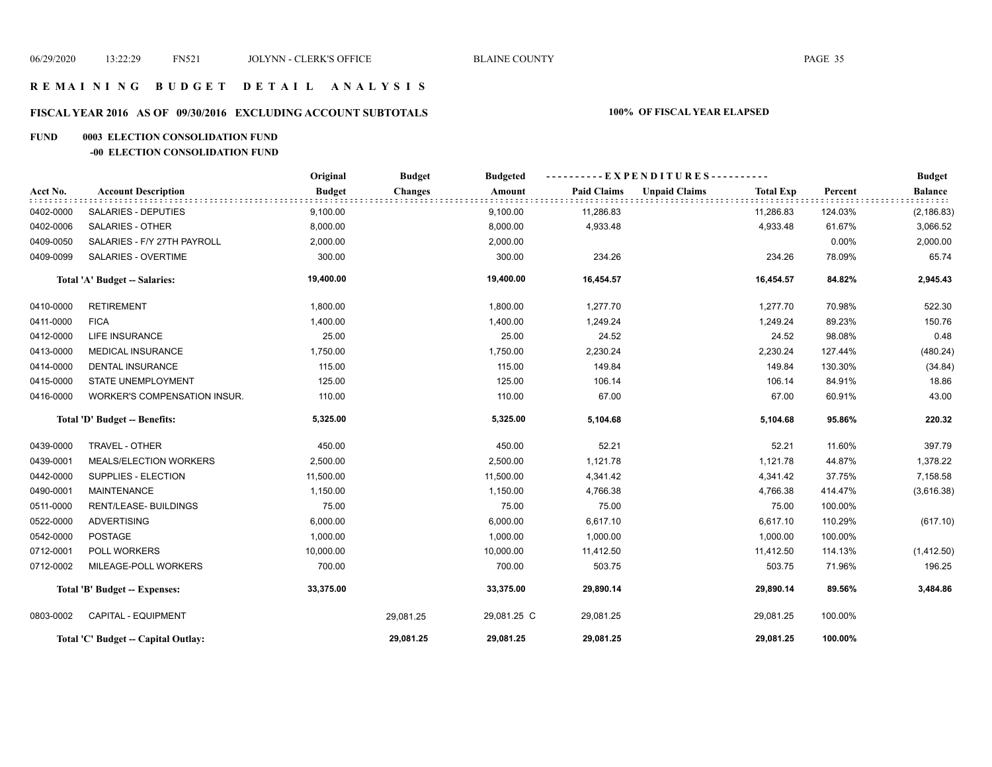#### **R E M A I N I N G B U D G E T D E T A I L A N A L Y S I S**

#### **FISCAL YEAR 2016 AS OF 09/30/2016 EXCLUDING ACCOUNT SUBTOTALS 100% OF FISCAL YEAR ELAPSED**

#### **FUND 0003 ELECTION CONSOLIDATION FUND**

#### **-00 ELECTION CONSOLIDATION FUND**

|           |                                     | Original      | <b>Budget</b>  | <b>Budgeted</b> | ----------EXPENDITURES---------- |                      |                  |         | <b>Budget</b>  |
|-----------|-------------------------------------|---------------|----------------|-----------------|----------------------------------|----------------------|------------------|---------|----------------|
| Acct No.  | <b>Account Description</b>          | <b>Budget</b> | <b>Changes</b> | Amount          | <b>Paid Claims</b>               | <b>Unpaid Claims</b> | <b>Total Exp</b> | Percent | <b>Balance</b> |
| 0402-0000 | <b>SALARIES - DEPUTIES</b>          | 9,100.00      |                | 9,100.00        | 11,286.83                        |                      | 11,286.83        | 124.03% | (2, 186.83)    |
| 0402-0006 | <b>SALARIES - OTHER</b>             | 8,000.00      |                | 8,000.00        | 4,933.48                         |                      | 4,933.48         | 61.67%  | 3,066.52       |
| 0409-0050 | SALARIES - F/Y 27TH PAYROLL         | 2,000.00      |                | 2,000.00        |                                  |                      |                  | 0.00%   | 2,000.00       |
| 0409-0099 | <b>SALARIES - OVERTIME</b>          | 300.00        |                | 300.00          | 234.26                           |                      | 234.26           | 78.09%  | 65.74          |
|           | Total 'A' Budget -- Salaries:       | 19,400.00     |                | 19,400.00       | 16,454.57                        |                      | 16,454.57        | 84.82%  | 2,945.43       |
| 0410-0000 | <b>RETIREMENT</b>                   | 1,800.00      |                | 1,800.00        | 1,277.70                         |                      | 1,277.70         | 70.98%  | 522.30         |
| 0411-0000 | <b>FICA</b>                         | 1,400.00      |                | 1,400.00        | 1,249.24                         |                      | 1,249.24         | 89.23%  | 150.76         |
| 0412-0000 | LIFE INSURANCE                      | 25.00         |                | 25.00           | 24.52                            |                      | 24.52            | 98.08%  | 0.48           |
| 0413-0000 | <b>MEDICAL INSURANCE</b>            | 1,750.00      |                | 1,750.00        | 2,230.24                         |                      | 2,230.24         | 127.44% | (480.24)       |
| 0414-0000 | <b>DENTAL INSURANCE</b>             | 115.00        |                | 115.00          | 149.84                           |                      | 149.84           | 130.30% | (34.84)        |
| 0415-0000 | <b>STATE UNEMPLOYMENT</b>           | 125.00        |                | 125.00          | 106.14                           |                      | 106.14           | 84.91%  | 18.86          |
| 0416-0000 | WORKER'S COMPENSATION INSUR.        | 110.00        |                | 110.00          | 67.00                            |                      | 67.00            | 60.91%  | 43.00          |
|           | Total 'D' Budget -- Benefits:       | 5,325.00      |                | 5,325.00        | 5,104.68                         |                      | 5,104.68         | 95.86%  | 220.32         |
| 0439-0000 | TRAVEL - OTHER                      | 450.00        |                | 450.00          | 52.21                            |                      | 52.21            | 11.60%  | 397.79         |
| 0439-0001 | MEALS/ELECTION WORKERS              | 2,500.00      |                | 2,500.00        | 1,121.78                         |                      | 1,121.78         | 44.87%  | 1,378.22       |
| 0442-0000 | SUPPLIES - ELECTION                 | 11,500.00     |                | 11,500.00       | 4,341.42                         |                      | 4,341.42         | 37.75%  | 7,158.58       |
| 0490-0001 | <b>MAINTENANCE</b>                  | 1,150.00      |                | 1,150.00        | 4,766.38                         |                      | 4,766.38         | 414.47% | (3,616.38)     |
| 0511-0000 | <b>RENT/LEASE- BUILDINGS</b>        | 75.00         |                | 75.00           | 75.00                            |                      | 75.00            | 100.00% |                |
| 0522-0000 | <b>ADVERTISING</b>                  | 6,000.00      |                | 6,000.00        | 6,617.10                         |                      | 6,617.10         | 110.29% | (617.10)       |
| 0542-0000 | <b>POSTAGE</b>                      | 1,000.00      |                | 1,000.00        | 1,000.00                         |                      | 1,000.00         | 100.00% |                |
| 0712-0001 | POLL WORKERS                        | 10,000.00     |                | 10,000.00       | 11,412.50                        |                      | 11,412.50        | 114.13% | (1,412.50)     |
| 0712-0002 | MILEAGE-POLL WORKERS                | 700.00        |                | 700.00          | 503.75                           |                      | 503.75           | 71.96%  | 196.25         |
|           | Total 'B' Budget -- Expenses:       | 33,375.00     |                | 33,375.00       | 29,890.14                        |                      | 29,890.14        | 89.56%  | 3,484.86       |
| 0803-0002 | CAPITAL - EQUIPMENT                 |               | 29,081.25      | 29,081.25 C     | 29,081.25                        |                      | 29,081.25        | 100.00% |                |
|           | Total 'C' Budget -- Capital Outlay: |               | 29,081.25      | 29,081.25       | 29,081.25                        |                      | 29,081.25        | 100.00% |                |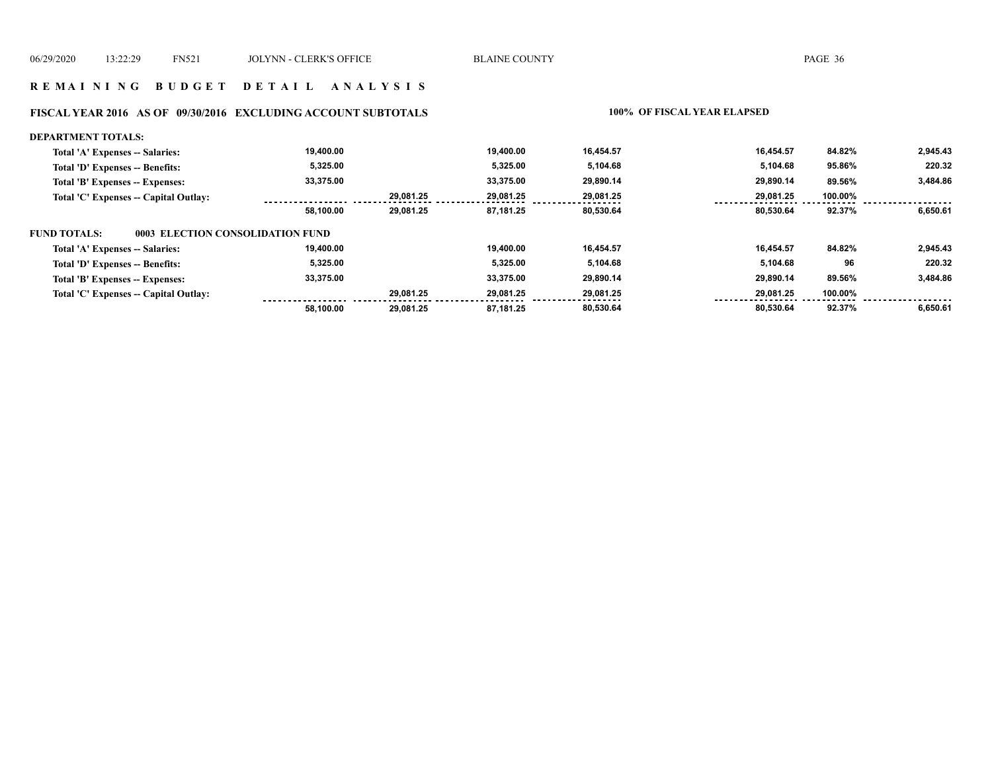#### **R E M A I N I N G B U D G E T D E T A I L A N A L Y S I S**

# **FISCAL YEAR 2016 AS OF 09/30/2016 EXCLUDING ACCOUNT SUBTOTALS 100% OF FISCAL YEAR ELAPSED**

| <b>DEPARTMENT TOTALS:</b>                               |           |           |           |           |           |         |          |
|---------------------------------------------------------|-----------|-----------|-----------|-----------|-----------|---------|----------|
| Total 'A' Expenses -- Salaries:                         | 19.400.00 |           | 19,400.00 | 16.454.57 | 16.454.57 | 84.82%  | 2,945.43 |
| Total 'D' Expenses -- Benefits:                         | 5,325.00  |           | 5,325.00  | 5,104.68  | 5,104.68  | 95.86%  | 220.32   |
| Total 'B' Expenses -- Expenses:                         | 33,375.00 |           | 33,375.00 | 29,890.14 | 29,890.14 | 89.56%  | 3,484.86 |
| Total 'C' Expenses -- Capital Outlay:                   |           | 29.081.25 | 29.081.25 | 29,081.25 | 29,081.25 | 100.00% |          |
|                                                         | 58,100.00 | 29,081.25 | 87,181.25 | 80,530.64 | 80,530.64 | 92.37%  | 6,650.61 |
| <b>FUND TOTALS:</b><br>0003 ELECTION CONSOLIDATION FUND |           |           |           |           |           |         |          |
| Total 'A' Expenses -- Salaries:                         | 19,400.00 |           | 19,400.00 | 16,454.57 | 16.454.57 | 84.82%  | 2,945.43 |
| Total 'D' Expenses -- Benefits:                         | 5.325.00  |           | 5,325.00  | 5,104.68  | 5.104.68  | 96      | 220.32   |
| Total 'B' Expenses -- Expenses:                         | 33,375.00 |           | 33.375.00 | 29,890.14 | 29.890.14 | 89.56%  | 3,484.86 |
| Total 'C' Expenses -- Capital Outlay:                   |           | 29.081.25 | 29,081.25 | 29,081.25 | 29,081.25 | 100.00% |          |
|                                                         | 58.100.00 | 29.081.25 | 87.181.25 | 80.530.64 | 80.530.64 | 92.37%  | 6,650.61 |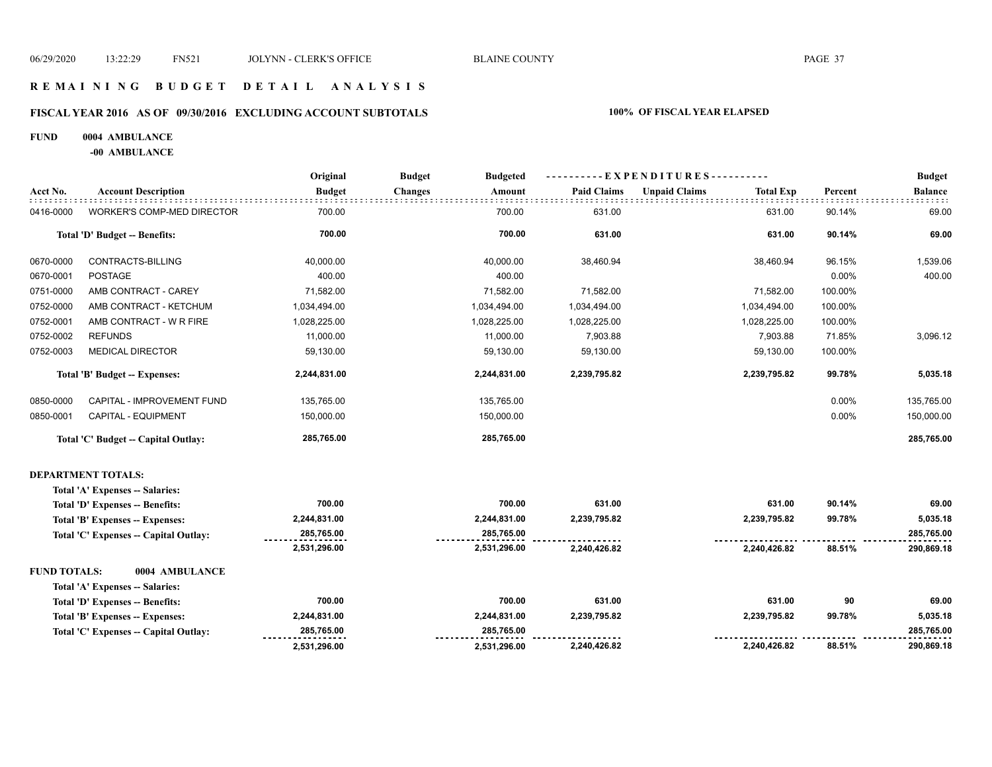# **R E M A I N I N G B U D G E T D E T A I L A N A L Y S I S**

#### **FISCAL YEAR 2016 AS OF 09/30/2016 EXCLUDING ACCOUNT SUBTOTALS 100% OF FISCAL YEAR ELAPSED**

#### **FUND 0004 AMBULANCE**

**-00 AMBULANCE**

|                     |                                      | Original      | <b>Budget</b><br><b>Budgeted</b> | ----------EXPENDITURES---------- |                                          | <b>Budget</b> |                |
|---------------------|--------------------------------------|---------------|----------------------------------|----------------------------------|------------------------------------------|---------------|----------------|
| Acct No.            | <b>Account Description</b>           | <b>Budget</b> | <b>Changes</b><br>Amount         | <b>Paid Claims</b>               | <b>Unpaid Claims</b><br><b>Total Exp</b> | Percent       | <b>Balance</b> |
| 0416-0000           | <b>WORKER'S COMP-MED DIRECTOR</b>    | 700.00        | 700.00                           | 631.00                           | 631.00                                   | 90.14%        | 69.00          |
|                     | Total 'D' Budget -- Benefits:        | 700.00        | 700.00                           | 631.00                           | 631.00                                   | 90.14%        | 69.00          |
| 0670-0000           | CONTRACTS-BILLING                    | 40,000.00     | 40,000.00                        | 38,460.94                        | 38,460.94                                | 96.15%        | 1,539.06       |
| 0670-0001           | <b>POSTAGE</b>                       | 400.00        | 400.00                           |                                  |                                          | 0.00%         | 400.00         |
| 0751-0000           | AMB CONTRACT - CAREY                 | 71,582.00     | 71,582.00                        | 71,582.00                        | 71,582.00                                | 100.00%       |                |
| 0752-0000           | AMB CONTRACT - KETCHUM               | 1,034,494.00  | 1,034,494.00                     | 1,034,494.00                     | 1,034,494.00                             | 100.00%       |                |
| 0752-0001           | AMB CONTRACT - W R FIRE              | 1,028,225.00  | 1,028,225.00                     | 1,028,225.00                     | 1,028,225.00                             | 100.00%       |                |
| 0752-0002           | <b>REFUNDS</b>                       | 11,000.00     | 11,000.00                        | 7,903.88                         | 7,903.88                                 | 71.85%        | 3,096.12       |
| 0752-0003           | <b>MEDICAL DIRECTOR</b>              | 59,130.00     | 59,130.00                        | 59,130.00                        | 59,130.00                                | 100.00%       |                |
|                     | Total 'B' Budget -- Expenses:        | 2,244,831.00  | 2,244,831.00                     | 2,239,795.82                     | 2,239,795.82                             | 99.78%        | 5,035.18       |
| 0850-0000           | CAPITAL - IMPROVEMENT FUND           | 135,765.00    | 135,765.00                       |                                  |                                          | 0.00%         | 135,765.00     |
| 0850-0001           | CAPITAL - EQUIPMENT                  | 150,000.00    | 150,000.00                       |                                  |                                          | 0.00%         | 150,000.00     |
|                     | Total 'C' Budget -- Capital Outlay:  | 285,765.00    | 285,765.00                       |                                  |                                          |               | 285,765.00     |
|                     | <b>DEPARTMENT TOTALS:</b>            |               |                                  |                                  |                                          |               |                |
|                     | Total 'A' Expenses -- Salaries:      |               |                                  |                                  |                                          |               |                |
|                     | Total 'D' Expenses -- Benefits:      | 700.00        | 700.00                           | 631.00                           | 631.00                                   | 90.14%        | 69.00          |
|                     | Total 'B' Expenses -- Expenses:      | 2,244,831.00  | 2,244,831.00                     | 2,239,795.82                     | 2,239,795.82                             | 99.78%        | 5,035.18       |
|                     | Total 'C' Expenses - Capital Outlay: | 285,765.00    | 285,765.00                       |                                  |                                          |               | 285,765.00     |
|                     |                                      | 2,531,296.00  | 2,531,296.00                     | 2,240,426.82                     | 2,240,426.82                             | 88.51%        | 290,869.18     |
| <b>FUND TOTALS:</b> | 0004 AMBULANCE                       |               |                                  |                                  |                                          |               |                |
|                     | Total 'A' Expenses -- Salaries:      |               |                                  |                                  |                                          |               |                |
|                     | Total 'D' Expenses -- Benefits:      | 700.00        | 700.00                           | 631.00                           | 631.00                                   | 90            | 69.00          |
|                     | Total 'B' Expenses -- Expenses:      | 2,244,831.00  | 2,244,831.00                     | 2,239,795.82                     | 2,239,795.82                             | 99.78%        | 5,035.18       |
|                     | Total 'C' Expenses - Capital Outlay: | 285,765.00    | 285,765.00                       |                                  |                                          |               | 285,765.00     |
|                     |                                      | 2,531,296.00  | 2,531,296.00                     | 2,240,426.82                     | 2,240,426.82                             | 88.51%        | 290,869.18     |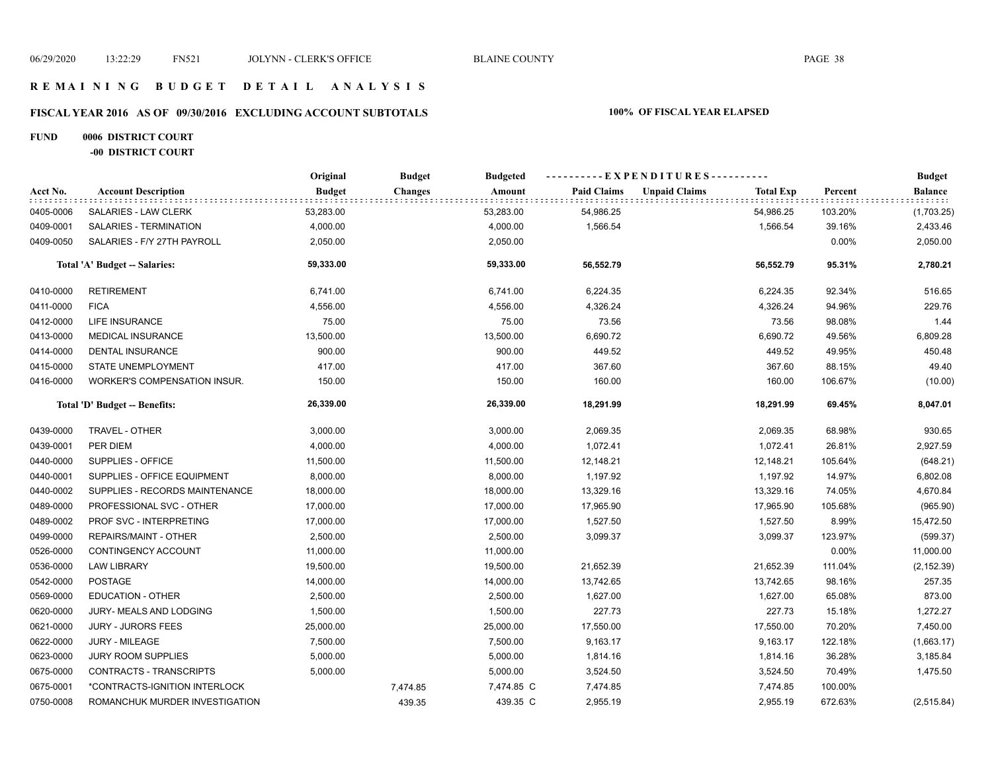### **R E M A I N I N G B U D G E T D E T A I L A N A L Y S I S**

# **FISCAL YEAR 2016 AS OF 09/30/2016 EXCLUDING ACCOUNT SUBTOTALS 100% OF FISCAL YEAR ELAPSED**

# **FUND 0006 DISTRICT COURT**

**-00 DISTRICT COURT**

|           |                                | Original      | <b>Budget</b>  | <b>Budgeted</b> | ---------- EXPENDITURES---------- |                      |                  | <b>Budget</b> |                  |
|-----------|--------------------------------|---------------|----------------|-----------------|-----------------------------------|----------------------|------------------|---------------|------------------|
| Acct No.  | <b>Account Description</b>     | <b>Budget</b> | <b>Changes</b> | Amount          | <b>Paid Claims</b>                | <b>Unpaid Claims</b> | <b>Total Exp</b> | Percent       | Balance<br>rrrrr |
| 0405-0006 | SALARIES - LAW CLERK           | 53,283.00     |                | 53,283.00       | 54,986.25                         |                      | 54,986.25        | 103.20%       | (1,703.25)       |
| 0409-0001 | SALARIES - TERMINATION         | 4,000.00      |                | 4,000.00        | 1,566.54                          |                      | 1,566.54         | 39.16%        | 2,433.46         |
| 0409-0050 | SALARIES - F/Y 27TH PAYROLL    | 2,050.00      |                | 2,050.00        |                                   |                      |                  | 0.00%         | 2,050.00         |
|           | Total 'A' Budget -- Salaries:  | 59,333.00     |                | 59,333.00       | 56,552.79                         |                      | 56,552.79        | 95.31%        | 2,780.21         |
| 0410-0000 | <b>RETIREMENT</b>              | 6,741.00      |                | 6,741.00        | 6,224.35                          |                      | 6,224.35         | 92.34%        | 516.65           |
| 0411-0000 | <b>FICA</b>                    | 4,556.00      |                | 4,556.00        | 4,326.24                          |                      | 4,326.24         | 94.96%        | 229.76           |
| 0412-0000 | <b>LIFE INSURANCE</b>          | 75.00         |                | 75.00           | 73.56                             |                      | 73.56            | 98.08%        | 1.44             |
| 0413-0000 | <b>MEDICAL INSURANCE</b>       | 13,500.00     |                | 13,500.00       | 6,690.72                          |                      | 6,690.72         | 49.56%        | 6,809.28         |
| 0414-0000 | <b>DENTAL INSURANCE</b>        | 900.00        |                | 900.00          | 449.52                            |                      | 449.52           | 49.95%        | 450.48           |
| 0415-0000 | STATE UNEMPLOYMENT             | 417.00        |                | 417.00          | 367.60                            |                      | 367.60           | 88.15%        | 49.40            |
| 0416-0000 | WORKER'S COMPENSATION INSUR.   | 150.00        |                | 150.00          | 160.00                            |                      | 160.00           | 106.67%       | (10.00)          |
|           | Total 'D' Budget -- Benefits:  | 26,339.00     |                | 26,339.00       | 18,291.99                         |                      | 18,291.99        | 69.45%        | 8,047.01         |
| 0439-0000 | TRAVEL - OTHER                 | 3,000.00      |                | 3,000.00        | 2,069.35                          |                      | 2,069.35         | 68.98%        | 930.65           |
| 0439-0001 | PER DIEM                       | 4,000.00      |                | 4,000.00        | 1,072.41                          |                      | 1,072.41         | 26.81%        | 2,927.59         |
| 0440-0000 | SUPPLIES - OFFICE              | 11,500.00     |                | 11,500.00       | 12,148.21                         |                      | 12,148.21        | 105.64%       | (648.21)         |
| 0440-0001 | SUPPLIES - OFFICE EQUIPMENT    | 8,000.00      |                | 8,000.00        | 1,197.92                          |                      | 1,197.92         | 14.97%        | 6,802.08         |
| 0440-0002 | SUPPLIES - RECORDS MAINTENANCE | 18,000.00     |                | 18,000.00       | 13,329.16                         |                      | 13,329.16        | 74.05%        | 4,670.84         |
| 0489-0000 | PROFESSIONAL SVC - OTHER       | 17,000.00     |                | 17,000.00       | 17,965.90                         |                      | 17,965.90        | 105.68%       | (965.90)         |
| 0489-0002 | PROF SVC - INTERPRETING        | 17,000.00     |                | 17,000.00       | 1,527.50                          |                      | 1,527.50         | 8.99%         | 15,472.50        |
| 0499-0000 | REPAIRS/MAINT - OTHER          | 2,500.00      |                | 2,500.00        | 3,099.37                          |                      | 3,099.37         | 123.97%       | (599.37)         |
| 0526-0000 | CONTINGENCY ACCOUNT            | 11,000.00     |                | 11,000.00       |                                   |                      |                  | 0.00%         | 11,000.00        |
| 0536-0000 | <b>LAW LIBRARY</b>             | 19,500.00     |                | 19,500.00       | 21,652.39                         |                      | 21,652.39        | 111.04%       | (2, 152.39)      |
| 0542-0000 | <b>POSTAGE</b>                 | 14,000.00     |                | 14,000.00       | 13,742.65                         |                      | 13,742.65        | 98.16%        | 257.35           |
| 0569-0000 | <b>EDUCATION - OTHER</b>       | 2,500.00      |                | 2,500.00        | 1,627.00                          |                      | 1,627.00         | 65.08%        | 873.00           |
| 0620-0000 | JURY- MEALS AND LODGING        | 1,500.00      |                | 1,500.00        | 227.73                            |                      | 227.73           | 15.18%        | 1,272.27         |
| 0621-0000 | <b>JURY - JURORS FEES</b>      | 25,000.00     |                | 25,000.00       | 17,550.00                         |                      | 17,550.00        | 70.20%        | 7,450.00         |
| 0622-0000 | <b>JURY - MILEAGE</b>          | 7,500.00      |                | 7,500.00        | 9,163.17                          |                      | 9,163.17         | 122.18%       | (1,663.17)       |
| 0623-0000 | <b>JURY ROOM SUPPLIES</b>      | 5,000.00      |                | 5,000.00        | 1,814.16                          |                      | 1,814.16         | 36.28%        | 3,185.84         |
| 0675-0000 | CONTRACTS - TRANSCRIPTS        | 5,000.00      |                | 5,000.00        | 3,524.50                          |                      | 3,524.50         | 70.49%        | 1,475.50         |
| 0675-0001 | *CONTRACTS-IGNITION INTERLOCK  |               | 7,474.85       | 7,474.85 C      | 7,474.85                          |                      | 7,474.85         | 100.00%       |                  |
| 0750-0008 | ROMANCHUK MURDER INVESTIGATION |               | 439.35         | 439.35 C        | 2,955.19                          |                      | 2,955.19         | 672.63%       | (2,515.84)       |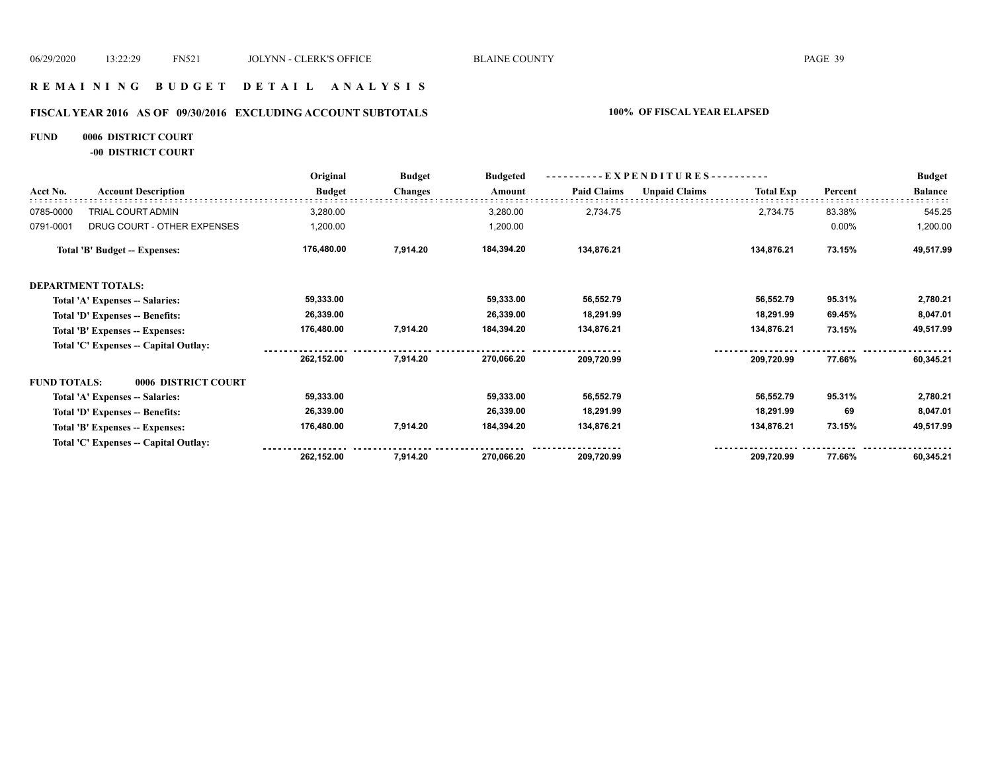### **R E M A I N I N G B U D G E T D E T A I L A N A L Y S I S**

# **FISCAL YEAR 2016 AS OF 09/30/2016 EXCLUDING ACCOUNT SUBTOTALS 100% OF FISCAL YEAR ELAPSED**

# **FUND 0006 DISTRICT COURT**

**-00 DISTRICT COURT**

|                     |                                       | Original      | <b>Budget</b><br><b>Changes</b> | <b>Budgeted</b><br>Amount | - EXPENDITURES -   |                      |                  |         | <b>Budget</b>  |
|---------------------|---------------------------------------|---------------|---------------------------------|---------------------------|--------------------|----------------------|------------------|---------|----------------|
| Acct No.            | <b>Account Description</b>            | <b>Budget</b> |                                 |                           | <b>Paid Claims</b> | <b>Unpaid Claims</b> | <b>Total Exp</b> | Percent | <b>Balance</b> |
| 0785-0000           | TRIAL COURT ADMIN                     | 3,280.00      |                                 | 3,280.00                  | 2,734.75           |                      | 2,734.75         | 83.38%  | 545.25         |
| 0791-0001           | DRUG COURT - OTHER EXPENSES           | 1,200.00      |                                 | 1,200.00                  |                    |                      |                  | 0.00%   | 1,200.00       |
|                     | Total 'B' Budget -- Expenses:         | 176,480.00    | 7,914.20                        | 184,394.20                | 134,876.21         |                      | 134,876.21       | 73.15%  | 49,517.99      |
|                     | <b>DEPARTMENT TOTALS:</b>             |               |                                 |                           |                    |                      |                  |         |                |
|                     | Total 'A' Expenses -- Salaries:       | 59,333.00     |                                 | 59,333.00                 | 56,552.79          |                      | 56,552.79        | 95.31%  | 2,780.21       |
|                     | Total 'D' Expenses -- Benefits:       | 26,339.00     |                                 | 26,339.00                 | 18,291.99          |                      | 18,291.99        | 69.45%  | 8,047.01       |
|                     | Total 'B' Expenses -- Expenses:       | 176,480.00    | 7,914.20                        | 184,394.20                | 134,876.21         |                      | 134,876.21       | 73.15%  | 49,517.99      |
|                     | Total 'C' Expenses -- Capital Outlay: |               |                                 |                           |                    |                      |                  |         |                |
|                     |                                       | 262.152.00    | 7,914.20                        | 270,066.20                | 209,720.99         |                      | 209,720.99       | 77.66%  | 60,345.21      |
| <b>FUND TOTALS:</b> | 0006 DISTRICT COURT                   |               |                                 |                           |                    |                      |                  |         |                |
|                     | Total 'A' Expenses -- Salaries:       | 59,333.00     |                                 | 59,333.00                 | 56,552.79          |                      | 56,552.79        | 95.31%  | 2,780.21       |
|                     | Total 'D' Expenses -- Benefits:       | 26,339.00     |                                 | 26,339.00                 | 18,291.99          |                      | 18,291.99        | 69      | 8,047.01       |
|                     | Total 'B' Expenses -- Expenses:       | 176,480.00    | 7,914.20                        | 184,394.20                | 134,876.21         |                      | 134,876.21       | 73.15%  | 49,517.99      |
|                     | Total 'C' Expenses -- Capital Outlay: |               |                                 |                           |                    |                      |                  |         |                |
|                     |                                       | 262,152.00    | 7,914.20                        | 270,066.20                | 209,720.99         |                      | 209,720.99       | 77.66%  | 60,345.21      |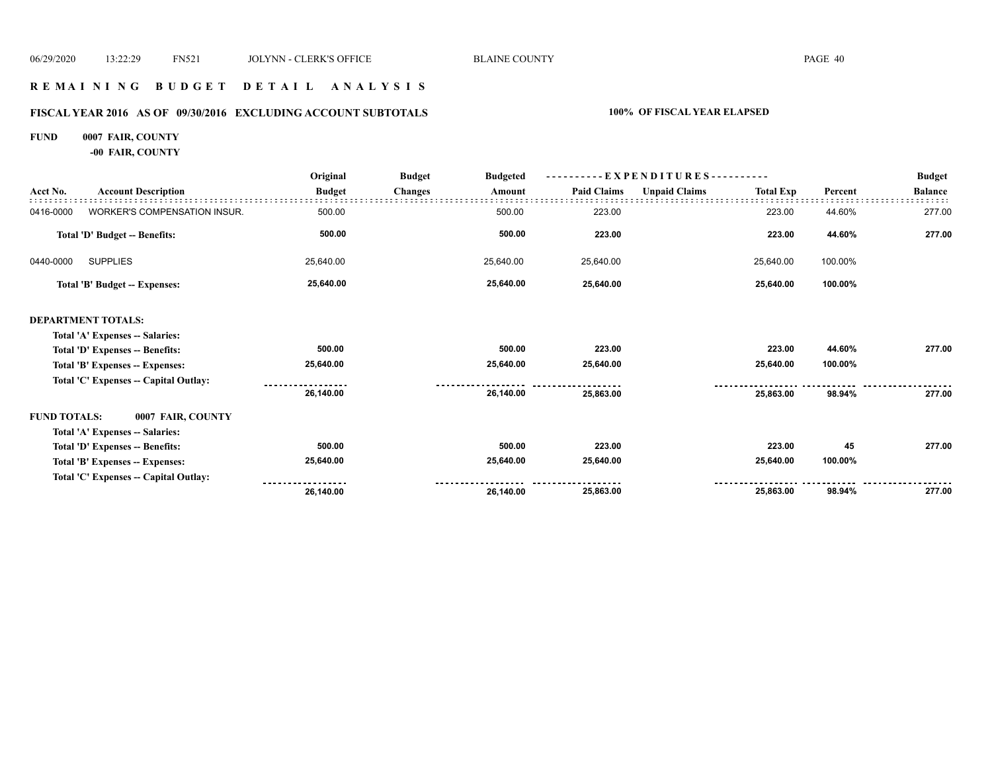### **R E M A I N I N G B U D G E T D E T A I L A N A L Y S I S**

# **FISCAL YEAR 2016 AS OF 09/30/2016 EXCLUDING ACCOUNT SUBTOTALS 100% OF FISCAL YEAR ELAPSED**

#### **FUND 0007 FAIR, COUNTY**

**-00 FAIR, COUNTY**

|                     |                                       | Original      | <b>Budget</b><br><b>Budgeted</b> |                    | - EXPENDITURES---------- |                  |         | <b>Budget</b>  |
|---------------------|---------------------------------------|---------------|----------------------------------|--------------------|--------------------------|------------------|---------|----------------|
| Acct No.            | <b>Account Description</b>            | <b>Budget</b> | <b>Changes</b><br>Amount         | <b>Paid Claims</b> | <b>Unpaid Claims</b>     | <b>Total Exp</b> | Percent | <b>Balance</b> |
| 0416-0000           | WORKER'S COMPENSATION INSUR.          | 500.00        | 500.00                           | 223.00             |                          | 223.00           | 44.60%  | 277.00         |
|                     | Total 'D' Budget -- Benefits:         | 500.00        | 500.00                           | 223.00             |                          | 223.00           | 44.60%  | 277.00         |
| 0440-0000           | <b>SUPPLIES</b>                       | 25,640.00     | 25,640.00                        | 25,640.00          |                          | 25,640.00        | 100.00% |                |
|                     | <b>Total 'B' Budget -- Expenses:</b>  | 25,640.00     | 25,640.00                        | 25,640.00          |                          | 25,640.00        | 100.00% |                |
|                     | <b>DEPARTMENT TOTALS:</b>             |               |                                  |                    |                          |                  |         |                |
|                     | Total 'A' Expenses -- Salaries:       |               |                                  |                    |                          |                  |         |                |
|                     | Total 'D' Expenses -- Benefits:       | 500.00        | 500.00                           | 223.00             |                          | 223.00           | 44.60%  | 277.00         |
|                     | Total 'B' Expenses -- Expenses:       | 25,640.00     | 25,640.00                        | 25,640.00          |                          | 25,640.00        | 100.00% |                |
|                     | Total 'C' Expenses -- Capital Outlay: |               |                                  |                    |                          |                  |         |                |
|                     |                                       | 26,140.00     | 26,140.00                        | 25,863.00          |                          | 25,863.00        | 98.94%  | 277.00         |
| <b>FUND TOTALS:</b> | 0007 FAIR, COUNTY                     |               |                                  |                    |                          |                  |         |                |
|                     | Total 'A' Expenses -- Salaries:       |               |                                  |                    |                          |                  |         |                |
|                     | Total 'D' Expenses -- Benefits:       | 500.00        | 500.00                           | 223.00             |                          | 223.00           | 45      | 277.00         |
|                     | Total 'B' Expenses -- Expenses:       | 25,640.00     | 25,640.00                        | 25,640.00          |                          | 25,640.00        | 100.00% |                |
|                     | Total 'C' Expenses -- Capital Outlay: |               |                                  |                    |                          |                  |         |                |
|                     |                                       | 26,140.00     | 26,140.00                        | 25,863.00          |                          | 25,863.00        | 98.94%  | 277.00         |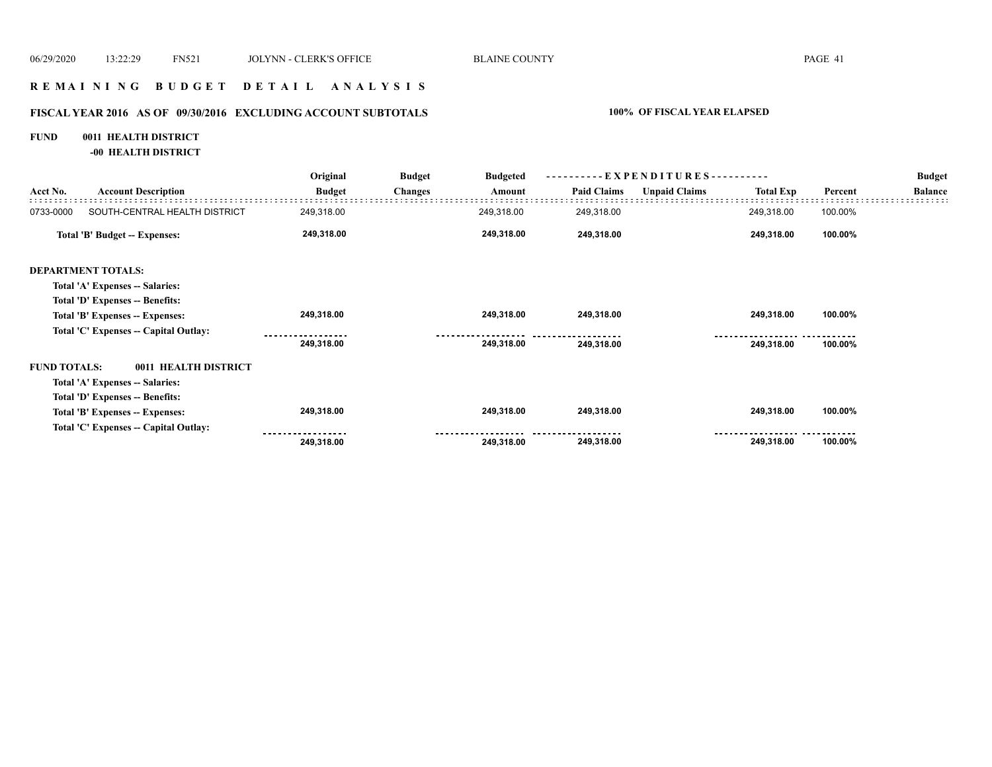### **R E M A I N I N G B U D G E T D E T A I L A N A L Y S I S**

# **FISCAL YEAR 2016 AS OF 09/30/2016 EXCLUDING ACCOUNT SUBTOTALS 100% OF FISCAL YEAR ELAPSED**

### **FUND 0011 HEALTH DISTRICT**

**-00 HEALTH DISTRICT**

|                     | <b>Account Description</b>            | Original          | <b>Budget</b>  | <b>Budgeted</b><br>Amount | $-EXPENDITURES$ --------- |                      |                  |         | <b>Budget</b>  |
|---------------------|---------------------------------------|-------------------|----------------|---------------------------|---------------------------|----------------------|------------------|---------|----------------|
| Acct No.            |                                       | <b>Budget</b>     | <b>Changes</b> |                           | <b>Paid Claims</b>        | <b>Unpaid Claims</b> | <b>Total Exp</b> | Percent | <b>Balance</b> |
| 0733-0000           | SOUTH-CENTRAL HEALTH DISTRICT         | 249,318.00        |                | 249,318.00                | 249,318.00                |                      | 249,318.00       | 100.00% |                |
|                     | Total 'B' Budget -- Expenses:         | 249,318.00        |                | 249,318.00                | 249,318.00                |                      | 249,318.00       | 100.00% |                |
|                     | <b>DEPARTMENT TOTALS:</b>             |                   |                |                           |                           |                      |                  |         |                |
|                     | Total 'A' Expenses -- Salaries:       |                   |                |                           |                           |                      |                  |         |                |
|                     | Total 'D' Expenses -- Benefits:       |                   |                |                           |                           |                      |                  |         |                |
|                     | Total 'B' Expenses -- Expenses:       | 249,318.00        |                | 249,318.00                | 249,318.00                |                      | 249,318.00       | 100.00% |                |
|                     | Total 'C' Expenses -- Capital Outlay: |                   |                |                           |                           |                      |                  |         |                |
|                     |                                       | 249,318.00        |                | 249,318.00                | 249,318.00                |                      | 249,318.00       | 100.00% |                |
| <b>FUND TOTALS:</b> | 0011 HEALTH DISTRICT                  |                   |                |                           |                           |                      |                  |         |                |
|                     | Total 'A' Expenses -- Salaries:       |                   |                |                           |                           |                      |                  |         |                |
|                     | Total 'D' Expenses -- Benefits:       |                   |                |                           |                           |                      |                  |         |                |
|                     | Total 'B' Expenses -- Expenses:       | 249,318.00        |                | 249,318.00                | 249,318.00                |                      | 249,318.00       | 100.00% |                |
|                     | Total 'C' Expenses -- Capital Outlay: | ----------------- |                |                           |                           |                      |                  |         |                |
|                     |                                       | 249,318.00        |                | 249,318.00                | 249,318.00                |                      | 249,318.00       | 100.00% |                |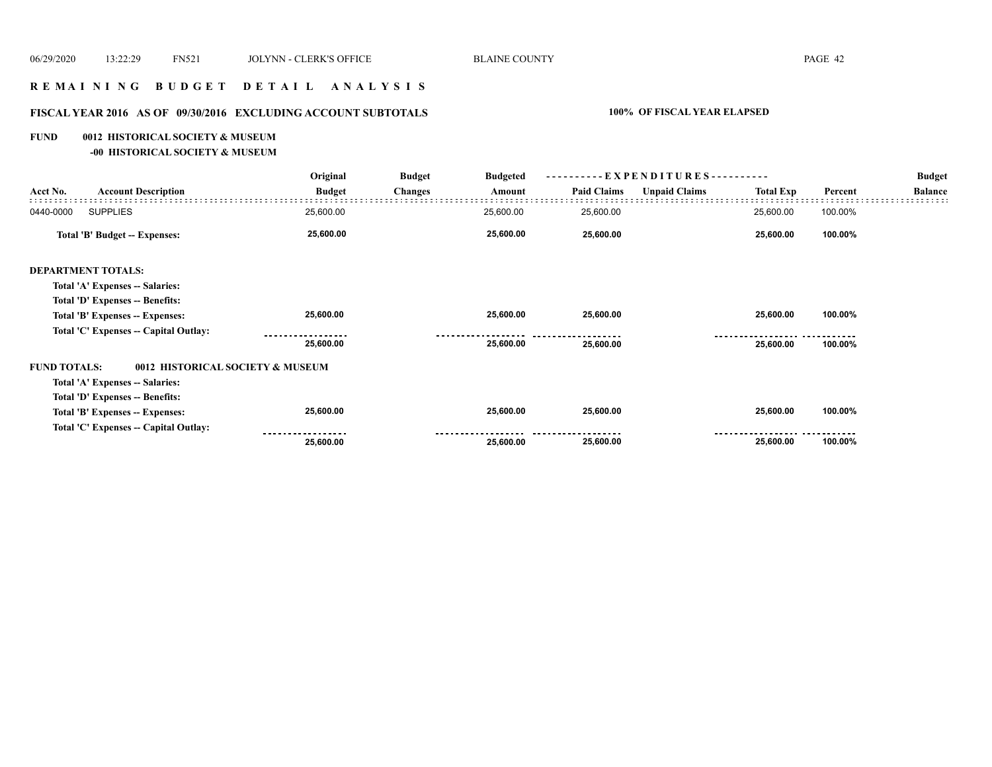# **R E M A I N I N G B U D G E T D E T A I L A N A L Y S I S**

#### **FISCAL YEAR 2016 AS OF 09/30/2016 EXCLUDING ACCOUNT SUBTOTALS 100% OF FISCAL YEAR ELAPSED**

#### **FUND 0012 HISTORICAL SOCIETY & MUSEUM**

**-00 HISTORICAL SOCIETY & MUSEUM**

|                                                         | Original      | <b>Budget</b><br><b>Changes</b> | <b>Budgeted</b> | ----------EXPENDITURES---------- |                      |                  |         | <b>Budget</b>  |
|---------------------------------------------------------|---------------|---------------------------------|-----------------|----------------------------------|----------------------|------------------|---------|----------------|
| <b>Account Description</b><br>Acct No.                  | <b>Budget</b> |                                 | Amount          | <b>Paid Claims</b>               | <b>Unpaid Claims</b> | <b>Total Exp</b> | Percent | <b>Balance</b> |
| <b>SUPPLIES</b><br>0440-0000                            | 25,600.00     |                                 | 25,600.00       | 25,600.00                        |                      | 25,600.00        | 100.00% |                |
| Total 'B' Budget -- Expenses:                           | 25,600.00     |                                 | 25,600.00       | 25,600.00                        |                      | 25,600.00        | 100.00% |                |
| <b>DEPARTMENT TOTALS:</b>                               |               |                                 |                 |                                  |                      |                  |         |                |
| Total 'A' Expenses -- Salaries:                         |               |                                 |                 |                                  |                      |                  |         |                |
| Total 'D' Expenses -- Benefits:                         |               |                                 |                 |                                  |                      |                  |         |                |
| Total 'B' Expenses -- Expenses:                         | 25,600.00     |                                 | 25,600.00       | 25,600.00                        |                      | 25,600.00        | 100.00% |                |
| Total 'C' Expenses -- Capital Outlay:                   |               |                                 |                 |                                  |                      |                  |         |                |
|                                                         | 25,600.00     |                                 | 25,600.00       | 25,600.00                        |                      | 25,600.00        | 100.00% |                |
| <b>FUND TOTALS:</b><br>0012 HISTORICAL SOCIETY & MUSEUM |               |                                 |                 |                                  |                      |                  |         |                |
| Total 'A' Expenses -- Salaries:                         |               |                                 |                 |                                  |                      |                  |         |                |
| Total 'D' Expenses -- Benefits:                         |               |                                 |                 |                                  |                      |                  |         |                |
| Total 'B' Expenses -- Expenses:                         | 25,600.00     |                                 | 25,600.00       | 25,600.00                        |                      | 25,600.00        | 100.00% |                |
| Total 'C' Expenses -- Capital Outlay:                   |               |                                 |                 |                                  |                      |                  |         |                |
|                                                         | 25,600.00     |                                 | 25,600.00       | 25,600.00                        |                      | 25,600.00        | 100.00% |                |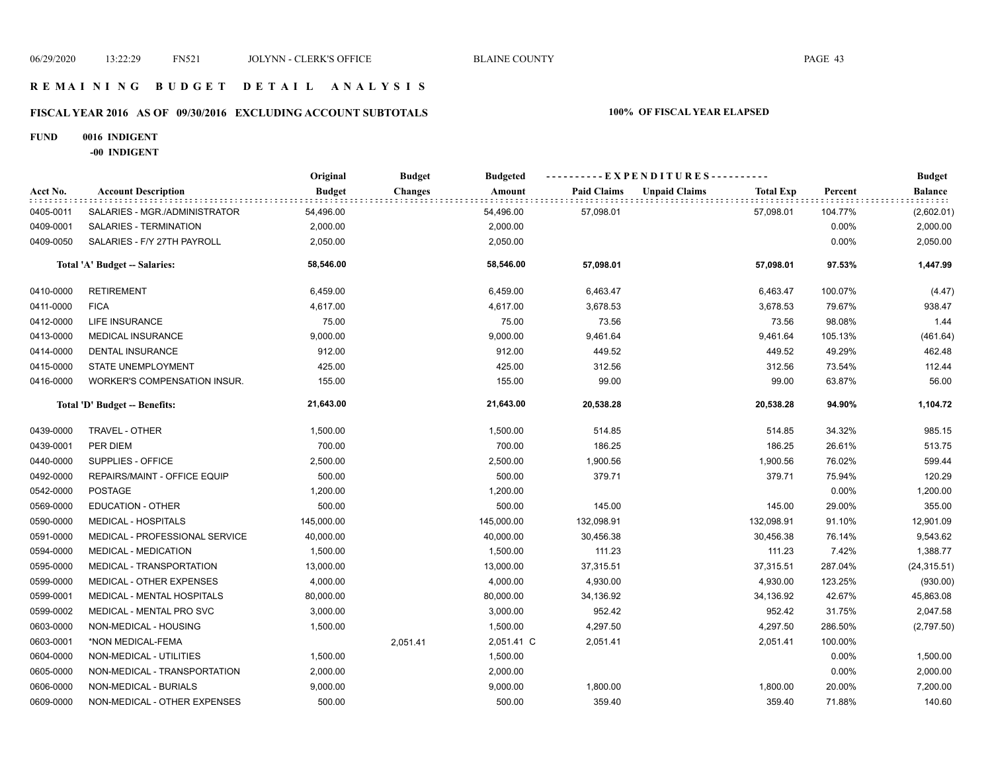#### **R E M A I N I N G B U D G E T D E T A I L A N A L Y S I S**

# **FISCAL YEAR 2016 AS OF 09/30/2016 EXCLUDING ACCOUNT SUBTOTALS 100% OF FISCAL YEAR ELAPSED**

#### **FUND 0016 INDIGENT**

**-00 INDIGENT**

|           |                                | Original      | <b>Budget</b>  | <b>Budgeted</b> |                    | ----------EXPENDITURES----------         |         | <b>Budget</b>  |
|-----------|--------------------------------|---------------|----------------|-----------------|--------------------|------------------------------------------|---------|----------------|
| Acct No.  | <b>Account Description</b>     | <b>Budget</b> | <b>Changes</b> | Amount          | <b>Paid Claims</b> | <b>Total Exp</b><br><b>Unpaid Claims</b> | Percent | <b>Balance</b> |
| 0405-0011 | SALARIES - MGR./ADMINISTRATOR  | 54,496.00     |                | 54,496.00       | 57,098.01          | 57,098.01                                | 104.77% | (2,602.01)     |
| 0409-0001 | SALARIES - TERMINATION         | 2,000.00      |                | 2,000.00        |                    |                                          | 0.00%   | 2,000.00       |
| 0409-0050 | SALARIES - F/Y 27TH PAYROLL    | 2,050.00      |                | 2,050.00        |                    |                                          | 0.00%   | 2,050.00       |
|           | Total 'A' Budget -- Salaries:  | 58,546.00     |                | 58,546.00       | 57,098.01          | 57,098.01                                | 97.53%  | 1,447.99       |
| 0410-0000 | <b>RETIREMENT</b>              | 6,459.00      |                | 6,459.00        | 6,463.47           | 6,463.47                                 | 100.07% | (4.47)         |
| 0411-0000 | <b>FICA</b>                    | 4,617.00      |                | 4,617.00        | 3,678.53           | 3,678.53                                 | 79.67%  | 938.47         |
| 0412-0000 | LIFE INSURANCE                 | 75.00         |                | 75.00           | 73.56              | 73.56                                    | 98.08%  | 1.44           |
| 0413-0000 | MEDICAL INSURANCE              | 9,000.00      |                | 9,000.00        | 9,461.64           | 9,461.64                                 | 105.13% | (461.64)       |
| 0414-0000 | <b>DENTAL INSURANCE</b>        | 912.00        |                | 912.00          | 449.52             | 449.52                                   | 49.29%  | 462.48         |
| 0415-0000 | STATE UNEMPLOYMENT             | 425.00        |                | 425.00          | 312.56             | 312.56                                   | 73.54%  | 112.44         |
| 0416-0000 | WORKER'S COMPENSATION INSUR.   | 155.00        |                | 155.00          | 99.00              | 99.00                                    | 63.87%  | 56.00          |
|           | Total 'D' Budget -- Benefits:  | 21,643.00     |                | 21,643.00       | 20,538.28          | 20,538.28                                | 94.90%  | 1,104.72       |
| 0439-0000 | TRAVEL - OTHER                 | 1,500.00      |                | 1,500.00        | 514.85             | 514.85                                   | 34.32%  | 985.15         |
| 0439-0001 | PER DIEM                       | 700.00        |                | 700.00          | 186.25             | 186.25                                   | 26.61%  | 513.75         |
| 0440-0000 | SUPPLIES - OFFICE              | 2,500.00      |                | 2,500.00        | 1,900.56           | 1,900.56                                 | 76.02%  | 599.44         |
| 0492-0000 | REPAIRS/MAINT - OFFICE EQUIP   | 500.00        |                | 500.00          | 379.71             | 379.71                                   | 75.94%  | 120.29         |
| 0542-0000 | <b>POSTAGE</b>                 | 1,200.00      |                | 1,200.00        |                    |                                          | 0.00%   | 1,200.00       |
| 0569-0000 | <b>EDUCATION - OTHER</b>       | 500.00        |                | 500.00          | 145.00             | 145.00                                   | 29.00%  | 355.00         |
| 0590-0000 | <b>MEDICAL - HOSPITALS</b>     | 145,000.00    |                | 145,000.00      | 132,098.91         | 132,098.91                               | 91.10%  | 12,901.09      |
| 0591-0000 | MEDICAL - PROFESSIONAL SERVICE | 40,000.00     |                | 40,000.00       | 30,456.38          | 30,456.38                                | 76.14%  | 9,543.62       |
| 0594-0000 | <b>MEDICAL - MEDICATION</b>    | 1,500.00      |                | 1,500.00        | 111.23             | 111.23                                   | 7.42%   | 1,388.77       |
| 0595-0000 | MEDICAL - TRANSPORTATION       | 13,000.00     |                | 13,000.00       | 37,315.51          | 37,315.51                                | 287.04% | (24, 315.51)   |
| 0599-0000 | MEDICAL - OTHER EXPENSES       | 4,000.00      |                | 4,000.00        | 4,930.00           | 4,930.00                                 | 123.25% | (930.00)       |
| 0599-0001 | MEDICAL - MENTAL HOSPITALS     | 80,000.00     |                | 80,000.00       | 34,136.92          | 34,136.92                                | 42.67%  | 45,863.08      |
| 0599-0002 | MEDICAL - MENTAL PRO SVC       | 3,000.00      |                | 3,000.00        | 952.42             | 952.42                                   | 31.75%  | 2,047.58       |
| 0603-0000 | NON-MEDICAL - HOUSING          | 1,500.00      |                | 1,500.00        | 4,297.50           | 4,297.50                                 | 286.50% | (2,797.50)     |
| 0603-0001 | *NON MEDICAL-FEMA              |               | 2,051.41       | 2,051.41 C      | 2,051.41           | 2,051.41                                 | 100.00% |                |
| 0604-0000 | NON-MEDICAL - UTILITIES        | 1,500.00      |                | 1,500.00        |                    |                                          | 0.00%   | 1,500.00       |
| 0605-0000 | NON-MEDICAL - TRANSPORTATION   | 2,000.00      |                | 2,000.00        |                    |                                          | 0.00%   | 2,000.00       |
| 0606-0000 | NON-MEDICAL - BURIALS          | 9,000.00      |                | 9,000.00        | 1,800.00           | 1,800.00                                 | 20.00%  | 7,200.00       |
| 0609-0000 | NON-MEDICAL - OTHER EXPENSES   | 500.00        |                | 500.00          | 359.40             | 359.40                                   | 71.88%  | 140.60         |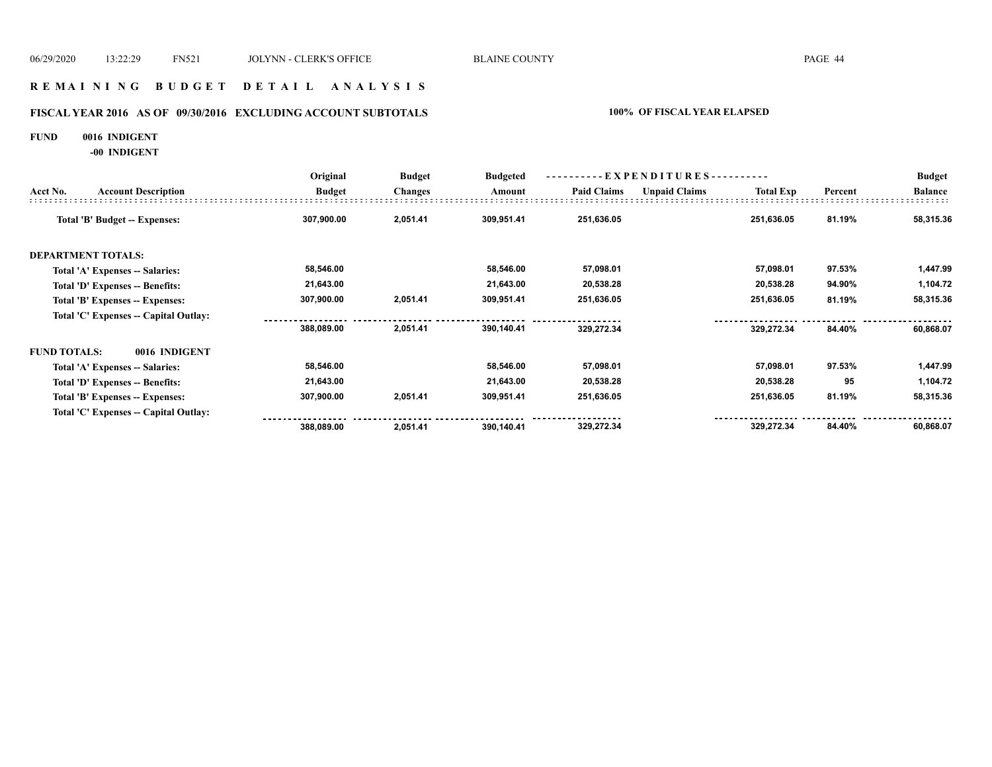### **R E M A I N I N G B U D G E T D E T A I L A N A L Y S I S**

# **FISCAL YEAR 2016 AS OF 09/30/2016 EXCLUDING ACCOUNT SUBTOTALS 100% OF FISCAL YEAR ELAPSED**

#### **FUND 0016 INDIGENT**

**-00 INDIGENT**

|                     |                                       | Original      | <b>Budget</b>  | <b>Budgeted</b> | ----------EXPENDITURES---------- |                      |                  |         | <b>Budget</b>  |
|---------------------|---------------------------------------|---------------|----------------|-----------------|----------------------------------|----------------------|------------------|---------|----------------|
| Acct No.            | <b>Account Description</b>            | <b>Budget</b> | <b>Changes</b> | Amount          | <b>Paid Claims</b>               | <b>Unpaid Claims</b> | <b>Total Exp</b> | Percent | <b>Balance</b> |
|                     | Total 'B' Budget -- Expenses:         | 307,900.00    | 2,051.41       | 309,951.41      | 251,636.05                       |                      | 251,636.05       | 81.19%  | 58,315.36      |
|                     | <b>DEPARTMENT TOTALS:</b>             |               |                |                 |                                  |                      |                  |         |                |
|                     | Total 'A' Expenses -- Salaries:       | 58,546.00     |                | 58,546.00       | 57,098.01                        |                      | 57,098.01        | 97.53%  | 1,447.99       |
|                     | Total 'D' Expenses -- Benefits:       | 21,643.00     |                | 21,643.00       | 20,538.28                        |                      | 20,538.28        | 94.90%  | 1,104.72       |
|                     | Total 'B' Expenses -- Expenses:       | 307,900.00    | 2,051.41       | 309,951.41      | 251,636.05                       |                      | 251,636.05       | 81.19%  | 58,315.36      |
|                     | Total 'C' Expenses -- Capital Outlay: |               |                |                 |                                  |                      |                  |         |                |
|                     |                                       | 388,089.00    | 2,051.41       | 390,140.41      | 329,272.34                       |                      | 329,272.34       | 84.40%  | 60,868.07      |
| <b>FUND TOTALS:</b> | 0016 INDIGENT                         |               |                |                 |                                  |                      |                  |         |                |
|                     | Total 'A' Expenses -- Salaries:       | 58,546.00     |                | 58,546.00       | 57,098.01                        |                      | 57,098.01        | 97.53%  | 1,447.99       |
|                     | Total 'D' Expenses -- Benefits:       | 21,643.00     |                | 21,643.00       | 20,538.28                        |                      | 20,538.28        | 95      | 1,104.72       |
|                     | Total 'B' Expenses -- Expenses:       | 307,900.00    | 2,051.41       | 309,951.41      | 251,636.05                       |                      | 251,636.05       | 81.19%  | 58,315.36      |
|                     | Total 'C' Expenses -- Capital Outlay: |               |                |                 |                                  |                      |                  |         |                |
|                     |                                       | 388,089.00    | 2,051.41       | 390,140.41      | 329,272.34                       |                      | 329,272.34       | 84.40%  | 60,868.07      |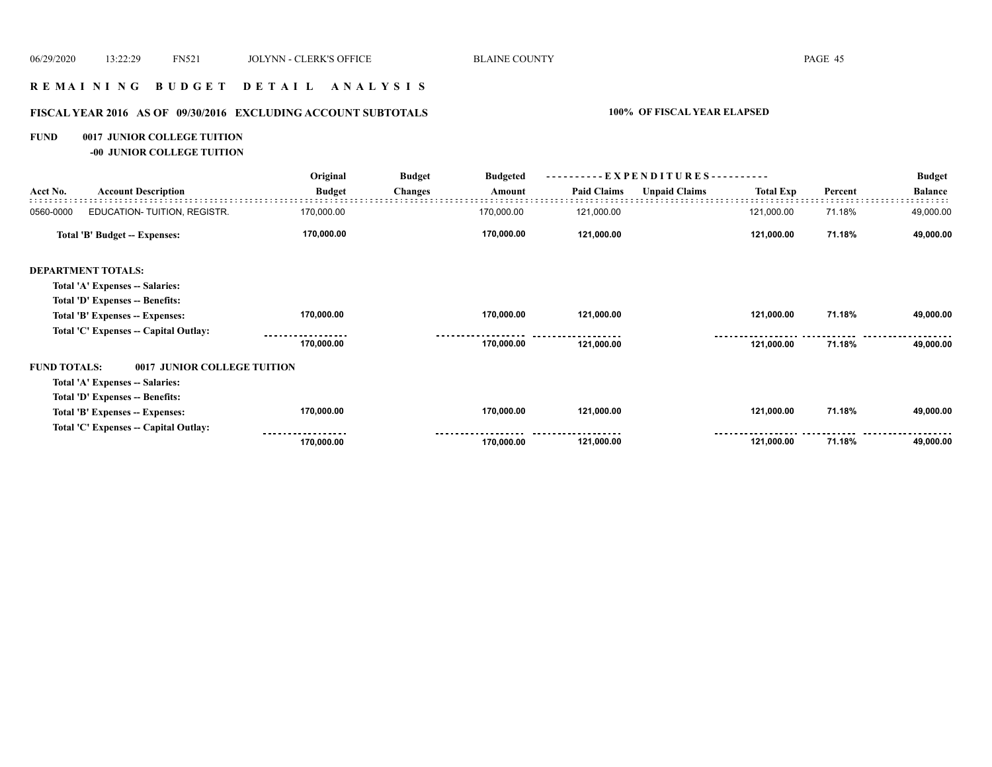#### **R E M A I N I N G B U D G E T D E T A I L A N A L Y S I S**

# **FISCAL YEAR 2016 AS OF 09/30/2016 EXCLUDING ACCOUNT SUBTOTALS 100% OF FISCAL YEAR ELAPSED**

#### **FUND 0017 JUNIOR COLLEGE TUITION**

**-00 JUNIOR COLLEGE TUITION**

|                     |                                       | Original      | <b>Budget</b> | <b>Budgeted</b> |                    | EXPENDITURES--       |                  |         | <b>Budget</b>  |
|---------------------|---------------------------------------|---------------|---------------|-----------------|--------------------|----------------------|------------------|---------|----------------|
| Acct No.            | <b>Account Description</b>            | <b>Budget</b> | Changes       | Amount          | <b>Paid Claims</b> | <b>Unpaid Claims</b> | <b>Total Exp</b> | Percent | <b>Balance</b> |
| 0560-0000           | EDUCATION- TUITION, REGISTR.          | 170,000.00    |               | 170,000.00      | 121,000.00         |                      | 121,000.00       | 71.18%  | 49,000.00      |
|                     | Total 'B' Budget -- Expenses:         | 170,000.00    |               | 170,000.00      | 121,000.00         |                      | 121,000.00       | 71.18%  | 49,000.00      |
|                     | <b>DEPARTMENT TOTALS:</b>             |               |               |                 |                    |                      |                  |         |                |
|                     | Total 'A' Expenses -- Salaries:       |               |               |                 |                    |                      |                  |         |                |
|                     | Total 'D' Expenses -- Benefits:       |               |               |                 |                    |                      |                  |         |                |
|                     | Total 'B' Expenses -- Expenses:       | 170,000.00    |               | 170,000.00      | 121,000.00         |                      | 121,000.00       | 71.18%  | 49,000.00      |
|                     | Total 'C' Expenses -- Capital Outlay: |               |               |                 |                    |                      |                  |         |                |
|                     |                                       | 170,000.00    |               | 170,000.00      | 121,000.00         |                      | 121,000.00       | 71.18%  | 49,000.00      |
| <b>FUND TOTALS:</b> | 0017 JUNIOR COLLEGE TUITION           |               |               |                 |                    |                      |                  |         |                |
|                     | Total 'A' Expenses -- Salaries:       |               |               |                 |                    |                      |                  |         |                |
|                     | Total 'D' Expenses -- Benefits:       |               |               |                 |                    |                      |                  |         |                |
|                     | Total 'B' Expenses -- Expenses:       | 170,000.00    |               | 170,000.00      | 121,000.00         |                      | 121,000.00       | 71.18%  | 49,000.00      |
|                     | Total 'C' Expenses -- Capital Outlay: |               |               |                 |                    |                      |                  |         |                |
|                     |                                       | 170,000.00    |               | 170,000.00      | 121,000.00         |                      | 121,000.00       | 71.18%  | 49,000.00      |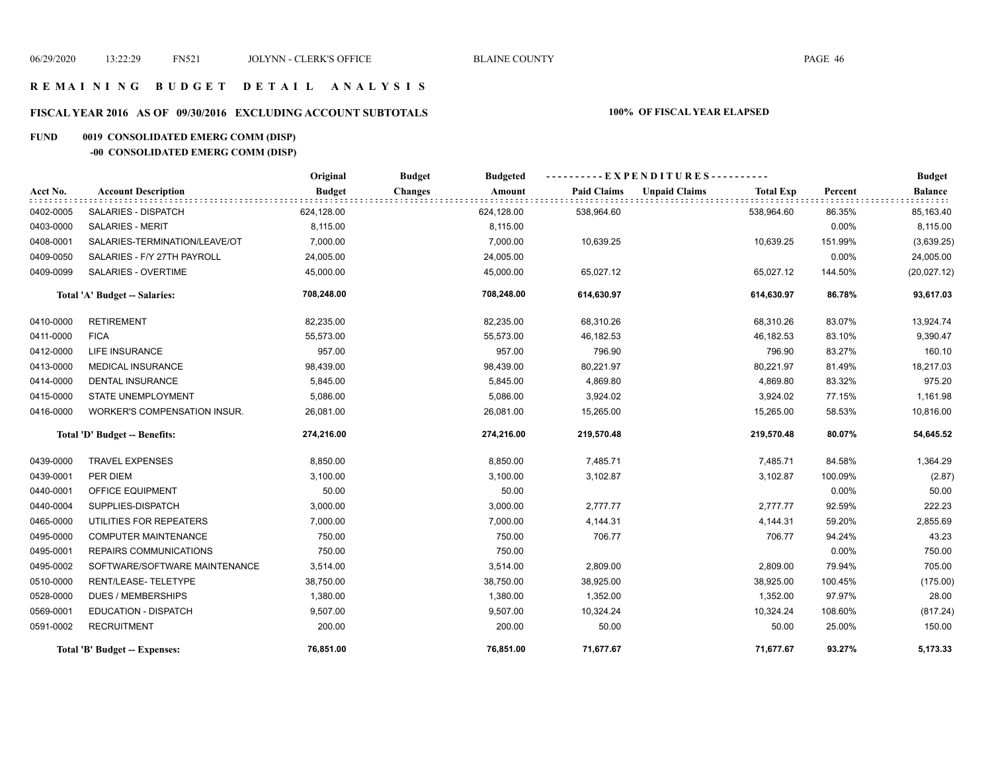#### **R E M A I N I N G B U D G E T D E T A I L A N A L Y S I S**

#### **FISCAL YEAR 2016 AS OF 09/30/2016 EXCLUDING ACCOUNT SUBTOTALS 100% OF FISCAL YEAR ELAPSED**

#### **FUND 0019 CONSOLIDATED EMERG COMM (DISP)**

# **-00 CONSOLIDATED EMERG COMM (DISP)**

|           |                                     | Original      | <b>Budget</b><br><b>Budgeted</b> |                    | ----------EXPENDITURES----------         |          | <b>Budget</b>  |
|-----------|-------------------------------------|---------------|----------------------------------|--------------------|------------------------------------------|----------|----------------|
| Acct No.  | <b>Account Description</b>          | <b>Budget</b> | <b>Changes</b><br>Amount         | <b>Paid Claims</b> | <b>Unpaid Claims</b><br><b>Total Exp</b> | Percent  | <b>Balance</b> |
| 0402-0005 | SALARIES - DISPATCH                 | 624,128.00    | 624,128.00                       | 538,964.60         | 538,964.60                               | 86.35%   | 85,163.40      |
| 0403-0000 | <b>SALARIES - MERIT</b>             | 8,115.00      | 8,115.00                         |                    |                                          | 0.00%    | 8,115.00       |
| 0408-0001 | SALARIES-TERMINATION/LEAVE/OT       | 7.000.00      | 7,000.00                         | 10,639.25          | 10,639.25                                | 151.99%  | (3,639.25)     |
| 0409-0050 | SALARIES - F/Y 27TH PAYROLL         | 24,005.00     | 24,005.00                        |                    |                                          | 0.00%    | 24,005.00      |
| 0409-0099 | SALARIES - OVERTIME                 | 45,000.00     | 45,000.00                        | 65,027.12          | 65,027.12                                | 144.50%  | (20,027.12)    |
|           | Total 'A' Budget -- Salaries:       | 708,248.00    | 708,248.00                       | 614,630.97         | 614,630.97                               | 86.78%   | 93,617.03      |
| 0410-0000 | <b>RETIREMENT</b>                   | 82,235.00     | 82,235.00                        | 68,310.26          | 68,310.26                                | 83.07%   | 13,924.74      |
| 0411-0000 | <b>FICA</b>                         | 55,573.00     | 55,573.00                        | 46,182.53          | 46,182.53                                | 83.10%   | 9,390.47       |
| 0412-0000 | <b>LIFE INSURANCE</b>               | 957.00        | 957.00                           | 796.90             | 796.90                                   | 83.27%   | 160.10         |
| 0413-0000 | <b>MEDICAL INSURANCE</b>            | 98,439.00     | 98,439.00                        | 80,221.97          | 80,221.97                                | 81.49%   | 18,217.03      |
| 0414-0000 | <b>DENTAL INSURANCE</b>             | 5,845.00      | 5,845.00                         | 4,869.80           | 4,869.80                                 | 83.32%   | 975.20         |
| 0415-0000 | STATE UNEMPLOYMENT                  | 5,086.00      | 5,086.00                         | 3,924.02           | 3,924.02                                 | 77.15%   | 1,161.98       |
| 0416-0000 | <b>WORKER'S COMPENSATION INSUR.</b> | 26,081.00     | 26,081.00                        | 15,265.00          | 15,265.00                                | 58.53%   | 10,816.00      |
|           | Total 'D' Budget -- Benefits:       | 274,216.00    | 274,216.00                       | 219,570.48         | 219,570.48                               | 80.07%   | 54,645.52      |
| 0439-0000 | <b>TRAVEL EXPENSES</b>              | 8,850.00      | 8,850.00                         | 7,485.71           | 7,485.71                                 | 84.58%   | 1,364.29       |
| 0439-0001 | PER DIEM                            | 3,100.00      | 3,100.00                         | 3,102.87           | 3,102.87                                 | 100.09%  | (2.87)         |
| 0440-0001 | OFFICE EQUIPMENT                    | 50.00         | 50.00                            |                    |                                          | 0.00%    | 50.00          |
| 0440-0004 | SUPPLIES-DISPATCH                   | 3,000.00      | 3,000.00                         | 2,777.77           | 2,777.77                                 | 92.59%   | 222.23         |
| 0465-0000 | UTILITIES FOR REPEATERS             | 7,000.00      | 7,000.00                         | 4,144.31           | 4,144.31                                 | 59.20%   | 2,855.69       |
| 0495-0000 | <b>COMPUTER MAINTENANCE</b>         | 750.00        | 750.00                           | 706.77             | 706.77                                   | 94.24%   | 43.23          |
| 0495-0001 | <b>REPAIRS COMMUNICATIONS</b>       | 750.00        | 750.00                           |                    |                                          | $0.00\%$ | 750.00         |
| 0495-0002 | SOFTWARE/SOFTWARE MAINTENANCE       | 3,514.00      | 3,514.00                         | 2,809.00           | 2,809.00                                 | 79.94%   | 705.00         |
| 0510-0000 | RENT/LEASE-TELETYPE                 | 38,750.00     | 38,750.00                        | 38,925.00          | 38,925.00                                | 100.45%  | (175.00)       |
| 0528-0000 | <b>DUES / MEMBERSHIPS</b>           | 1,380.00      | 1,380.00                         | 1,352.00           | 1,352.00                                 | 97.97%   | 28.00          |
| 0569-0001 | <b>EDUCATION - DISPATCH</b>         | 9,507.00      | 9,507.00                         | 10,324.24          | 10,324.24                                | 108.60%  | (817.24)       |
| 0591-0002 | <b>RECRUITMENT</b>                  | 200.00        | 200.00                           | 50.00              | 50.00                                    | 25.00%   | 150.00         |
|           | Total 'B' Budget -- Expenses:       | 76,851.00     | 76.851.00                        | 71,677.67          | 71,677.67                                | 93.27%   | 5,173.33       |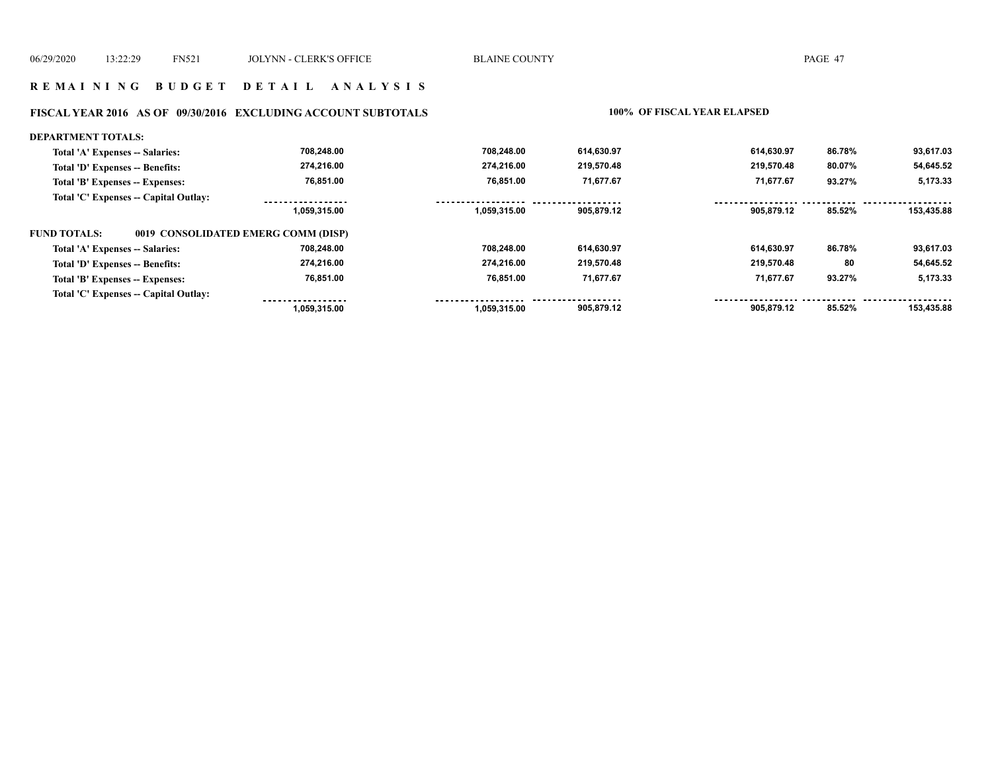#### **R E M A I N I N G B U D G E T D E T A I L A N A L Y S I S**

#### **FISCAL YEAR 2016 AS OF 09/30/2016 EXCLUDING ACCOUNT SUBTOTALS 100% OF FISCAL YEAR ELAPSED**

#### **DEPARTMENT TOTALS: 708,248.00 708,248.00 614,630.97 614,630.97 93,617.03 86.78% Total 'A' Expenses -- Salaries: Total 'D' Expenses -- Benefits: 274,216.00 274,216.00 219,570.48 219,570.48 80.07% 54,645.52 76,851.00 76,851.00 71,677.67 71,677.67 5,173.33 Total 'B' Expenses -- Expenses: 93.27% Total 'C' Expenses -- Capital Outlay:** -----------------.................. ------------------................. . . . . . . . . . . . . . . . . . . . . . . . . .  **1,059,315.00 1,059,315.00 905,879.12 905,879.12 85.52% 153,435.88 FUND TOTALS: 0019 CONSOLIDATED EMERG COMM (DISP)Total 'A' Expenses -- Salaries: 708,248.00 708,248.00 614,630.97 614,630.97 86.78% 93,617.03 274,216.00 Total 'D' Expenses -- Benefits: 274,216.00 219,570.48 219,570.48 80 54,645.52 71,677.67 76,851.00 76,851.00 Total 'B' Expenses -- Expenses: 71,677.67 93.27% 5,173.33 Total 'C' Expenses -- Capital Outlay:** <u> -----------------</u> <u>. . . . . . . . . . . . . . . . .</u> . . . . . . . . . ------ **1,059,315.00 1,059,315.00 905,879.12 905,879.12 85.52% 153,435.88**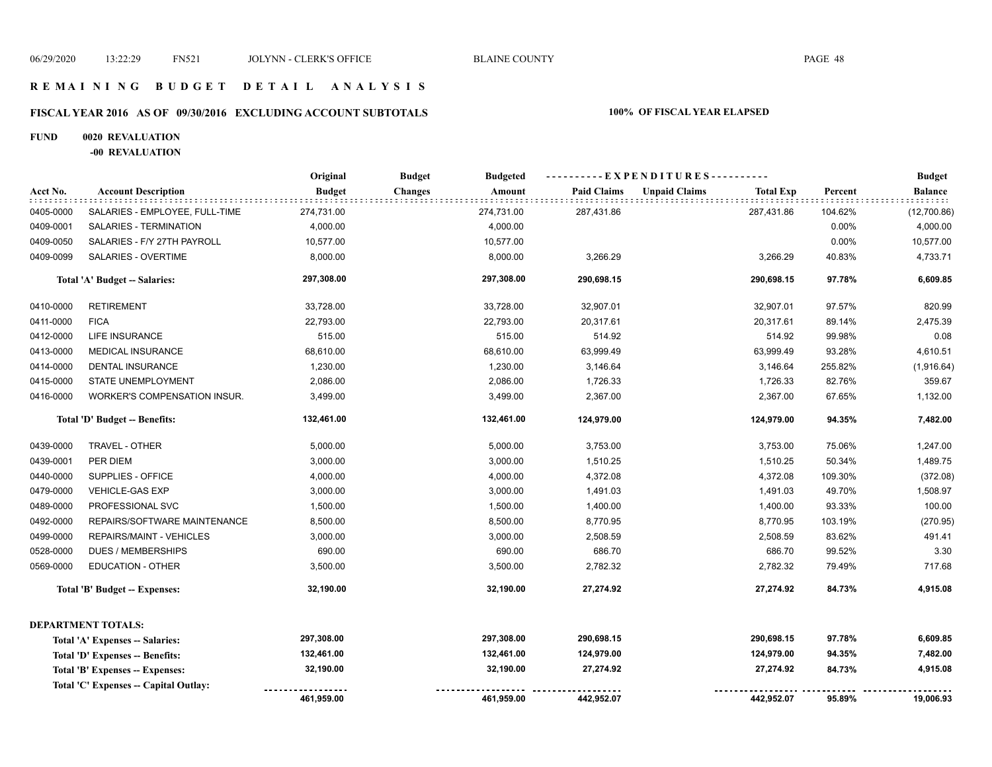#### **R E M A I N I N G B U D G E T D E T A I L A N A L Y S I S**

# **FISCAL YEAR 2016 AS OF 09/30/2016 EXCLUDING ACCOUNT SUBTOTALS 100% OF FISCAL YEAR ELAPSED**

#### **FUND 0020 REVALUATION**

**-00 REVALUATION**

|           |                                       | Original      | <b>Budget</b><br><b>Budgeted</b> | ----------EXPENDITURES---------- |                                          |         | <b>Budget</b> |
|-----------|---------------------------------------|---------------|----------------------------------|----------------------------------|------------------------------------------|---------|---------------|
| Acct No.  | <b>Account Description</b>            | <b>Budget</b> | Amount<br>Changes                | <b>Paid Claims</b>               | <b>Unpaid Claims</b><br><b>Total Exp</b> | Percent | Balance       |
| 0405-0000 | SALARIES - EMPLOYEE, FULL-TIME        | 274,731.00    | 274,731.00                       | 287,431.86                       | 287,431.86                               | 104.62% | (12,700.86)   |
| 0409-0001 | SALARIES - TERMINATION                | 4,000.00      | 4,000.00                         |                                  |                                          | 0.00%   | 4,000.00      |
| 0409-0050 | SALARIES - F/Y 27TH PAYROLL           | 10,577.00     | 10,577.00                        |                                  |                                          | 0.00%   | 10,577.00     |
| 0409-0099 | SALARIES - OVERTIME                   | 8,000.00      | 8,000.00                         | 3,266.29                         | 3,266.29                                 | 40.83%  | 4,733.71      |
|           | Total 'A' Budget -- Salaries:         | 297,308.00    | 297,308.00                       | 290,698.15                       | 290,698.15                               | 97.78%  | 6,609.85      |
| 0410-0000 | <b>RETIREMENT</b>                     | 33,728.00     | 33,728.00                        | 32,907.01                        | 32,907.01                                | 97.57%  | 820.99        |
| 0411-0000 | <b>FICA</b>                           | 22,793.00     | 22,793.00                        | 20,317.61                        | 20,317.61                                | 89.14%  | 2,475.39      |
| 0412-0000 | LIFE INSURANCE                        | 515.00        | 515.00                           | 514.92                           | 514.92                                   | 99.98%  | 0.08          |
| 0413-0000 | <b>MEDICAL INSURANCE</b>              | 68,610.00     | 68,610.00                        | 63,999.49                        | 63,999.49                                | 93.28%  | 4,610.51      |
| 0414-0000 | <b>DENTAL INSURANCE</b>               | 1,230.00      | 1,230.00                         | 3,146.64                         | 3,146.64                                 | 255.82% | (1,916.64)    |
| 0415-0000 | STATE UNEMPLOYMENT                    | 2,086.00      | 2,086.00                         | 1,726.33                         | 1,726.33                                 | 82.76%  | 359.67        |
| 0416-0000 | <b>WORKER'S COMPENSATION INSUR.</b>   | 3,499.00      | 3,499.00                         | 2,367.00                         | 2,367.00                                 | 67.65%  | 1,132.00      |
|           | Total 'D' Budget -- Benefits:         | 132,461.00    | 132,461.00                       | 124,979.00                       | 124,979.00                               | 94.35%  | 7,482.00      |
| 0439-0000 | TRAVEL - OTHER                        | 5,000.00      | 5,000.00                         | 3,753.00                         | 3,753.00                                 | 75.06%  | 1,247.00      |
| 0439-0001 | PER DIEM                              | 3,000.00      | 3,000.00                         | 1,510.25                         | 1,510.25                                 | 50.34%  | 1,489.75      |
| 0440-0000 | SUPPLIES - OFFICE                     | 4,000.00      | 4,000.00                         | 4,372.08                         | 4,372.08                                 | 109.30% | (372.08)      |
| 0479-0000 | <b>VEHICLE-GAS EXP</b>                | 3,000.00      | 3,000.00                         | 1,491.03                         | 1,491.03                                 | 49.70%  | 1,508.97      |
| 0489-0000 | PROFESSIONAL SVC                      | 1,500.00      | 1,500.00                         | 1,400.00                         | 1,400.00                                 | 93.33%  | 100.00        |
| 0492-0000 | REPAIRS/SOFTWARE MAINTENANCE          | 8,500.00      | 8,500.00                         | 8,770.95                         | 8,770.95                                 | 103.19% | (270.95)      |
| 0499-0000 | REPAIRS/MAINT - VEHICLES              | 3,000.00      | 3,000.00                         | 2,508.59                         | 2,508.59                                 | 83.62%  | 491.41        |
| 0528-0000 | <b>DUES / MEMBERSHIPS</b>             | 690.00        | 690.00                           | 686.70                           | 686.70                                   | 99.52%  | 3.30          |
| 0569-0000 | <b>EDUCATION - OTHER</b>              | 3,500.00      | 3,500.00                         | 2,782.32                         | 2,782.32                                 | 79.49%  | 717.68        |
|           | <b>Total 'B' Budget -- Expenses:</b>  | 32,190.00     | 32,190.00                        | 27,274.92                        | 27,274.92                                | 84.73%  | 4,915.08      |
|           | <b>DEPARTMENT TOTALS:</b>             |               |                                  |                                  |                                          |         |               |
|           | Total 'A' Expenses -- Salaries:       | 297,308.00    | 297,308.00                       | 290,698.15                       | 290,698.15                               | 97.78%  | 6,609.85      |
|           | Total 'D' Expenses -- Benefits:       | 132,461.00    | 132,461.00                       | 124,979.00                       | 124,979.00                               | 94.35%  | 7,482.00      |
|           | Total 'B' Expenses -- Expenses:       | 32,190.00     | 32,190.00                        | 27,274.92                        | 27,274.92                                | 84.73%  | 4,915.08      |
|           | Total 'C' Expenses -- Capital Outlay: |               |                                  |                                  |                                          |         |               |
|           |                                       | 461,959.00    | 461,959.00                       | 442,952.07                       | 442,952.07                               | 95.89%  | 19,006.93     |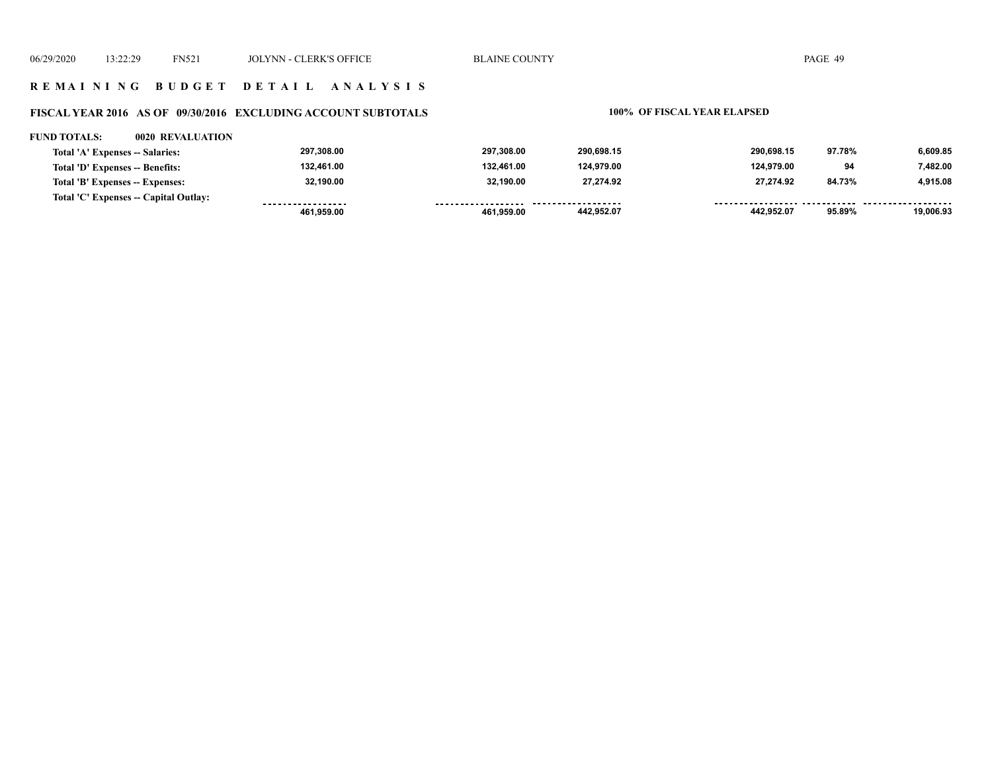#### **R E M A I N I N G B U D G E T D E T A I L A N A L Y S I S**

# **FISCAL YEAR 2016 AS OF 09/30/2016 EXCLUDING ACCOUNT SUBTOTALS 100% OF FISCAL YEAR ELAPSED**

#### **FUND TOTALS: 0020 REVALUATION**

| Total 'A' Expenses -- Salaries:       | 297.308.00        | 297.308.00          | 290.698.15 | 290.698.15 | 97.78% | 6.609.85  |
|---------------------------------------|-------------------|---------------------|------------|------------|--------|-----------|
| Total 'D' Expenses -- Benefits:       | 132,461.00        | 132,461.00          | 124,979.00 | 124.979.00 | 94     | 7.482.00  |
| Total 'B' Expenses -- Expenses:       | 32,190.00         | 32.190.00           | 27.274.92  | 27.274.92  | 84.73% | 4.915.08  |
| Total 'C' Expenses -- Capital Outlay: | ----------------- | ------------------- | .          |            |        |           |
|                                       | 461.959.00        | 461.959.00          | 442,952.07 | 442.952.07 | 95.89% | 19.006.93 |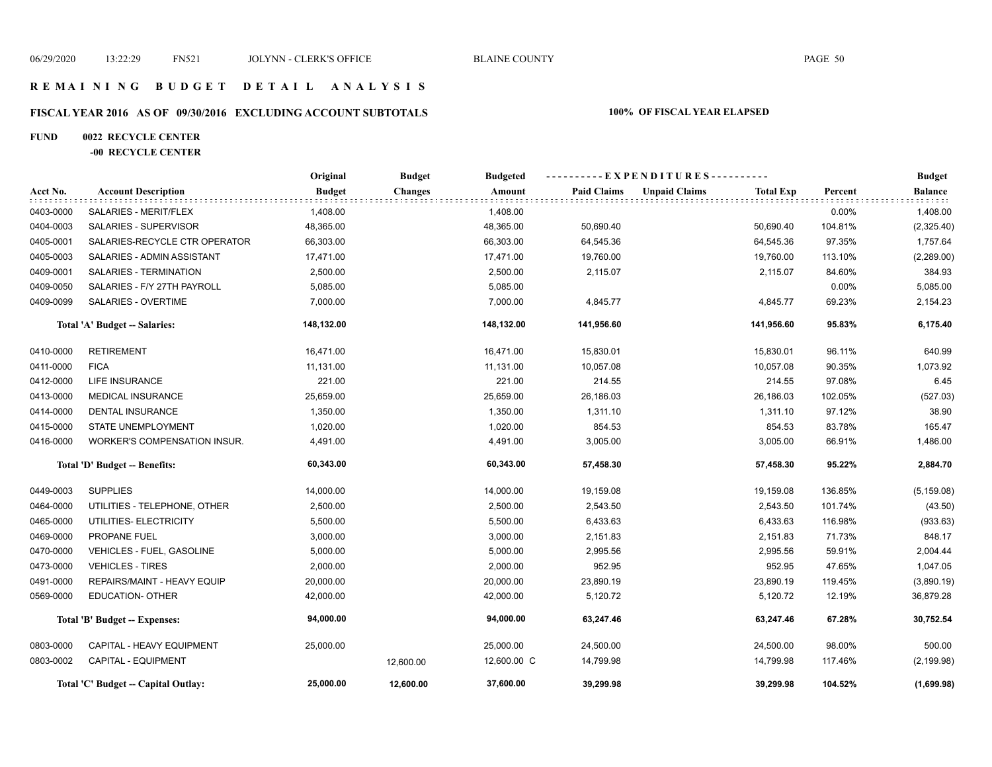#### **R E M A I N I N G B U D G E T D E T A I L A N A L Y S I S**

# **FISCAL YEAR 2016 AS OF 09/30/2016 EXCLUDING ACCOUNT SUBTOTALS 100% OF FISCAL YEAR ELAPSED**

#### **FUND 0022 RECYCLE CENTER**

#### **-00 RECYCLE CENTER**

|           |                                     | Original      | <b>Budget</b>  | <b>Budgeted</b> |                    | ----------EXPENDITURES---------- |                  |         | <b>Budget</b>               |
|-----------|-------------------------------------|---------------|----------------|-----------------|--------------------|----------------------------------|------------------|---------|-----------------------------|
| Acct No.  | <b>Account Description</b>          | <b>Budget</b> | <b>Changes</b> | Amount          | <b>Paid Claims</b> | <b>Unpaid Claims</b>             | <b>Total Exp</b> | Percent | <b>Balance</b><br>: : : : : |
| 0403-0000 | SALARIES - MERIT/FLEX               | 1,408.00      |                | 1,408.00        |                    |                                  |                  | 0.00%   | 1,408.00                    |
| 0404-0003 | SALARIES - SUPERVISOR               | 48,365.00     |                | 48,365.00       | 50,690.40          |                                  | 50,690.40        | 104.81% | (2,325.40)                  |
| 0405-0001 | SALARIES-RECYCLE CTR OPERATOR       | 66,303.00     |                | 66,303.00       | 64,545.36          |                                  | 64,545.36        | 97.35%  | 1,757.64                    |
| 0405-0003 | SALARIES - ADMIN ASSISTANT          | 17,471.00     |                | 17,471.00       | 19,760.00          |                                  | 19,760.00        | 113.10% | (2,289.00)                  |
| 0409-0001 | SALARIES - TERMINATION              | 2,500.00      |                | 2,500.00        | 2,115.07           |                                  | 2,115.07         | 84.60%  | 384.93                      |
| 0409-0050 | SALARIES - F/Y 27TH PAYROLL         | 5,085.00      |                | 5,085.00        |                    |                                  |                  | 0.00%   | 5,085.00                    |
| 0409-0099 | SALARIES - OVERTIME                 | 7,000.00      |                | 7,000.00        | 4,845.77           |                                  | 4,845.77         | 69.23%  | 2,154.23                    |
|           | Total 'A' Budget -- Salaries:       | 148,132.00    |                | 148,132.00      | 141,956.60         |                                  | 141,956.60       | 95.83%  | 6,175.40                    |
| 0410-0000 | <b>RETIREMENT</b>                   | 16,471.00     |                | 16,471.00       | 15,830.01          |                                  | 15,830.01        | 96.11%  | 640.99                      |
| 0411-0000 | <b>FICA</b>                         | 11,131.00     |                | 11,131.00       | 10,057.08          |                                  | 10,057.08        | 90.35%  | 1,073.92                    |
| 0412-0000 | <b>LIFE INSURANCE</b>               | 221.00        |                | 221.00          | 214.55             |                                  | 214.55           | 97.08%  | 6.45                        |
| 0413-0000 | <b>MEDICAL INSURANCE</b>            | 25,659.00     |                | 25,659.00       | 26,186.03          |                                  | 26,186.03        | 102.05% | (527.03)                    |
| 0414-0000 | <b>DENTAL INSURANCE</b>             | 1,350.00      |                | 1,350.00        | 1,311.10           |                                  | 1,311.10         | 97.12%  | 38.90                       |
| 0415-0000 | STATE UNEMPLOYMENT                  | 1,020.00      |                | 1,020.00        | 854.53             |                                  | 854.53           | 83.78%  | 165.47                      |
| 0416-0000 | WORKER'S COMPENSATION INSUR.        | 4,491.00      |                | 4,491.00        | 3,005.00           |                                  | 3,005.00         | 66.91%  | 1,486.00                    |
|           | Total 'D' Budget -- Benefits:       | 60,343.00     |                | 60,343.00       | 57,458.30          |                                  | 57,458.30        | 95.22%  | 2,884.70                    |
| 0449-0003 | <b>SUPPLIES</b>                     | 14,000.00     |                | 14,000.00       | 19,159.08          |                                  | 19,159.08        | 136.85% | (5, 159.08)                 |
| 0464-0000 | UTILITIES - TELEPHONE, OTHER        | 2,500.00      |                | 2,500.00        | 2,543.50           |                                  | 2,543.50         | 101.74% | (43.50)                     |
| 0465-0000 | UTILITIES- ELECTRICITY              | 5,500.00      |                | 5,500.00        | 6,433.63           |                                  | 6,433.63         | 116.98% | (933.63)                    |
| 0469-0000 | PROPANE FUEL                        | 3,000.00      |                | 3,000.00        | 2,151.83           |                                  | 2,151.83         | 71.73%  | 848.17                      |
| 0470-0000 | <b>VEHICLES - FUEL, GASOLINE</b>    | 5,000.00      |                | 5,000.00        | 2,995.56           |                                  | 2,995.56         | 59.91%  | 2,004.44                    |
| 0473-0000 | <b>VEHICLES - TIRES</b>             | 2,000.00      |                | 2,000.00        | 952.95             |                                  | 952.95           | 47.65%  | 1,047.05                    |
| 0491-0000 | REPAIRS/MAINT - HEAVY EQUIP         | 20,000.00     |                | 20,000.00       | 23,890.19          |                                  | 23,890.19        | 119.45% | (3,890.19)                  |
| 0569-0000 | <b>EDUCATION- OTHER</b>             | 42,000.00     |                | 42,000.00       | 5,120.72           |                                  | 5,120.72         | 12.19%  | 36,879.28                   |
|           | Total 'B' Budget -- Expenses:       | 94,000.00     |                | 94,000.00       | 63,247.46          |                                  | 63,247.46        | 67.28%  | 30,752.54                   |
| 0803-0000 | CAPITAL - HEAVY EQUIPMENT           | 25,000.00     |                | 25,000.00       | 24,500.00          |                                  | 24,500.00        | 98.00%  | 500.00                      |
| 0803-0002 | <b>CAPITAL - EQUIPMENT</b>          |               | 12,600.00      | 12,600.00 C     | 14,799.98          |                                  | 14,799.98        | 117.46% | (2, 199.98)                 |
|           | Total 'C' Budget -- Capital Outlay: | 25,000.00     | 12.600.00      | 37,600.00       | 39,299.98          |                                  | 39,299.98        | 104.52% | (1,699.98)                  |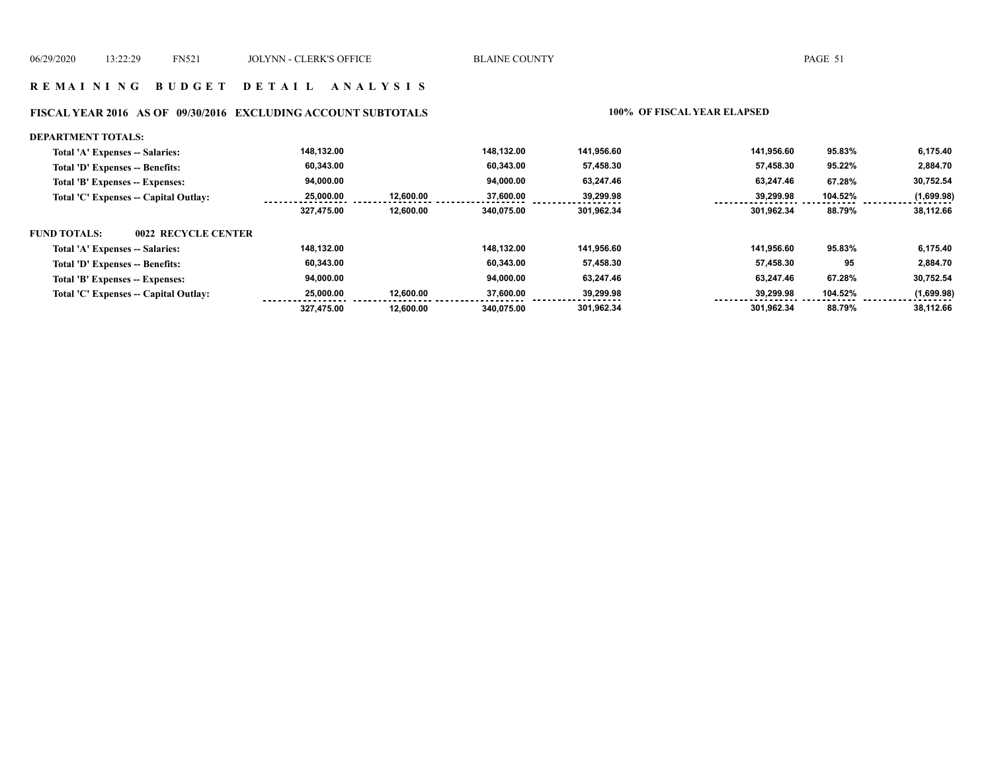#### **R E M A I N I N G B U D G E T D E T A I L A N A L Y S I S**

#### **FISCAL YEAR 2016 AS OF 09/30/2016 EXCLUDING ACCOUNT SUBTOTALS 100% OF FISCAL YEAR ELAPSED**

#### **DEPARTMENT TOTALS: 301,962.34 301,962.34 88.79% 38,112.66 Total 'A' Expenses -- Salaries: Total 'D' Expenses -- Benefits: Total 'B' Expenses -- Expenses: Total 'C' Expenses -- Capital Outlay: 141,956.60 63,247.46 39,299.98 57,458.30 141,956.60 63,247.46 39,299.98 57,458.30 95.83% 67.28% 104.52% 95.22% 6,175.40 30,752.54 (1,699.98) 2,884.70 94,000.00 37,600.00 60,343.00 148,132.00 340,075.00 12,600.00 12,600.00 148,132.00 94,000.00 25,000.00 60,343.00 327,475.00 FUND TOTALS: 301,962.34 301,962.34 88.79% 38,112.66 Total 'A' Expenses -- Salaries: Total 'D' Expenses -- Benefits: Total 'B' Expenses -- Expenses: Total 'C' Expenses -- Capital Outlay: 141,956.60 63,247.46 39,299.98 57,458.30 141,956.60 63,247.46 39,299.98 57,458.30 95.83% 67.28% 104.52% 95 6,175.40 30,752.54 (1,699.98) 2,884.70 148,132.00 60,343.00 94,000.00 37,600.00 340,075.00 12,600.00 12,600.00 148,132.00 94,000.00 25,000.00 60,343.00 327,475.00 0022 RECYCLE CENTER**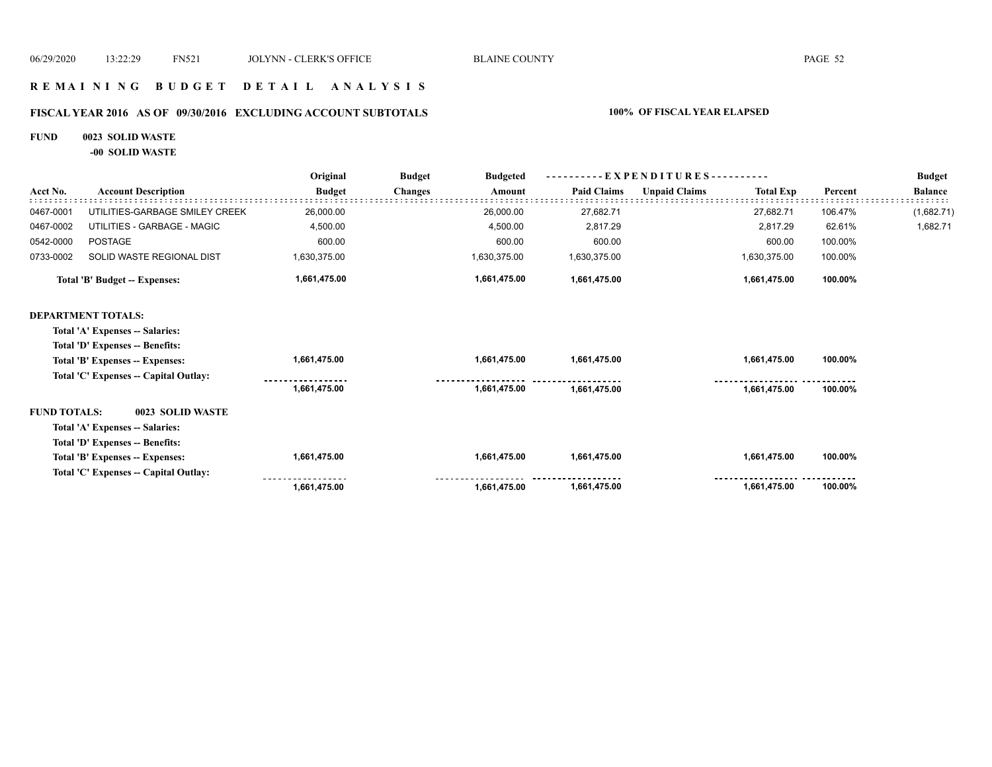### **R E M A I N I N G B U D G E T D E T A I L A N A L Y S I S**

#### **FISCAL YEAR 2016 AS OF 09/30/2016 EXCLUDING ACCOUNT SUBTOTALS 100% OF FISCAL YEAR ELAPSED**

#### **FUND 0023 SOLID WASTE**

**-00 SOLID WASTE**

|                     |                                       | Original      | <b>Budget</b><br><b>Budgeted</b> |                    | $-$ EXPENDITURES----------               |         | <b>Budget</b>  |
|---------------------|---------------------------------------|---------------|----------------------------------|--------------------|------------------------------------------|---------|----------------|
| Acct No.            | <b>Account Description</b>            | <b>Budget</b> | <b>Changes</b><br>Amount         | <b>Paid Claims</b> | <b>Unpaid Claims</b><br><b>Total Exp</b> | Percent | <b>Balance</b> |
| 0467-0001           | UTILITIES-GARBAGE SMILEY CREEK        | 26,000.00     | 26,000.00                        | 27,682.71          | 27,682.71                                | 106.47% | (1,682.71)     |
| 0467-0002           | UTILITIES - GARBAGE - MAGIC           | 4,500.00      | 4,500.00                         | 2,817.29           | 2,817.29                                 | 62.61%  | 1,682.71       |
| 0542-0000           | <b>POSTAGE</b>                        | 600.00        | 600.00                           | 600.00             | 600.00                                   | 100.00% |                |
| 0733-0002           | SOLID WASTE REGIONAL DIST             | 1,630,375.00  | 1,630,375.00                     | 1,630,375.00       | 1,630,375.00                             | 100.00% |                |
|                     | Total 'B' Budget -- Expenses:         | 1,661,475.00  | 1,661,475.00                     | 1,661,475.00       | 1,661,475.00                             | 100.00% |                |
|                     | <b>DEPARTMENT TOTALS:</b>             |               |                                  |                    |                                          |         |                |
|                     | Total 'A' Expenses -- Salaries:       |               |                                  |                    |                                          |         |                |
|                     | Total 'D' Expenses -- Benefits:       |               |                                  |                    |                                          |         |                |
|                     | Total 'B' Expenses -- Expenses:       | 1,661,475.00  | 1,661,475.00                     | 1,661,475.00       | 1,661,475.00                             | 100.00% |                |
|                     | Total 'C' Expenses -- Capital Outlay: |               |                                  |                    |                                          |         |                |
|                     |                                       | 1,661,475.00  | 1.661.475.00                     | 1,661,475.00       | 1,661,475.00                             | 100.00% |                |
| <b>FUND TOTALS:</b> | 0023 SOLID WASTE                      |               |                                  |                    |                                          |         |                |
|                     | Total 'A' Expenses -- Salaries:       |               |                                  |                    |                                          |         |                |
|                     | Total 'D' Expenses -- Benefits:       |               |                                  |                    |                                          |         |                |
|                     | Total 'B' Expenses -- Expenses:       | 1,661,475.00  | 1,661,475.00                     | 1,661,475.00       | 1,661,475.00                             | 100.00% |                |
|                     | Total 'C' Expenses - Capital Outlay:  |               |                                  |                    |                                          |         |                |
|                     |                                       | 1,661,475.00  | 1,661,475.00                     | 1,661,475.00       | 1,661,475.00                             | 100.00% |                |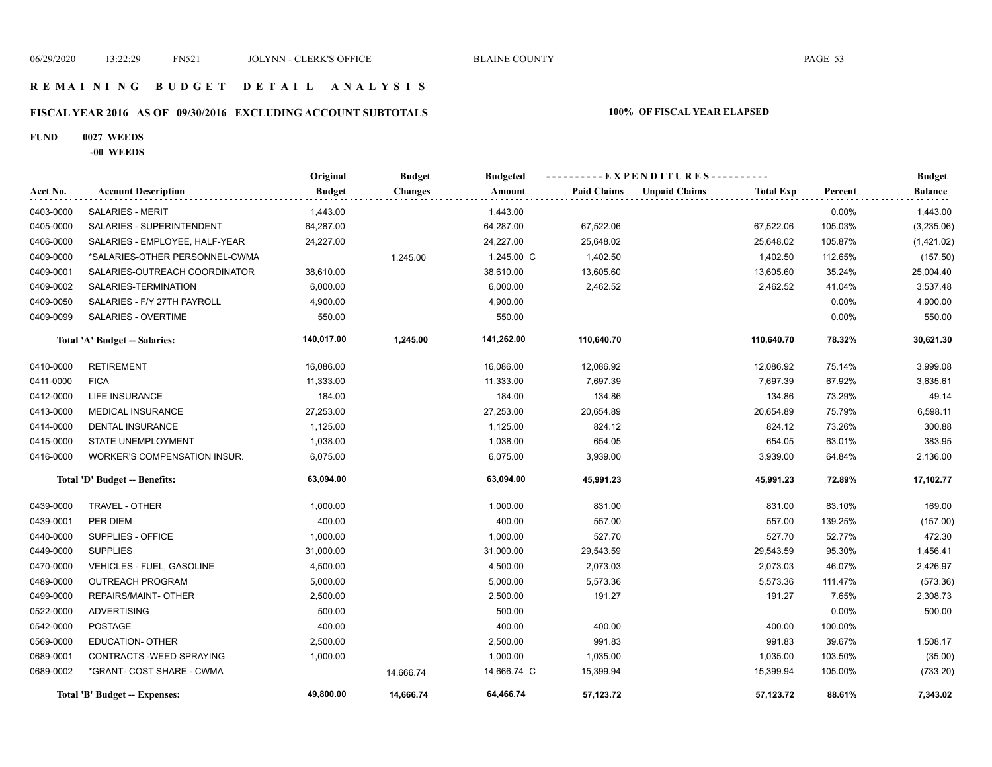### **R E M A I N I N G B U D G E T D E T A I L A N A L Y S I S**

# **FISCAL YEAR 2016 AS OF 09/30/2016 EXCLUDING ACCOUNT SUBTOTALS 100% OF FISCAL YEAR ELAPSED**

#### **FUND 0027 WEEDS**

**-00 WEEDS**

|           |                                     | Original      | <b>Budget</b>  | <b>Budgeted</b> |                    | ----------EXPENDITURES---------- |                  |         | <b>Budget</b>  |
|-----------|-------------------------------------|---------------|----------------|-----------------|--------------------|----------------------------------|------------------|---------|----------------|
| Acct No.  | <b>Account Description</b>          | <b>Budget</b> | <b>Changes</b> | Amount          | <b>Paid Claims</b> | <b>Unpaid Claims</b>             | <b>Total Exp</b> | Percent | <b>Balance</b> |
| 0403-0000 | <b>SALARIES - MERIT</b>             | 1,443.00      |                | 1,443.00        |                    |                                  |                  | 0.00%   | 1,443.00       |
| 0405-0000 | SALARIES - SUPERINTENDENT           | 64,287.00     |                | 64,287.00       | 67,522.06          |                                  | 67,522.06        | 105.03% | (3,235.06)     |
| 0406-0000 | SALARIES - EMPLOYEE, HALF-YEAR      | 24,227.00     |                | 24,227.00       | 25,648.02          |                                  | 25,648.02        | 105.87% | (1,421.02)     |
| 0409-0000 | *SALARIES-OTHER PERSONNEL-CWMA      |               | 1,245.00       | 1,245.00 C      | 1,402.50           |                                  | 1,402.50         | 112.65% | (157.50)       |
| 0409-0001 | SALARIES-OUTREACH COORDINATOR       | 38,610.00     |                | 38,610.00       | 13,605.60          |                                  | 13,605.60        | 35.24%  | 25,004.40      |
| 0409-0002 | SALARIES-TERMINATION                | 6,000.00      |                | 6,000.00        | 2,462.52           |                                  | 2,462.52         | 41.04%  | 3,537.48       |
| 0409-0050 | SALARIES - F/Y 27TH PAYROLL         | 4,900.00      |                | 4,900.00        |                    |                                  |                  | 0.00%   | 4,900.00       |
| 0409-0099 | SALARIES - OVERTIME                 | 550.00        |                | 550.00          |                    |                                  |                  | 0.00%   | 550.00         |
|           | Total 'A' Budget -- Salaries:       | 140,017.00    | 1,245.00       | 141,262.00      | 110,640.70         |                                  | 110,640.70       | 78.32%  | 30,621.30      |
| 0410-0000 | <b>RETIREMENT</b>                   | 16,086.00     |                | 16,086.00       | 12,086.92          |                                  | 12,086.92        | 75.14%  | 3,999.08       |
| 0411-0000 | <b>FICA</b>                         | 11,333.00     |                | 11,333.00       | 7,697.39           |                                  | 7,697.39         | 67.92%  | 3,635.61       |
| 0412-0000 | LIFE INSURANCE                      | 184.00        |                | 184.00          | 134.86             |                                  | 134.86           | 73.29%  | 49.14          |
| 0413-0000 | <b>MEDICAL INSURANCE</b>            | 27,253.00     |                | 27,253.00       | 20,654.89          |                                  | 20,654.89        | 75.79%  | 6,598.11       |
| 0414-0000 | <b>DENTAL INSURANCE</b>             | 1,125.00      |                | 1,125.00        | 824.12             |                                  | 824.12           | 73.26%  | 300.88         |
| 0415-0000 | STATE UNEMPLOYMENT                  | 1,038.00      |                | 1,038.00        | 654.05             |                                  | 654.05           | 63.01%  | 383.95         |
| 0416-0000 | <b>WORKER'S COMPENSATION INSUR.</b> | 6,075.00      |                | 6,075.00        | 3,939.00           |                                  | 3,939.00         | 64.84%  | 2,136.00       |
|           | Total 'D' Budget -- Benefits:       | 63,094.00     |                | 63,094.00       | 45,991.23          |                                  | 45,991.23        | 72.89%  | 17,102.77      |
| 0439-0000 | TRAVEL - OTHER                      | 1,000.00      |                | 1,000.00        | 831.00             |                                  | 831.00           | 83.10%  | 169.00         |
| 0439-0001 | PER DIEM                            | 400.00        |                | 400.00          | 557.00             |                                  | 557.00           | 139.25% | (157.00)       |
| 0440-0000 | SUPPLIES - OFFICE                   | 1,000.00      |                | 1,000.00        | 527.70             |                                  | 527.70           | 52.77%  | 472.30         |
| 0449-0000 | <b>SUPPLIES</b>                     | 31,000.00     |                | 31,000.00       | 29,543.59          |                                  | 29,543.59        | 95.30%  | 1,456.41       |
| 0470-0000 | VEHICLES - FUEL, GASOLINE           | 4,500.00      |                | 4,500.00        | 2,073.03           |                                  | 2,073.03         | 46.07%  | 2,426.97       |
| 0489-0000 | <b>OUTREACH PROGRAM</b>             | 5,000.00      |                | 5,000.00        | 5,573.36           |                                  | 5,573.36         | 111.47% | (573.36)       |
| 0499-0000 | REPAIRS/MAINT- OTHER                | 2,500.00      |                | 2,500.00        | 191.27             |                                  | 191.27           | 7.65%   | 2,308.73       |
| 0522-0000 | <b>ADVERTISING</b>                  | 500.00        |                | 500.00          |                    |                                  |                  | 0.00%   | 500.00         |
| 0542-0000 | <b>POSTAGE</b>                      | 400.00        |                | 400.00          | 400.00             |                                  | 400.00           | 100.00% |                |
| 0569-0000 | <b>EDUCATION- OTHER</b>             | 2,500.00      |                | 2,500.00        | 991.83             |                                  | 991.83           | 39.67%  | 1,508.17       |
| 0689-0001 | CONTRACTS - WEED SPRAYING           | 1,000.00      |                | 1,000.00        | 1,035.00           |                                  | 1,035.00         | 103.50% | (35.00)        |
| 0689-0002 | *GRANT- COST SHARE - CWMA           |               | 14,666.74      | 14,666.74 C     | 15,399.94          |                                  | 15,399.94        | 105.00% | (733.20)       |
|           | Total 'B' Budget -- Expenses:       | 49,800.00     | 14,666.74      | 64,466.74       | 57,123.72          |                                  | 57,123.72        | 88.61%  | 7,343.02       |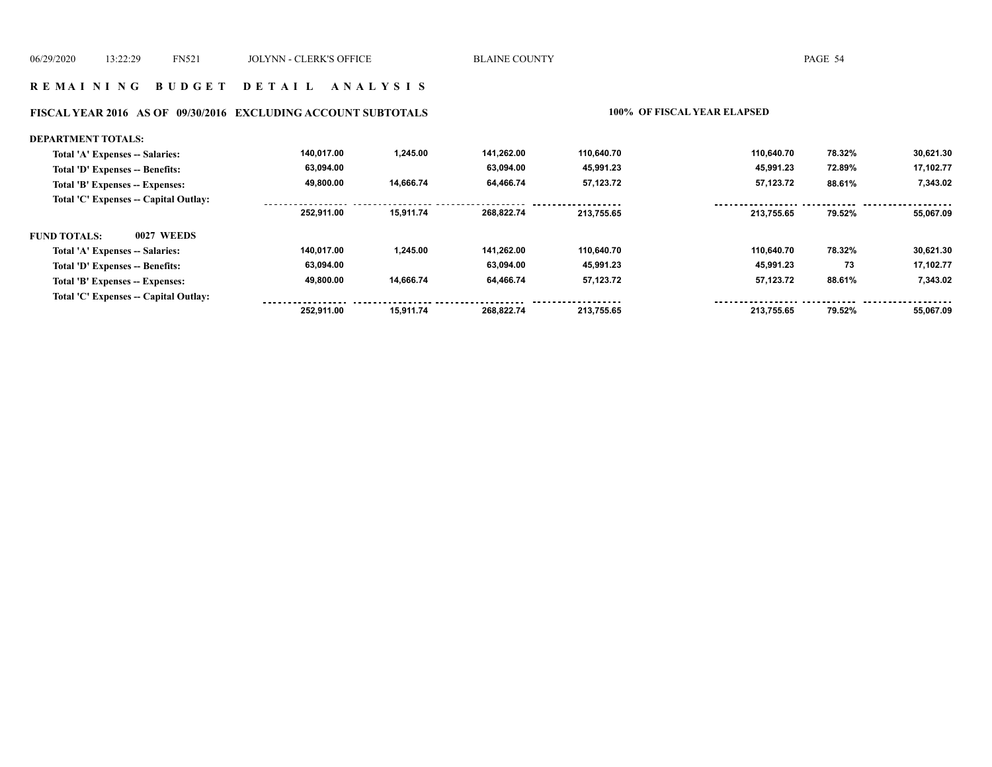#### **R E M A I N I N G B U D G E T D E T A I L A N A L Y S I S**

# **FISCAL YEAR 2016 AS OF 09/30/2016 EXCLUDING ACCOUNT SUBTOTALS 100% OF FISCAL YEAR ELAPSED**

| <b>DEPARTMENT TOTALS:</b>             |            |           |            |            |            |        |           |
|---------------------------------------|------------|-----------|------------|------------|------------|--------|-----------|
| Total 'A' Expenses -- Salaries:       | 140,017.00 | 1,245.00  | 141.262.00 | 110,640.70 | 110,640.70 | 78.32% | 30,621.30 |
| Total 'D' Expenses -- Benefits:       | 63,094.00  |           | 63,094.00  | 45,991.23  | 45,991.23  | 72.89% | 17,102.77 |
| Total 'B' Expenses -- Expenses:       | 49,800.00  | 14,666.74 | 64,466.74  | 57,123.72  | 57,123.72  | 88.61% | 7,343.02  |
| Total 'C' Expenses -- Capital Outlay: |            |           |            |            |            |        |           |
|                                       | 252.911.00 | 15,911.74 | 268.822.74 | 213,755.65 | 213,755.65 | 79.52% | 55,067.09 |
| <b>FUND TOTALS:</b><br>0027 WEEDS     |            |           |            |            |            |        |           |
| Total 'A' Expenses -- Salaries:       | 140,017.00 | 1,245.00  | 141.262.00 | 110,640.70 | 110.640.70 | 78.32% | 30,621.30 |
| Total 'D' Expenses -- Benefits:       | 63,094.00  |           | 63.094.00  | 45,991.23  | 45,991.23  | 73     | 17,102.77 |
| Total 'B' Expenses -- Expenses:       | 49,800.00  | 14,666.74 | 64,466.74  | 57,123.72  | 57,123.72  | 88.61% | 7,343.02  |
| Total 'C' Expenses -- Capital Outlay: |            |           |            |            |            |        |           |
|                                       | 252.911.00 | 15.911.74 | 268.822.74 | 213,755.65 | 213.755.65 | 79.52% | 55.067.09 |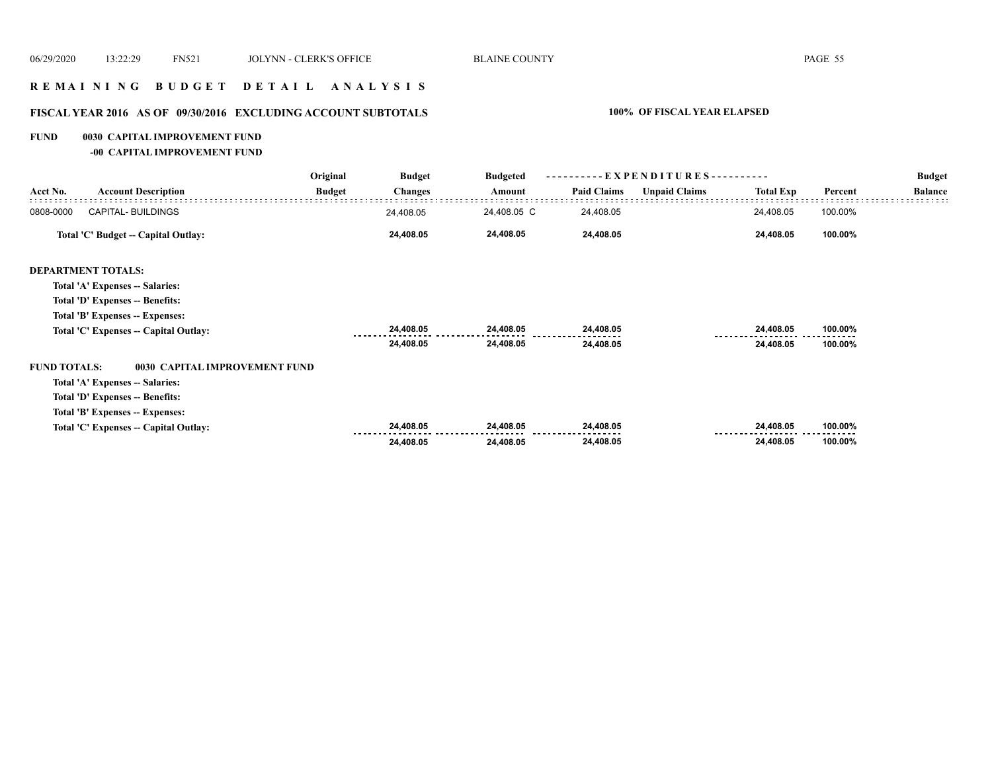### **R E M A I N I N G B U D G E T D E T A I L A N A L Y S I S**

# **FISCAL YEAR 2016 AS OF 09/30/2016 EXCLUDING ACCOUNT SUBTOTALS 100% OF FISCAL YEAR ELAPSED**

**FUND 0030 CAPITAL IMPROVEMENT FUND**

**-00 CAPITAL IMPROVEMENT FUND**

|                     |                                       | Original      | <b>Budget</b>  | <b>Budgeted</b> |                    | - EXPENDITURES - -   | --------         |         | <b>Budget</b>  |
|---------------------|---------------------------------------|---------------|----------------|-----------------|--------------------|----------------------|------------------|---------|----------------|
| Acct No.            | <b>Account Description</b>            | <b>Budget</b> | <b>Changes</b> | Amount          | <b>Paid Claims</b> | <b>Unpaid Claims</b> | <b>Total Exp</b> | Percent | <b>Balance</b> |
| 0808-0000           | <b>CAPITAL- BUILDINGS</b>             |               | 24,408.05      | 24,408.05 C     | 24,408.05          |                      | 24,408.05        | 100.00% |                |
|                     | Total 'C' Budget -- Capital Outlay:   |               | 24,408.05      | 24,408.05       | 24,408.05          |                      | 24,408.05        | 100.00% |                |
|                     | <b>DEPARTMENT TOTALS:</b>             |               |                |                 |                    |                      |                  |         |                |
|                     | Total 'A' Expenses -- Salaries:       |               |                |                 |                    |                      |                  |         |                |
|                     | Total 'D' Expenses -- Benefits:       |               |                |                 |                    |                      |                  |         |                |
|                     | Total 'B' Expenses -- Expenses:       |               |                |                 |                    |                      |                  |         |                |
|                     | Total 'C' Expenses -- Capital Outlay: |               | 24,408.05      | 24,408.05       | 24,408.05          |                      | 24,408.05        | 100.00% |                |
|                     |                                       |               | 24,408.05      | 24,408.05       | 24,408.05          |                      | 24,408.05        | 100.00% |                |
| <b>FUND TOTALS:</b> | 0030 CAPITAL IMPROVEMENT FUND         |               |                |                 |                    |                      |                  |         |                |
|                     | Total 'A' Expenses -- Salaries:       |               |                |                 |                    |                      |                  |         |                |
|                     | Total 'D' Expenses -- Benefits:       |               |                |                 |                    |                      |                  |         |                |
|                     | Total 'B' Expenses -- Expenses:       |               |                |                 |                    |                      |                  |         |                |
|                     | Total 'C' Expenses -- Capital Outlay: |               | 24,408.05      | 24,408.05       | 24,408.05          |                      | 24,408.05        | 100.00% |                |
|                     |                                       |               | 24,408.05      | 24,408.05       | 24,408.05          |                      | 24,408.05        | 100.00% |                |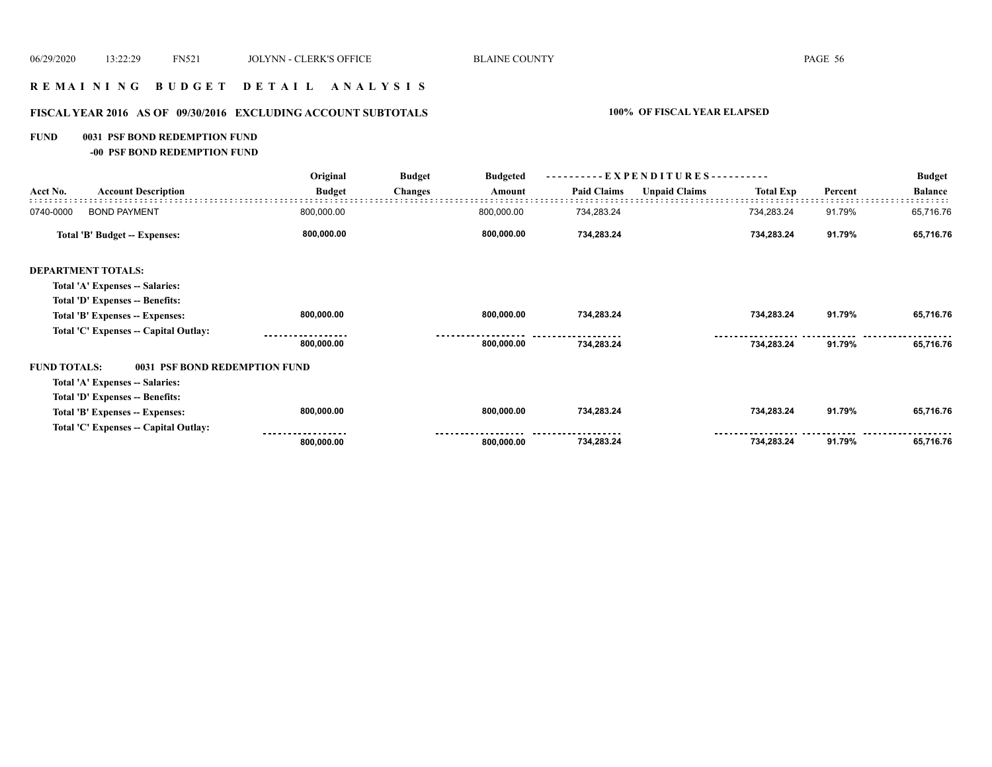### **R E M A I N I N G B U D G E T D E T A I L A N A L Y S I S**

# **FISCAL YEAR 2016 AS OF 09/30/2016 EXCLUDING ACCOUNT SUBTOTALS 100% OF FISCAL YEAR ELAPSED**

#### **FUND 0031 PSF BOND REDEMPTION FUND**

**-00 PSF BOND REDEMPTION FUND**

|                                                      | Original      | <b>Budget</b>  | <b>Budgeted</b> |                    | - EXPENDITURES---------- |                  |         | <b>Budget</b>  |
|------------------------------------------------------|---------------|----------------|-----------------|--------------------|--------------------------|------------------|---------|----------------|
| <b>Account Description</b><br>Acct No.               | <b>Budget</b> | <b>Changes</b> | Amount          | <b>Paid Claims</b> | <b>Unpaid Claims</b>     | <b>Total Exp</b> | Percent | <b>Balance</b> |
| 0740-0000<br><b>BOND PAYMENT</b>                     | 800,000.00    |                | 800,000.00      | 734,283.24         |                          | 734,283.24       | 91.79%  | 65,716.76      |
| Total 'B' Budget -- Expenses:                        | 800,000.00    |                | 800,000.00      | 734,283.24         |                          | 734,283.24       | 91.79%  | 65,716.76      |
| <b>DEPARTMENT TOTALS:</b>                            |               |                |                 |                    |                          |                  |         |                |
| Total 'A' Expenses -- Salaries:                      |               |                |                 |                    |                          |                  |         |                |
| Total 'D' Expenses -- Benefits:                      |               |                |                 |                    |                          |                  |         |                |
| Total 'B' Expenses -- Expenses:                      | 800,000.00    |                | 800,000.00      | 734,283.24         |                          | 734,283.24       | 91.79%  | 65,716.76      |
| Total 'C' Expenses -- Capital Outlay:                |               |                |                 |                    |                          |                  |         |                |
|                                                      | 800,000.00    |                | 800,000.00      | 734,283.24         |                          | 734,283.24       | 91.79%  | 65,716.76      |
| <b>FUND TOTALS:</b><br>0031 PSF BOND REDEMPTION FUND |               |                |                 |                    |                          |                  |         |                |
| Total 'A' Expenses -- Salaries:                      |               |                |                 |                    |                          |                  |         |                |
| Total 'D' Expenses -- Benefits:                      |               |                |                 |                    |                          |                  |         |                |
| Total 'B' Expenses -- Expenses:                      | 800,000.00    |                | 800,000.00      | 734,283.24         |                          | 734,283.24       | 91.79%  | 65,716.76      |
| Total 'C' Expenses - Capital Outlay:                 |               |                |                 |                    |                          |                  |         |                |
|                                                      | 800,000.00    |                | 800,000.00      | 734,283.24         |                          | 734,283.24       | 91.79%  | 65,716.76      |
|                                                      |               |                |                 |                    |                          |                  |         |                |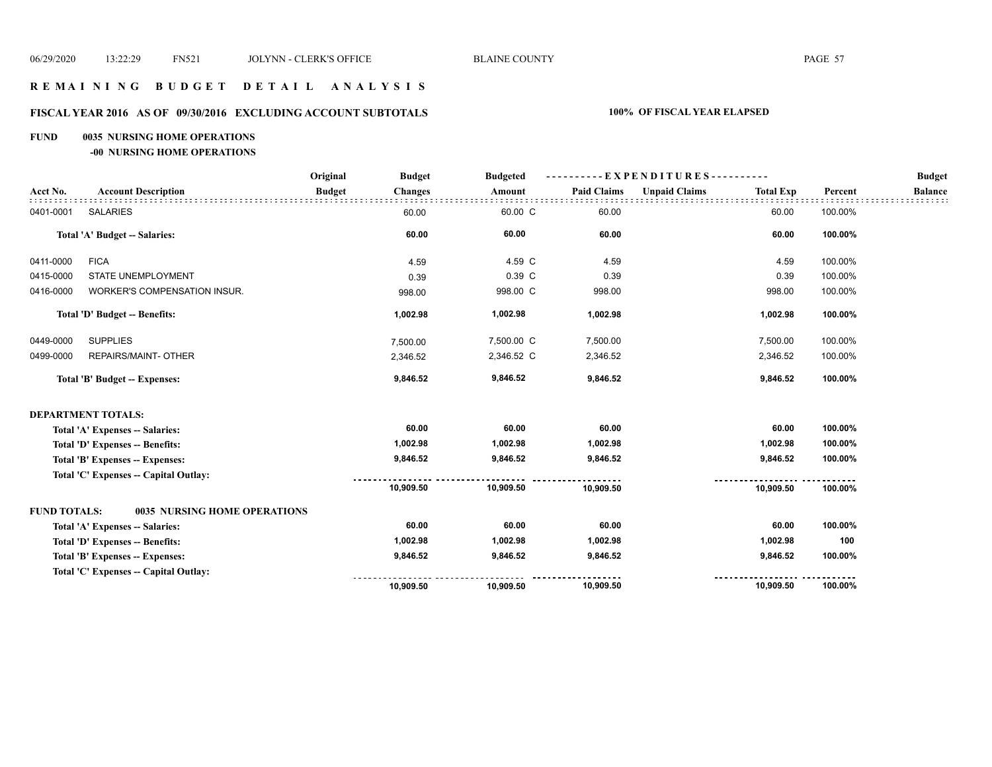#### **R E M A I N I N G B U D G E T D E T A I L A N A L Y S I S**

#### **FISCAL YEAR 2016 AS OF 09/30/2016 EXCLUDING ACCOUNT SUBTOTALS 100% OF FISCAL YEAR ELAPSED**

#### **FUND 0035 NURSING HOME OPERATIONS**

**-00 NURSING HOME OPERATIONS**

|                     |                                       | Original      | <b>Budget</b>  | <b>Budgeted</b> |                    | ----------EXPENDITURES---------- |                  |         | <b>Budget</b>  |
|---------------------|---------------------------------------|---------------|----------------|-----------------|--------------------|----------------------------------|------------------|---------|----------------|
| Acct No.            | <b>Account Description</b>            | <b>Budget</b> | <b>Changes</b> | Amount          | <b>Paid Claims</b> | <b>Unpaid Claims</b>             | <b>Total Exp</b> | Percent | <b>Balance</b> |
| 0401-0001           | <b>SALARIES</b>                       |               | 60.00          | 60.00 C         | 60.00              |                                  | 60.00            | 100.00% |                |
|                     | Total 'A' Budget -- Salaries:         |               | 60.00          | 60.00           | 60.00              |                                  | 60.00            | 100.00% |                |
| 0411-0000           | <b>FICA</b>                           |               | 4.59           | 4.59 C          | 4.59               |                                  | 4.59             | 100.00% |                |
| 0415-0000           | <b>STATE UNEMPLOYMENT</b>             |               | 0.39           | 0.39 C          | 0.39               |                                  | 0.39             | 100.00% |                |
| 0416-0000           | WORKER'S COMPENSATION INSUR.          |               | 998.00         | 998.00 C        | 998.00             |                                  | 998.00           | 100.00% |                |
|                     | Total 'D' Budget -- Benefits:         |               | 1,002.98       | 1,002.98        | 1,002.98           |                                  | 1,002.98         | 100.00% |                |
| 0449-0000           | <b>SUPPLIES</b>                       |               | 7,500.00       | 7,500.00 C      | 7,500.00           |                                  | 7,500.00         | 100.00% |                |
| 0499-0000           | REPAIRS/MAINT- OTHER                  |               | 2,346.52       | 2,346.52 C      | 2,346.52           |                                  | 2,346.52         | 100.00% |                |
|                     | <b>Total 'B' Budget -- Expenses:</b>  |               | 9,846.52       | 9,846.52        | 9,846.52           |                                  | 9,846.52         | 100.00% |                |
|                     | <b>DEPARTMENT TOTALS:</b>             |               |                |                 |                    |                                  |                  |         |                |
|                     | Total 'A' Expenses -- Salaries:       |               | 60.00          | 60.00           | 60.00              |                                  | 60.00            | 100.00% |                |
|                     | Total 'D' Expenses -- Benefits:       |               | 1,002.98       | 1,002.98        | 1,002.98           |                                  | 1,002.98         | 100.00% |                |
|                     | Total 'B' Expenses -- Expenses:       |               | 9,846.52       | 9,846.52        | 9,846.52           |                                  | 9,846.52         | 100.00% |                |
|                     | Total 'C' Expenses - Capital Outlay:  |               |                |                 |                    |                                  |                  |         |                |
|                     |                                       |               | 10,909.50      | 10,909.50       | 10,909.50          |                                  | 10,909.50        | 100.00% |                |
| <b>FUND TOTALS:</b> | <b>0035 NURSING HOME OPERATIONS</b>   |               |                |                 |                    |                                  |                  |         |                |
|                     | Total 'A' Expenses -- Salaries:       |               | 60.00          | 60.00           | 60.00              |                                  | 60.00            | 100.00% |                |
|                     | Total 'D' Expenses -- Benefits:       |               | 1,002.98       | 1,002.98        | 1,002.98           |                                  | 1,002.98         | 100     |                |
|                     | Total 'B' Expenses -- Expenses:       |               | 9,846.52       | 9,846.52        | 9,846.52           |                                  | 9,846.52         | 100.00% |                |
|                     | Total 'C' Expenses -- Capital Outlay: |               |                |                 |                    |                                  |                  |         |                |
|                     |                                       |               | 10,909.50      | 10,909.50       | 10,909.50          |                                  | 10,909.50        | 100.00% |                |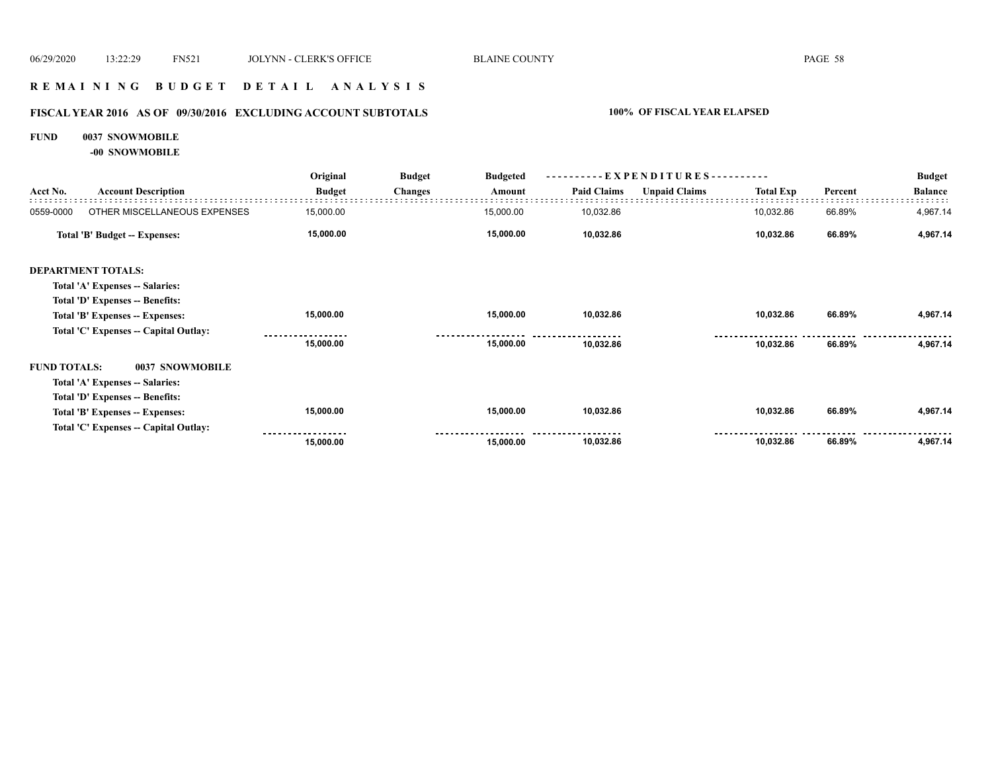### **R E M A I N I N G B U D G E T D E T A I L A N A L Y S I S**

# **FISCAL YEAR 2016 AS OF 09/30/2016 EXCLUDING ACCOUNT SUBTOTALS 100% OF FISCAL YEAR ELAPSED**

#### **FUND 0037 SNOWMOBILE**

**-00 SNOWMOBILE**

|                     |                                       | Original      | <b>Budget</b>  | <b>Budgeted</b> |                    |                      |                  |         | <b>Budget</b>  |
|---------------------|---------------------------------------|---------------|----------------|-----------------|--------------------|----------------------|------------------|---------|----------------|
| Acct No.            | <b>Account Description</b>            | <b>Budget</b> | <b>Changes</b> | Amount          | <b>Paid Claims</b> | <b>Unpaid Claims</b> | <b>Total Exp</b> | Percent | <b>Balance</b> |
| 0559-0000           | OTHER MISCELLANEOUS EXPENSES          | 15,000.00     |                | 15,000.00       | 10,032.86          |                      | 10,032.86        | 66.89%  | 4,967.14       |
|                     | Total 'B' Budget -- Expenses:         | 15,000.00     |                | 15,000.00       | 10,032.86          |                      | 10,032.86        | 66.89%  | 4,967.14       |
|                     | <b>DEPARTMENT TOTALS:</b>             |               |                |                 |                    |                      |                  |         |                |
|                     | Total 'A' Expenses -- Salaries:       |               |                |                 |                    |                      |                  |         |                |
|                     | Total 'D' Expenses -- Benefits:       |               |                |                 |                    |                      |                  |         |                |
|                     | Total 'B' Expenses -- Expenses:       | 15,000.00     |                | 15,000.00       | 10,032.86          |                      | 10,032.86        | 66.89%  | 4,967.14       |
|                     | Total 'C' Expenses -- Capital Outlay: |               |                |                 |                    |                      |                  |         |                |
|                     |                                       | 15,000.00     |                | 15,000.00       | 10,032.86          |                      | 10,032.86        | 66.89%  | 4,967.14       |
| <b>FUND TOTALS:</b> | 0037 SNOWMOBILE                       |               |                |                 |                    |                      |                  |         |                |
|                     | Total 'A' Expenses -- Salaries:       |               |                |                 |                    |                      |                  |         |                |
|                     | Total 'D' Expenses -- Benefits:       |               |                |                 |                    |                      |                  |         |                |
|                     | Total 'B' Expenses -- Expenses:       | 15,000.00     |                | 15,000.00       | 10,032.86          |                      | 10,032.86        | 66.89%  | 4,967.14       |
|                     | Total 'C' Expenses -- Capital Outlay: |               |                |                 |                    |                      |                  |         |                |
|                     |                                       | 15,000.00     |                | 15,000.00       | 10,032.86          |                      | 10,032.86        | 66.89%  | 4,967.14       |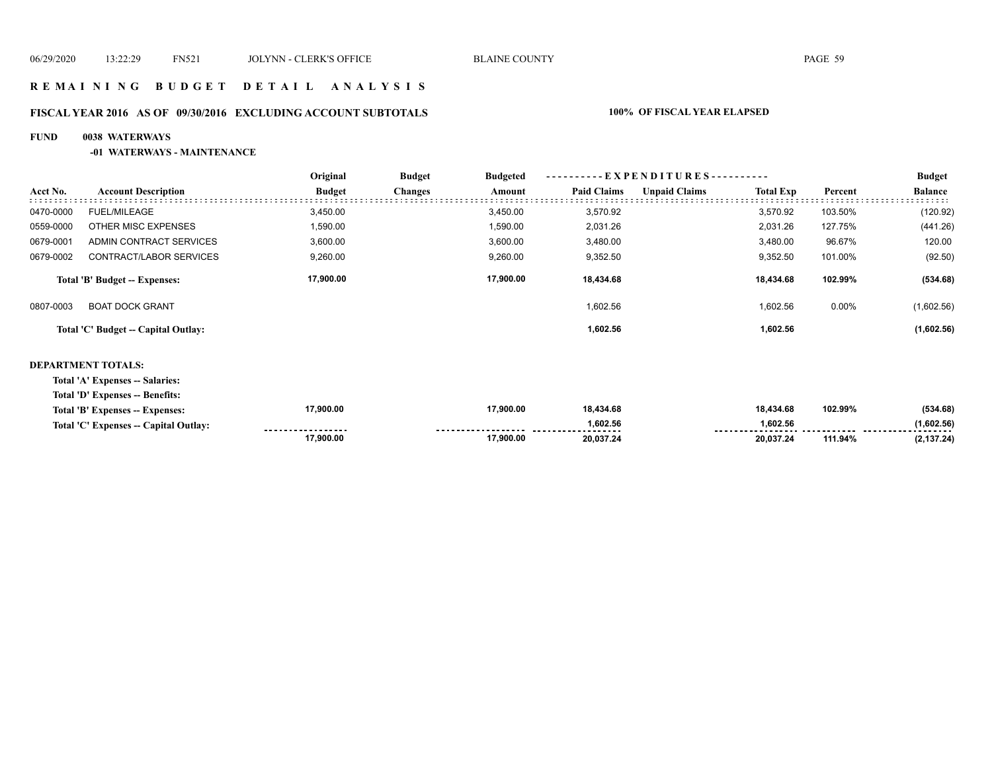#### **R E M A I N I N G B U D G E T D E T A I L A N A L Y S I S**

# **FISCAL YEAR 2016 AS OF 09/30/2016 EXCLUDING ACCOUNT SUBTOTALS 100% OF FISCAL YEAR ELAPSED**

#### **FUND 0038 WATERWAYS**

**-01 WATERWAYS - MAINTENANCE**

|           |                                     | Original      | <b>Budget</b>  | <b>Budgeted</b> |                    | -- E X P E N D I T U R E S --- |                  |         | <b>Budget</b>  |
|-----------|-------------------------------------|---------------|----------------|-----------------|--------------------|--------------------------------|------------------|---------|----------------|
| Acct No.  | <b>Account Description</b>          | <b>Budget</b> | <b>Changes</b> | Amount          | <b>Paid Claims</b> | <b>Unpaid Claims</b>           | <b>Total Exp</b> | Percent | <b>Balance</b> |
| 0470-0000 | <b>FUEL/MILEAGE</b>                 | 3.450.00      |                | 3.450.00        | 3.570.92           |                                | 3.570.92         | 103.50% | (120.92)       |
| 0559-0000 | OTHER MISC EXPENSES                 | 1,590.00      |                | 1,590.00        | 2,031.26           |                                | 2,031.26         | 127.75% | (441.26)       |
| 0679-0001 | ADMIN CONTRACT SERVICES             | 3,600.00      |                | 3,600.00        | 3,480.00           |                                | 3,480.00         | 96.67%  | 120.00         |
| 0679-0002 | CONTRACT/LABOR SERVICES             | 9,260.00      |                | 9,260.00        | 9,352.50           |                                | 9,352.50         | 101.00% | (92.50)        |
|           | Total 'B' Budget -- Expenses:       | 17,900.00     |                | 17,900.00       | 18.434.68          |                                | 18.434.68        | 102.99% | (534.68)       |
| 0807-0003 | <b>BOAT DOCK GRANT</b>              |               |                |                 | 1,602.56           |                                | 1,602.56         | 0.00%   | (1,602.56)     |
|           | Total 'C' Budget -- Capital Outlay: |               |                |                 | 1,602.56           |                                | 1,602.56         |         | (1,602.56)     |
|           |                                     |               |                |                 |                    |                                |                  |         |                |

#### **DEPARTMENT TOTALS:**

**Total 'A' Expenses -- Salaries:**

**Total 'D' Expenses -- Benefits:**

| Total 'B' Expenses -- Expenses:                   | 17.900.00 | 17.900.00 | 18.434.68                       | 18.434.68              | 102.99% | (534.68)                        |
|---------------------------------------------------|-----------|-----------|---------------------------------|------------------------|---------|---------------------------------|
| Total 'C' Expenses -- 0<br><b>Capital Outlay:</b> | .         |           | .602.56<br>-------------------- | .002E<br>יכ.∠טס. ו<br> |         | 1,602.56<br>------------------- |
|                                                   | 17,900.00 | 17,900.00 | 20.037.24                       | 20.037.24              | 111.94% | (2, 137.24)                     |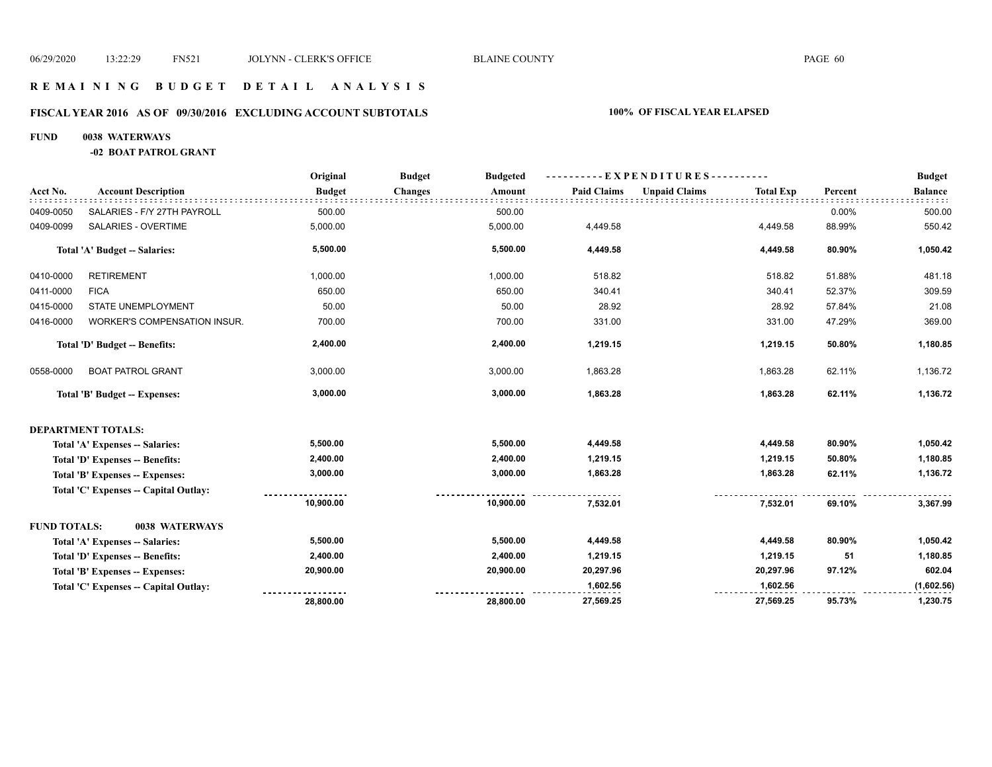#### **R E M A I N I N G B U D G E T D E T A I L A N A L Y S I S**

#### **FISCAL YEAR 2016 AS OF 09/30/2016 EXCLUDING ACCOUNT SUBTOTALS 100% OF FISCAL YEAR ELAPSED**

#### **FUND 0038 WATERWAYS**

**-02 BOAT PATROL GRANT**

|                     |                                        | Original      | <b>Budget</b><br><b>Budgeted</b> |                    | ----------EXPENDITURES----------         |         | <b>Budget</b>  |
|---------------------|----------------------------------------|---------------|----------------------------------|--------------------|------------------------------------------|---------|----------------|
| Acct No.            | <b>Account Description</b>             | <b>Budget</b> | Changes<br>Amount                | <b>Paid Claims</b> | <b>Unpaid Claims</b><br><b>Total Exp</b> | Percent | <b>Balance</b> |
| 0409-0050           | SALARIES - F/Y 27TH PAYROLL            | 500.00        | 500.00                           |                    |                                          | 0.00%   | 500.00         |
| 0409-0099           | SALARIES - OVERTIME                    | 5,000.00      | 5,000.00                         | 4,449.58           | 4,449.58                                 | 88.99%  | 550.42         |
|                     | Total 'A' Budget -- Salaries:          | 5,500.00      | 5,500.00                         | 4,449.58           | 4,449.58                                 | 80.90%  | 1,050.42       |
| 0410-0000           | <b>RETIREMENT</b>                      | 1,000.00      | 1,000.00                         | 518.82             | 518.82                                   | 51.88%  | 481.18         |
| 0411-0000           | <b>FICA</b>                            | 650.00        | 650.00                           | 340.41             | 340.41                                   | 52.37%  | 309.59         |
| 0415-0000           | STATE UNEMPLOYMENT                     | 50.00         | 50.00                            | 28.92              | 28.92                                    | 57.84%  | 21.08          |
| 0416-0000           | WORKER'S COMPENSATION INSUR.           | 700.00        | 700.00                           | 331.00             | 331.00                                   | 47.29%  | 369.00         |
|                     | Total 'D' Budget -- Benefits:          | 2,400.00      | 2,400.00                         | 1,219.15           | 1,219.15                                 | 50.80%  | 1,180.85       |
| 0558-0000           | <b>BOAT PATROL GRANT</b>               | 3,000.00      | 3,000.00                         | 1,863.28           | 1,863.28                                 | 62.11%  | 1,136.72       |
|                     | Total 'B' Budget -- Expenses:          | 3,000.00      | 3,000.00                         | 1,863.28           | 1,863.28                                 | 62.11%  | 1,136.72       |
|                     | <b>DEPARTMENT TOTALS:</b>              |               |                                  |                    |                                          |         |                |
|                     | Total 'A' Expenses -- Salaries:        | 5,500.00      | 5,500.00                         | 4,449.58           | 4,449.58                                 | 80.90%  | 1,050.42       |
|                     | <b>Total 'D' Expenses -- Benefits:</b> | 2,400.00      | 2,400.00                         | 1,219.15           | 1,219.15                                 | 50.80%  | 1,180.85       |
|                     | Total 'B' Expenses -- Expenses:        | 3,000.00      | 3,000.00                         | 1,863.28           | 1,863.28                                 | 62.11%  | 1,136.72       |
|                     | Total 'C' Expenses -- Capital Outlay:  |               |                                  |                    |                                          |         |                |
|                     |                                        | 10,900.00     | 10,900.00                        | 7,532.01           | 7,532.01                                 | 69.10%  | 3,367.99       |
| <b>FUND TOTALS:</b> | 0038 WATERWAYS                         |               |                                  |                    |                                          |         |                |
|                     | Total 'A' Expenses -- Salaries:        | 5,500.00      | 5,500.00                         | 4,449.58           | 4,449.58                                 | 80.90%  | 1,050.42       |
|                     | Total 'D' Expenses -- Benefits:        | 2,400.00      | 2,400.00                         | 1,219.15           | 1,219.15                                 | 51      | 1,180.85       |
|                     | Total 'B' Expenses -- Expenses:        | 20,900.00     | 20,900.00                        | 20,297.96          | 20,297.96                                | 97.12%  | 602.04         |
|                     | Total 'C' Expenses - Capital Outlay:   |               |                                  | 1,602.56           | 1,602.56                                 |         | (1,602.56)     |
|                     |                                        | 28,800.00     | 28,800.00                        | 27,569.25          | 27,569.25                                | 95.73%  | 1,230.75       |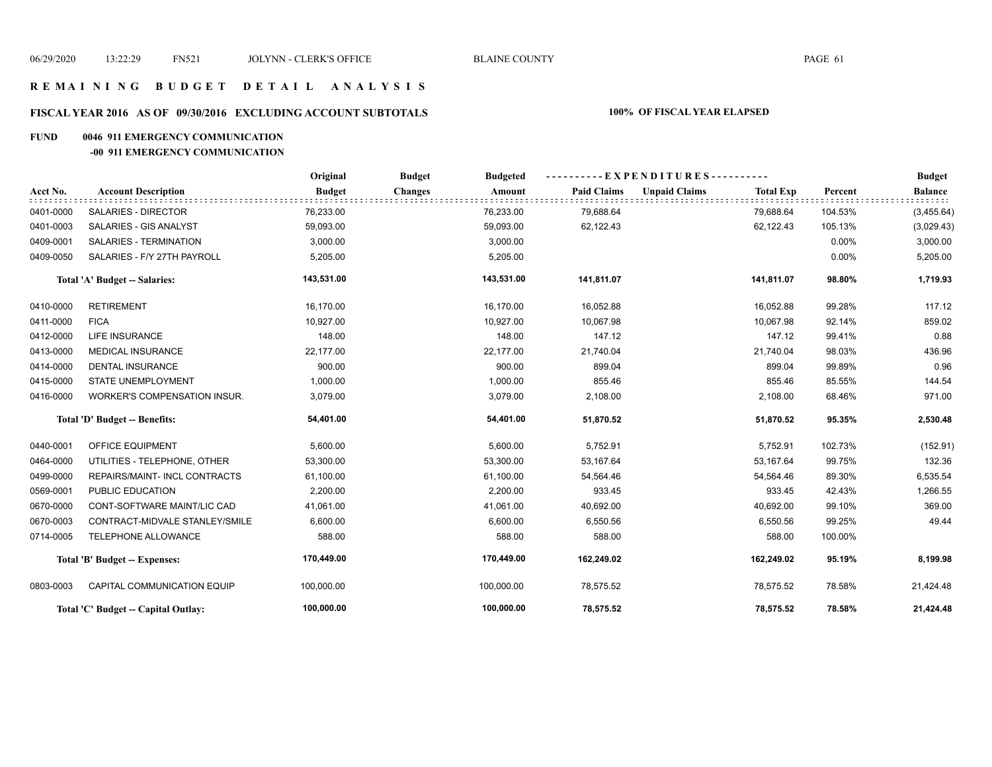# **R E M A I N I N G B U D G E T D E T A I L A N A L Y S I S**

#### **FISCAL YEAR 2016 AS OF 09/30/2016 EXCLUDING ACCOUNT SUBTOTALS 100% OF FISCAL YEAR ELAPSED**

#### **FUND 0046 911 EMERGENCY COMMUNICATION**

#### **-00 911 EMERGENCY COMMUNICATION**

|           |                                     | Original      | <b>Budget</b><br><b>Budgeted</b> |                    | ----------EXPENDITURES----------         |          | <b>Budget</b>  |
|-----------|-------------------------------------|---------------|----------------------------------|--------------------|------------------------------------------|----------|----------------|
| Acct No.  | <b>Account Description</b>          | <b>Budget</b> | <b>Changes</b><br>Amount         | <b>Paid Claims</b> | <b>Unpaid Claims</b><br><b>Total Exp</b> | Percent  | <b>Balance</b> |
| 0401-0000 | <b>SALARIES - DIRECTOR</b>          | 76,233.00     | 76,233.00                        | 79,688.64          | 79,688.64                                | 104.53%  | (3,455.64)     |
| 0401-0003 | SALARIES - GIS ANALYST              | 59,093.00     | 59,093.00                        | 62,122.43          | 62,122.43                                | 105.13%  | (3,029.43)     |
| 0409-0001 | SALARIES - TERMINATION              | 3,000.00      | 3,000.00                         |                    |                                          | $0.00\%$ | 3,000.00       |
| 0409-0050 | SALARIES - F/Y 27TH PAYROLL         | 5,205.00      | 5,205.00                         |                    |                                          | 0.00%    | 5,205.00       |
|           | Total 'A' Budget -- Salaries:       | 143,531.00    | 143,531.00                       | 141,811.07         | 141,811.07                               | 98.80%   | 1,719.93       |
| 0410-0000 | <b>RETIREMENT</b>                   | 16,170.00     | 16.170.00                        | 16,052.88          | 16,052.88                                | 99.28%   | 117.12         |
| 0411-0000 | <b>FICA</b>                         | 10,927.00     | 10,927.00                        | 10,067.98          | 10,067.98                                | 92.14%   | 859.02         |
| 0412-0000 | <b>LIFE INSURANCE</b>               | 148.00        | 148.00                           | 147.12             | 147.12                                   | 99.41%   | 0.88           |
| 0413-0000 | <b>MEDICAL INSURANCE</b>            | 22,177.00     | 22,177.00                        | 21,740.04          | 21,740.04                                | 98.03%   | 436.96         |
| 0414-0000 | <b>DENTAL INSURANCE</b>             | 900.00        | 900.00                           | 899.04             | 899.04                                   | 99.89%   | 0.96           |
| 0415-0000 | <b>STATE UNEMPLOYMENT</b>           | 1,000.00      | 1,000.00                         | 855.46             | 855.46                                   | 85.55%   | 144.54         |
| 0416-0000 | WORKER'S COMPENSATION INSUR.        | 3,079.00      | 3,079.00                         | 2,108.00           | 2,108.00                                 | 68.46%   | 971.00         |
|           | Total 'D' Budget -- Benefits:       | 54,401.00     | 54,401.00                        | 51,870.52          | 51,870.52                                | 95.35%   | 2,530.48       |
| 0440-0001 | OFFICE EQUIPMENT                    | 5,600.00      | 5,600.00                         | 5,752.91           | 5,752.91                                 | 102.73%  | (152.91)       |
| 0464-0000 | UTILITIES - TELEPHONE, OTHER        | 53,300.00     | 53,300.00                        | 53,167.64          | 53,167.64                                | 99.75%   | 132.36         |
| 0499-0000 | REPAIRS/MAINT- INCL CONTRACTS       | 61,100.00     | 61,100.00                        | 54,564.46          | 54,564.46                                | 89.30%   | 6,535.54       |
| 0569-0001 | PUBLIC EDUCATION                    | 2,200.00      | 2,200.00                         | 933.45             | 933.45                                   | 42.43%   | 1,266.55       |
| 0670-0000 | CONT-SOFTWARE MAINT/LIC CAD         | 41,061.00     | 41,061.00                        | 40,692.00          | 40,692.00                                | 99.10%   | 369.00         |
| 0670-0003 | CONTRACT-MIDVALE STANLEY/SMILE      | 6,600.00      | 6,600.00                         | 6,550.56           | 6,550.56                                 | 99.25%   | 49.44          |
| 0714-0005 | TELEPHONE ALLOWANCE                 | 588.00        | 588.00                           | 588.00             | 588.00                                   | 100.00%  |                |
|           | Total 'B' Budget -- Expenses:       | 170,449.00    | 170,449.00                       | 162,249.02         | 162,249.02                               | 95.19%   | 8,199.98       |
| 0803-0003 | CAPITAL COMMUNICATION EQUIP         | 100,000.00    | 100,000.00                       | 78,575.52          | 78,575.52                                | 78.58%   | 21,424.48      |
|           | Total 'C' Budget -- Capital Outlay: | 100,000.00    | 100,000.00                       | 78,575.52          | 78,575.52                                | 78.58%   | 21,424.48      |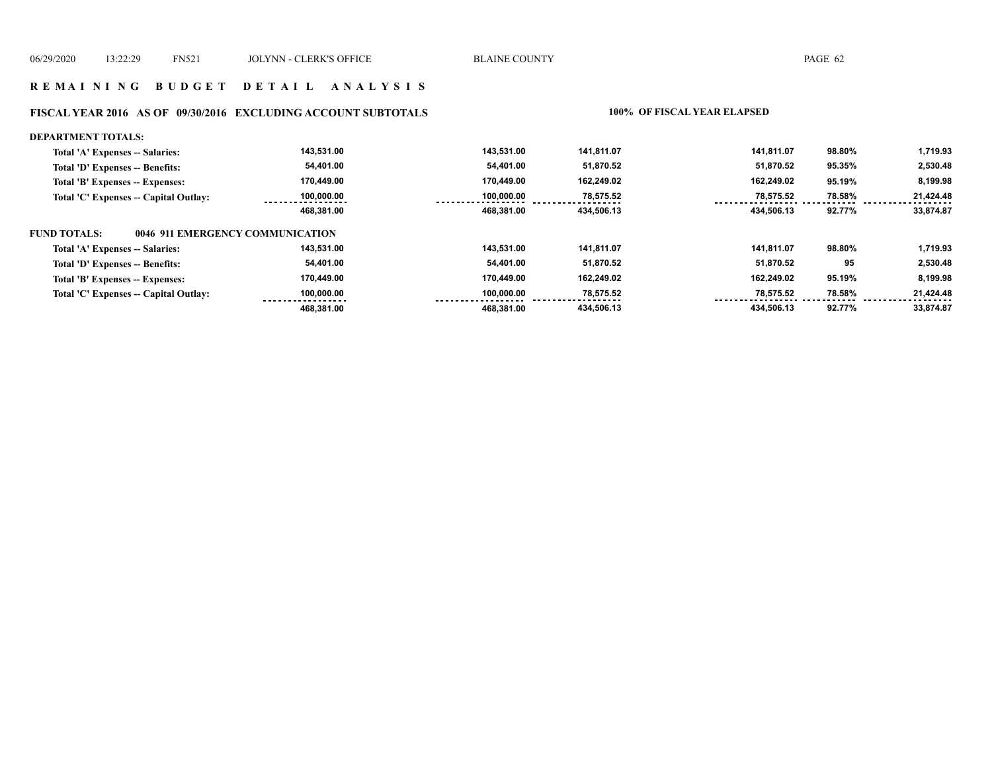#### **R E M A I N I N G B U D G E T D E T A I L A N A L Y S I S**

#### **FISCAL YEAR 2016 AS OF 09/30/2016 EXCLUDING ACCOUNT SUBTOTALS 100% OF FISCAL YEAR ELAPSED**

#### **DEPARTMENT TOTALS: 143,531.00 143,531.00 141,811.07 141,811.07 98.80% 1,719.93 Total 'A' Expenses -- Salaries: 54,401.00 2,530.48 Total 'D' Expenses -- Benefits: 54,401.00 51,870.52 51,870.52 95.35% 170,449.00 170,449.00 162,249.02 162,249.02 8,199.98 Total 'B' Expenses -- Expenses: 95.19% 100,000.00 78,575.52 78,575.52 78.58% Total 'C' Expenses -- Capital Outlay: 100,000.00 21,424.48 468,381.00 468,381.00 434,506.13 434,506.13 92.77% 33,874.87 FUND TOTALS: 0046 911 EMERGENCY COMMUNICATIONTotal 'A' Expenses -- Salaries: 143,531.00 143,531.00 141,811.07 141,811.07 98.80% 1,719.93 54,401.00 54,401.00 51,870.52 51,870.52 2,530.48 Total 'D' Expenses -- Benefits: 95 170,449.00 170,449.00 162,249.02 162,249.02 8,199.98 Total 'B' Expenses -- Expenses: 95.19% 78,575.52 Total 'C' Expenses -- Capital Outlay: 100,000.00 100,000.00 78,575.52 78.58% 21,424.48**   $- - - - - - -$  **468,381.00 468,381.00 434,506.13 434,506.13 92.77% 33,874.87**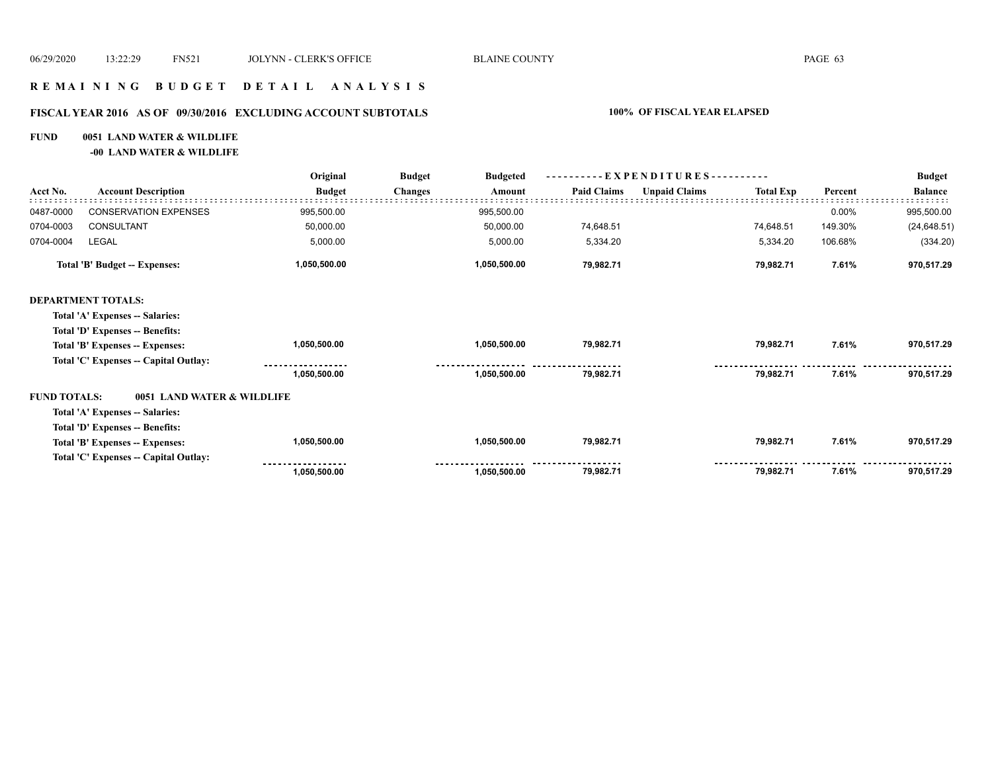### **R E M A I N I N G B U D G E T D E T A I L A N A L Y S I S**

#### **FISCAL YEAR 2016 AS OF 09/30/2016 EXCLUDING ACCOUNT SUBTOTALS 100% OF FISCAL YEAR ELAPSED**

#### **FUND 0051 LAND WATER & WILDLIFE**

**-00 LAND WATER & WILDLIFE**

| Acct No.                             | <b>Account Description</b>            | Original<br><b>Budget</b> | <b>Budget</b><br><b>Budgeted</b> | - EXPENDITURES---------- |                      |                  |         | <b>Budget</b>  |
|--------------------------------------|---------------------------------------|---------------------------|----------------------------------|--------------------------|----------------------|------------------|---------|----------------|
|                                      |                                       |                           | <b>Changes</b><br>Amount         | <b>Paid Claims</b>       | <b>Unpaid Claims</b> | <b>Total Exp</b> | Percent | <b>Balance</b> |
| 0487-0000                            | <b>CONSERVATION EXPENSES</b>          | 995,500.00                | 995,500.00                       |                          |                      |                  | 0.00%   | 995,500.00     |
| 0704-0003                            | CONSULTANT                            | 50,000.00                 | 50,000.00                        | 74,648.51                |                      | 74,648.51        | 149.30% | (24, 648.51)   |
| 0704-0004                            | LEGAL                                 | 5,000.00                  | 5,000.00                         | 5,334.20                 |                      | 5,334.20         | 106.68% | (334.20)       |
| <b>Total 'B' Budget -- Expenses:</b> |                                       | 1,050,500.00              | 1,050,500.00                     | 79,982.71                |                      | 79,982.71        | 7.61%   | 970,517.29     |
|                                      | <b>DEPARTMENT TOTALS:</b>             |                           |                                  |                          |                      |                  |         |                |
|                                      | Total 'A' Expenses -- Salaries:       |                           |                                  |                          |                      |                  |         |                |
|                                      | Total 'D' Expenses -- Benefits:       |                           |                                  |                          |                      |                  |         |                |
|                                      | Total 'B' Expenses -- Expenses:       | 1,050,500.00              | 1,050,500.00                     | 79,982.71                |                      | 79,982.71        | 7.61%   | 970,517.29     |
|                                      | Total 'C' Expenses - Capital Outlay:  |                           |                                  |                          |                      |                  |         |                |
|                                      |                                       | 1,050,500.00              | 1,050,500.00                     | 79,982.71                |                      | 79,982.71        | 7.61%   | 970,517.29     |
| <b>FUND TOTALS:</b>                  | 0051 LAND WATER & WILDLIFE            |                           |                                  |                          |                      |                  |         |                |
|                                      | Total 'A' Expenses -- Salaries:       |                           |                                  |                          |                      |                  |         |                |
|                                      | Total 'D' Expenses -- Benefits:       |                           |                                  |                          |                      |                  |         |                |
|                                      | Total 'B' Expenses -- Expenses:       | 1,050,500.00              | 1,050,500.00                     | 79,982.71                |                      | 79,982.71        | 7.61%   | 970,517.29     |
|                                      | Total 'C' Expenses -- Capital Outlay: |                           |                                  |                          |                      |                  |         |                |
|                                      |                                       | 1,050,500.00              | 1,050,500.00                     | 79,982.71                |                      | 79,982.71        | 7.61%   | 970,517.29     |